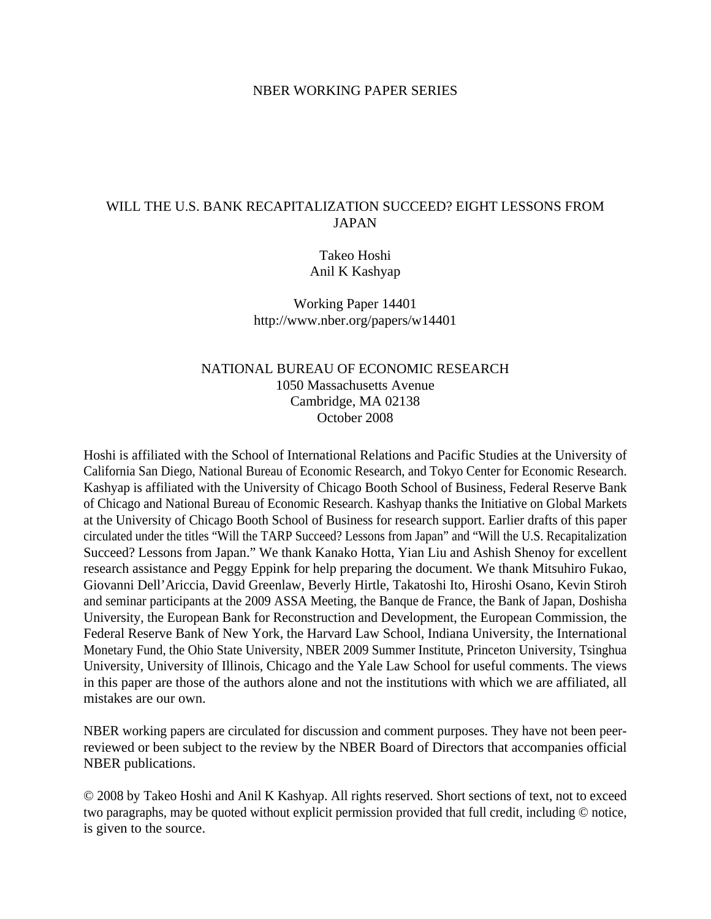#### NBER WORKING PAPER SERIES

# WILL THE U.S. BANK RECAPITALIZATION SUCCEED? EIGHT LESSONS FROM JAPAN

# Takeo Hoshi Anil K Kashyap

Working Paper 14401 http://www.nber.org/papers/w14401

# NATIONAL BUREAU OF ECONOMIC RESEARCH 1050 Massachusetts Avenue Cambridge, MA 02138 October 2008

Hoshi is affiliated with the School of International Relations and Pacific Studies at the University of California San Diego, National Bureau of Economic Research, and Tokyo Center for Economic Research. Kashyap is affiliated with the University of Chicago Booth School of Business, Federal Reserve Bank of Chicago and National Bureau of Economic Research. Kashyap thanks the Initiative on Global Markets at the University of Chicago Booth School of Business for research support. Earlier drafts of this paper circulated under the titles "Will the TARP Succeed? Lessons from Japan" and "Will the U.S. Recapitalization Succeed? Lessons from Japan." We thank Kanako Hotta, Yian Liu and Ashish Shenoy for excellent research assistance and Peggy Eppink for help preparing the document. We thank Mitsuhiro Fukao, Giovanni Dell'Ariccia, David Greenlaw, Beverly Hirtle, Takatoshi Ito, Hiroshi Osano, Kevin Stiroh and seminar participants at the 2009 ASSA Meeting, the Banque de France, the Bank of Japan, Doshisha University, the European Bank for Reconstruction and Development, the European Commission, the Federal Reserve Bank of New York, the Harvard Law School, Indiana University, the International Monetary Fund, the Ohio State University, NBER 2009 Summer Institute, Princeton University, Tsinghua University, University of Illinois, Chicago and the Yale Law School for useful comments. The views in this paper are those of the authors alone and not the institutions with which we are affiliated, all mistakes are our own.

NBER working papers are circulated for discussion and comment purposes. They have not been peerreviewed or been subject to the review by the NBER Board of Directors that accompanies official NBER publications.

© 2008 by Takeo Hoshi and Anil K Kashyap. All rights reserved. Short sections of text, not to exceed two paragraphs, may be quoted without explicit permission provided that full credit, including © notice, is given to the source.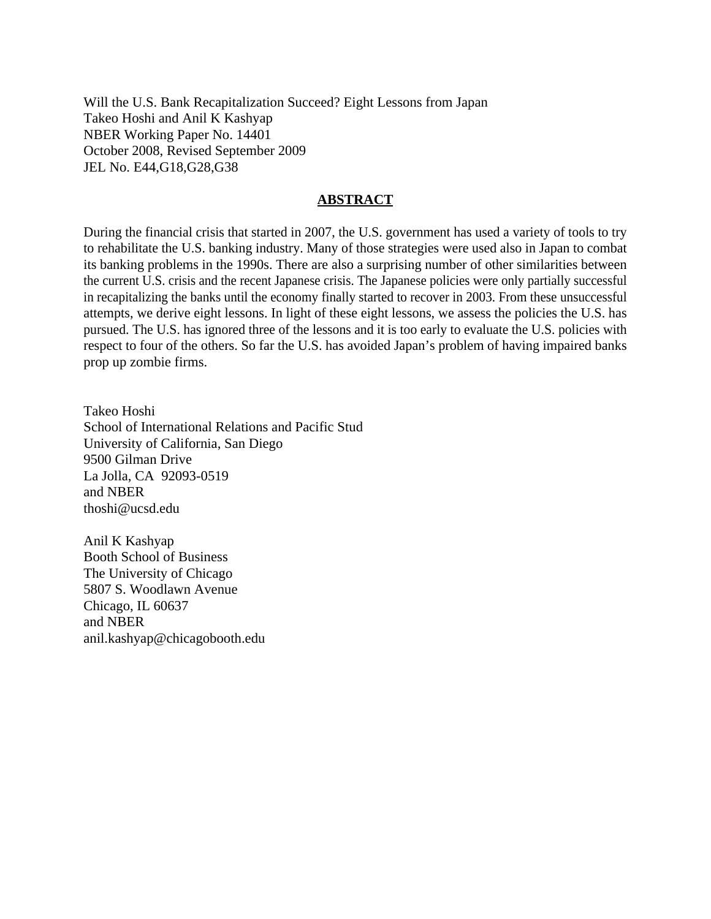Will the U.S. Bank Recapitalization Succeed? Eight Lessons from Japan Takeo Hoshi and Anil K Kashyap NBER Working Paper No. 14401 October 2008, Revised September 2009 JEL No. E44,G18,G28,G38

## **ABSTRACT**

During the financial crisis that started in 2007, the U.S. government has used a variety of tools to try to rehabilitate the U.S. banking industry. Many of those strategies were used also in Japan to combat its banking problems in the 1990s. There are also a surprising number of other similarities between the current U.S. crisis and the recent Japanese crisis. The Japanese policies were only partially successful in recapitalizing the banks until the economy finally started to recover in 2003. From these unsuccessful attempts, we derive eight lessons. In light of these eight lessons, we assess the policies the U.S. has pursued. The U.S. has ignored three of the lessons and it is too early to evaluate the U.S. policies with respect to four of the others. So far the U.S. has avoided Japan's problem of having impaired banks prop up zombie firms.

Takeo Hoshi School of International Relations and Pacific Stud University of California, San Diego 9500 Gilman Drive La Jolla, CA 92093-0519 and NBER [thoshi@ucsd.edu](mailto:thoshi@ucsd.edu)

Anil K Kashyap Booth School of Business The University of Chicago 5807 S. Woodlawn Avenue Chicago, IL 60637 and NBER [anil.kashyap@chicagobooth.edu](mailto:anil.kashyap@chicagobooth.edu)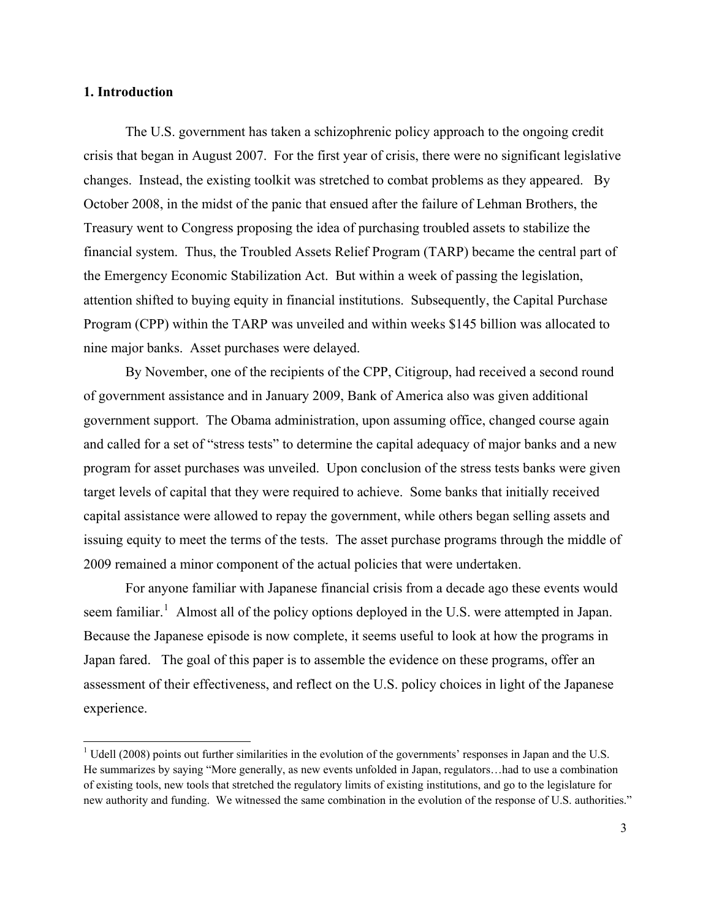### **1. Introduction**

 $\overline{a}$ 

The U.S. government has taken a schizophrenic policy approach to the ongoing credit crisis that began in August 2007. For the first year of crisis, there were no significant legislative changes. Instead, the existing toolkit was stretched to combat problems as they appeared. By October 2008, in the midst of the panic that ensued after the failure of Lehman Brothers, the Treasury went to Congress proposing the idea of purchasing troubled assets to stabilize the financial system. Thus, the Troubled Assets Relief Program (TARP) became the central part of the Emergency Economic Stabilization Act. But within a week of passing the legislation, attention shifted to buying equity in financial institutions. Subsequently, the Capital Purchase Program (CPP) within the TARP was unveiled and within weeks \$145 billion was allocated to nine major banks. Asset purchases were delayed.

 By November, one of the recipients of the CPP, Citigroup, had received a second round of government assistance and in January 2009, Bank of America also was given additional government support. The Obama administration, upon assuming office, changed course again and called for a set of "stress tests" to determine the capital adequacy of major banks and a new program for asset purchases was unveiled. Upon conclusion of the stress tests banks were given target levels of capital that they were required to achieve. Some banks that initially received capital assistance were allowed to repay the government, while others began selling assets and issuing equity to meet the terms of the tests. The asset purchase programs through the middle of 2009 remained a minor component of the actual policies that were undertaken.

 For anyone familiar with Japanese financial crisis from a decade ago these events would seem familiar.<sup>[1](#page-2-0)</sup> Almost all of the policy options deployed in the U.S. were attempted in Japan. Because the Japanese episode is now complete, it seems useful to look at how the programs in Japan fared. The goal of this paper is to assemble the evidence on these programs, offer an assessment of their effectiveness, and reflect on the U.S. policy choices in light of the Japanese experience.

<span id="page-2-0"></span> $1$  Udell (2008) points out further similarities in the evolution of the governments' responses in Japan and the U.S. He summarizes by saying "More generally, as new events unfolded in Japan, regulators…had to use a combination of existing tools, new tools that stretched the regulatory limits of existing institutions, and go to the legislature for new authority and funding. We witnessed the same combination in the evolution of the response of U.S. authorities."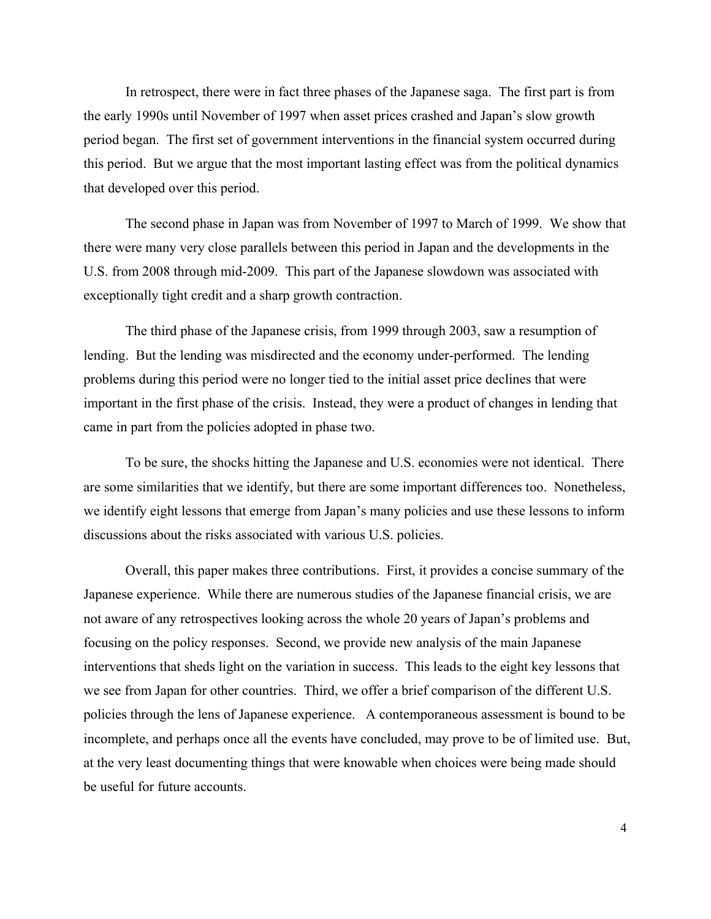In retrospect, there were in fact three phases of the Japanese saga. The first part is from the early 1990s until November of 1997 when asset prices crashed and Japan's slow growth period began. The first set of government interventions in the financial system occurred during this period. But we argue that the most important lasting effect was from the political dynamics that developed over this period.

The second phase in Japan was from November of 1997 to March of 1999. We show that there were many very close parallels between this period in Japan and the developments in the U.S. from 2008 through mid-2009. This part of the Japanese slowdown was associated with exceptionally tight credit and a sharp growth contraction.

The third phase of the Japanese crisis, from 1999 through 2003, saw a resumption of lending. But the lending was misdirected and the economy under-performed. The lending problems during this period were no longer tied to the initial asset price declines that were important in the first phase of the crisis. Instead, they were a product of changes in lending that came in part from the policies adopted in phase two.

To be sure, the shocks hitting the Japanese and U.S. economies were not identical. There are some similarities that we identify, but there are some important differences too. Nonetheless, we identify eight lessons that emerge from Japan's many policies and use these lessons to inform discussions about the risks associated with various U.S. policies.

Overall, this paper makes three contributions. First, it provides a concise summary of the Japanese experience. While there are numerous studies of the Japanese financial crisis, we are not aware of any retrospectives looking across the whole 20 years of Japan's problems and focusing on the policy responses. Second, we provide new analysis of the main Japanese interventions that sheds light on the variation in success. This leads to the eight key lessons that we see from Japan for other countries. Third, we offer a brief comparison of the different U.S. policies through the lens of Japanese experience. A contemporaneous assessment is bound to be incomplete, and perhaps once all the events have concluded, may prove to be of limited use. But, at the very least documenting things that were knowable when choices were being made should be useful for future accounts.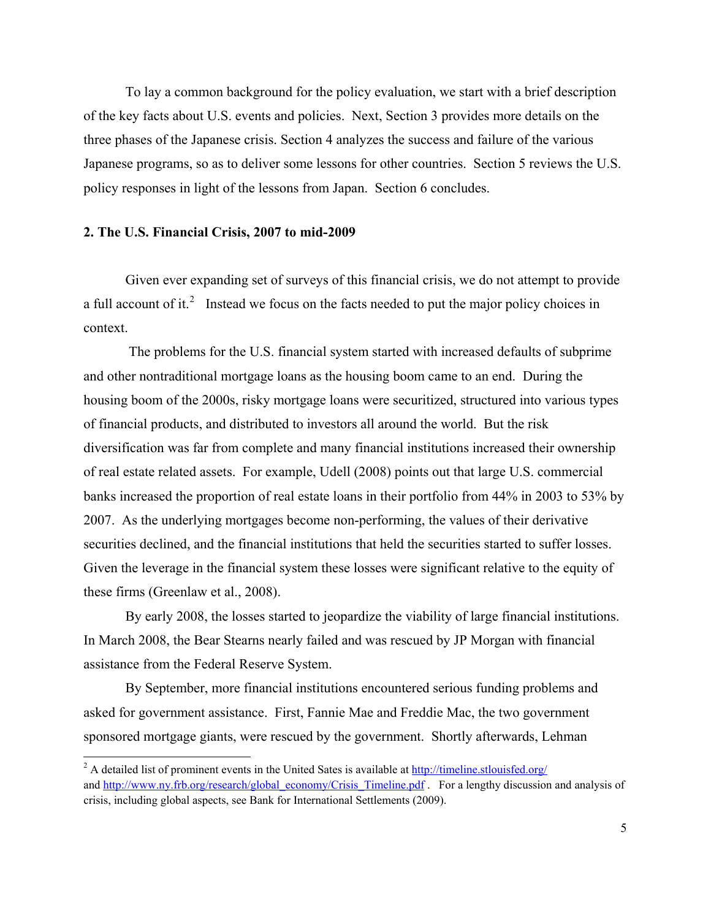<span id="page-4-0"></span>To lay a common background for the policy evaluation, we start with a brief description of the key facts about U.S. events and policies. Next, Section 3 provides more details on the three phases of the Japanese crisis. Section 4 analyzes the success and failure of the various Japanese programs, so as to deliver some lessons for other countries. Section 5 reviews the U.S. policy responses in light of the lessons from Japan. Section 6 concludes.

#### **2. The U.S. Financial Crisis, 2007 to mid-2009**

 $\overline{a}$ 

Given ever expanding set of surveys of this financial crisis, we do not attempt to provide a full account of it.<sup>[2](#page-4-0)</sup> Instead we focus on the facts needed to put the major policy choices in context.

 The problems for the U.S. financial system started with increased defaults of subprime and other nontraditional mortgage loans as the housing boom came to an end. During the housing boom of the 2000s, risky mortgage loans were securitized, structured into various types of financial products, and distributed to investors all around the world. But the risk diversification was far from complete and many financial institutions increased their ownership of real estate related assets. For example, Udell (2008) points out that large U.S. commercial banks increased the proportion of real estate loans in their portfolio from 44% in 2003 to 53% by 2007. As the underlying mortgages become non-performing, the values of their derivative securities declined, and the financial institutions that held the securities started to suffer losses. Given the leverage in the financial system these losses were significant relative to the equity of these firms (Greenlaw et al., 2008).

By early 2008, the losses started to jeopardize the viability of large financial institutions. In March 2008, the Bear Stearns nearly failed and was rescued by JP Morgan with financial assistance from the Federal Reserve System.

By September, more financial institutions encountered serious funding problems and asked for government assistance. First, Fannie Mae and Freddie Mac, the two government sponsored mortgage giants, were rescued by the government. Shortly afterwards, Lehman

<sup>&</sup>lt;sup>2</sup> A detailed list of prominent events in the United Sates is available at <http://timeline.stlouisfed.org/> and [http://www.ny.frb.org/research/global\\_economy/Crisis\\_Timeline.pdf](http://www.ny.frb.org/research/global_economy/Crisis_Timeline.pdf) . For a lengthy discussion and analysis of crisis, including global aspects, see Bank for International Settlements (2009).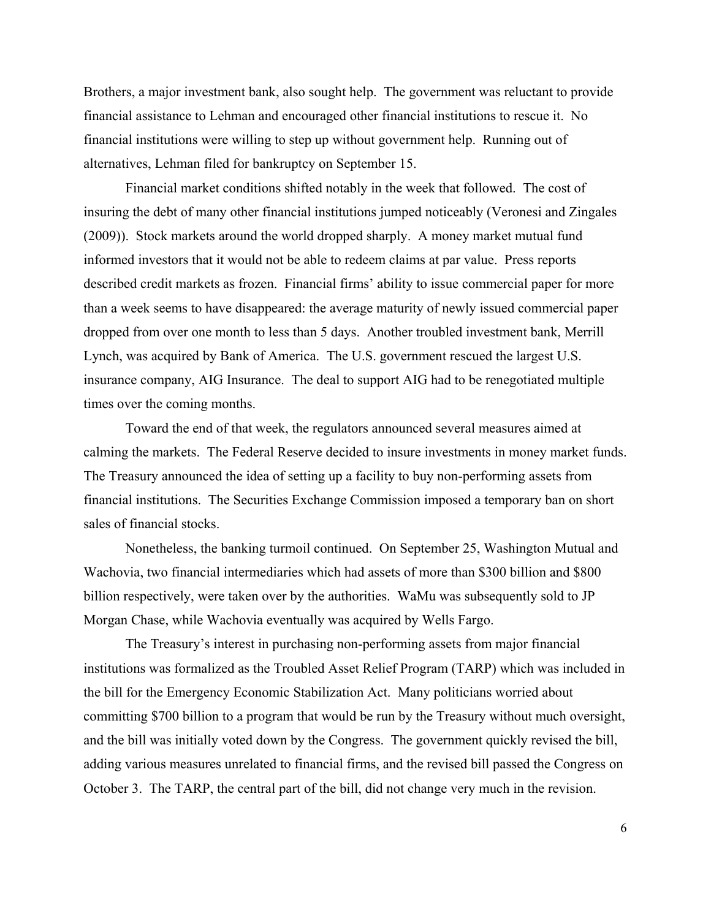Brothers, a major investment bank, also sought help. The government was reluctant to provide financial assistance to Lehman and encouraged other financial institutions to rescue it. No financial institutions were willing to step up without government help. Running out of alternatives, Lehman filed for bankruptcy on September 15.

Financial market conditions shifted notably in the week that followed. The cost of insuring the debt of many other financial institutions jumped noticeably (Veronesi and Zingales (2009)). Stock markets around the world dropped sharply. A money market mutual fund informed investors that it would not be able to redeem claims at par value. Press reports described credit markets as frozen. Financial firms' ability to issue commercial paper for more than a week seems to have disappeared: the average maturity of newly issued commercial paper dropped from over one month to less than 5 days. Another troubled investment bank, Merrill Lynch, was acquired by Bank of America. The U.S. government rescued the largest U.S. insurance company, AIG Insurance. The deal to support AIG had to be renegotiated multiple times over the coming months.

Toward the end of that week, the regulators announced several measures aimed at calming the markets. The Federal Reserve decided to insure investments in money market funds. The Treasury announced the idea of setting up a facility to buy non-performing assets from financial institutions. The Securities Exchange Commission imposed a temporary ban on short sales of financial stocks.

Nonetheless, the banking turmoil continued. On September 25, Washington Mutual and Wachovia, two financial intermediaries which had assets of more than \$300 billion and \$800 billion respectively, were taken over by the authorities. WaMu was subsequently sold to JP Morgan Chase, while Wachovia eventually was acquired by Wells Fargo.

The Treasury's interest in purchasing non-performing assets from major financial institutions was formalized as the Troubled Asset Relief Program (TARP) which was included in the bill for the Emergency Economic Stabilization Act. Many politicians worried about committing \$700 billion to a program that would be run by the Treasury without much oversight, and the bill was initially voted down by the Congress. The government quickly revised the bill, adding various measures unrelated to financial firms, and the revised bill passed the Congress on October 3. The TARP, the central part of the bill, did not change very much in the revision.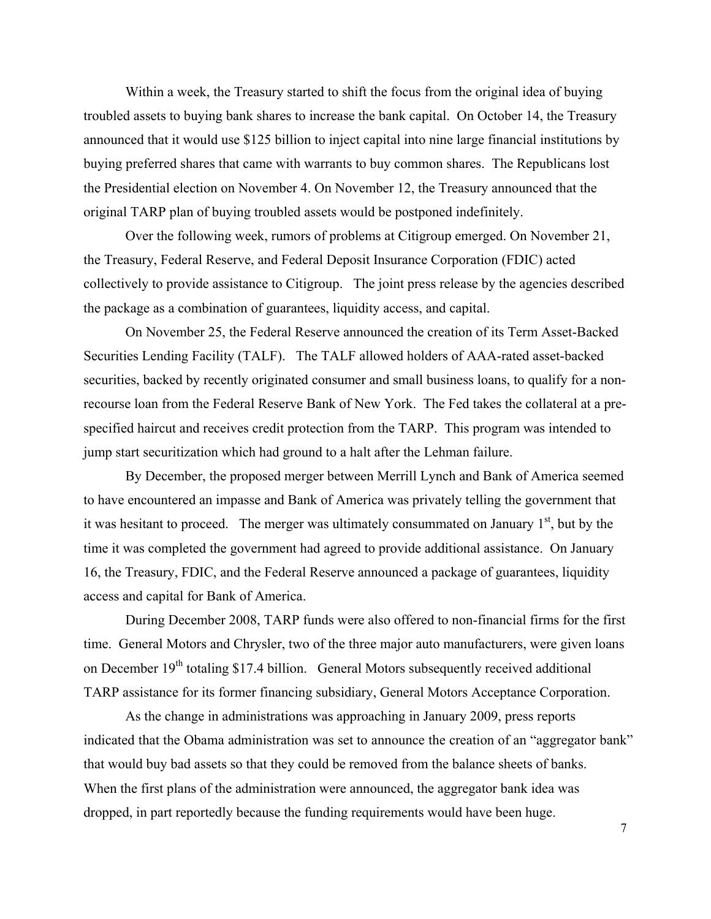Within a week, the Treasury started to shift the focus from the original idea of buying troubled assets to buying bank shares to increase the bank capital. On October 14, the Treasury announced that it would use \$125 billion to inject capital into nine large financial institutions by buying preferred shares that came with warrants to buy common shares. The Republicans lost the Presidential election on November 4. On November 12, the Treasury announced that the original TARP plan of buying troubled assets would be postponed indefinitely.

Over the following week, rumors of problems at Citigroup emerged. On November 21, the Treasury, Federal Reserve, and Federal Deposit Insurance Corporation (FDIC) acted collectively to provide assistance to Citigroup. The joint press release by the agencies described the package as a combination of guarantees, liquidity access, and capital.

On November 25, the Federal Reserve announced the creation of its Term Asset-Backed Securities Lending Facility (TALF). The TALF allowed holders of AAA-rated asset-backed securities, backed by recently originated consumer and small business loans, to qualify for a nonrecourse loan from the Federal Reserve Bank of New York. The Fed takes the collateral at a prespecified haircut and receives credit protection from the TARP. This program was intended to jump start securitization which had ground to a halt after the Lehman failure.

By December, the proposed merger between Merrill Lynch and Bank of America seemed to have encountered an impasse and Bank of America was privately telling the government that it was hesitant to proceed. The merger was ultimately consummated on January  $1<sup>st</sup>$ , but by the time it was completed the government had agreed to provide additional assistance. On January 16, the Treasury, FDIC, and the Federal Reserve announced a package of guarantees, liquidity access and capital for Bank of America.

During December 2008, TARP funds were also offered to non-financial firms for the first time. General Motors and Chrysler, two of the three major auto manufacturers, were given loans on December 19<sup>th</sup> totaling \$17.4 billion. General Motors subsequently received additional TARP assistance for its former financing subsidiary, General Motors Acceptance Corporation.

As the change in administrations was approaching in January 2009, press reports indicated that the Obama administration was set to announce the creation of an "aggregator bank" that would buy bad assets so that they could be removed from the balance sheets of banks. When the first plans of the administration were announced, the aggregator bank idea was dropped, in part reportedly because the funding requirements would have been huge.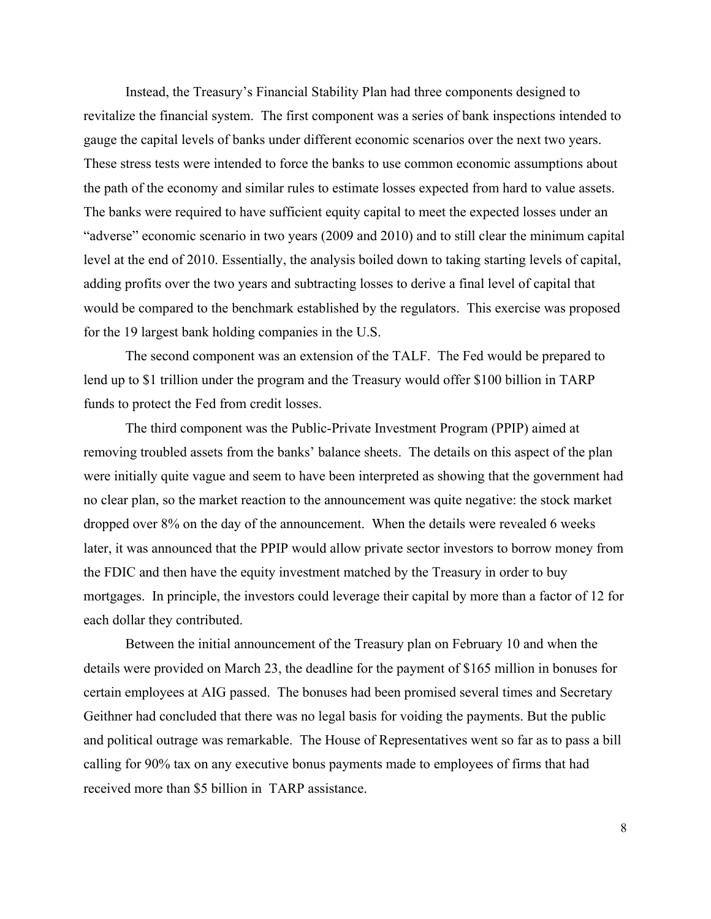Instead, the Treasury's Financial Stability Plan had three components designed to revitalize the financial system. The first component was a series of bank inspections intended to gauge the capital levels of banks under different economic scenarios over the next two years. These stress tests were intended to force the banks to use common economic assumptions about the path of the economy and similar rules to estimate losses expected from hard to value assets. The banks were required to have sufficient equity capital to meet the expected losses under an "adverse" economic scenario in two years (2009 and 2010) and to still clear the minimum capital level at the end of 2010. Essentially, the analysis boiled down to taking starting levels of capital, adding profits over the two years and subtracting losses to derive a final level of capital that would be compared to the benchmark established by the regulators. This exercise was proposed for the 19 largest bank holding companies in the U.S.

The second component was an extension of the TALF. The Fed would be prepared to lend up to \$1 trillion under the program and the Treasury would offer \$100 billion in TARP funds to protect the Fed from credit losses.

 The third component was the Public-Private Investment Program (PPIP) aimed at removing troubled assets from the banks' balance sheets. The details on this aspect of the plan were initially quite vague and seem to have been interpreted as showing that the government had no clear plan, so the market reaction to the announcement was quite negative: the stock market dropped over 8% on the day of the announcement. When the details were revealed 6 weeks later, it was announced that the PPIP would allow private sector investors to borrow money from the FDIC and then have the equity investment matched by the Treasury in order to buy mortgages. In principle, the investors could leverage their capital by more than a factor of 12 for each dollar they contributed.

 Between the initial announcement of the Treasury plan on February 10 and when the details were provided on March 23, the deadline for the payment of \$165 million in bonuses for certain employees at AIG passed. The bonuses had been promised several times and Secretary Geithner had concluded that there was no legal basis for voiding the payments. But the public and political outrage was remarkable. The House of Representatives went so far as to pass a bill calling for 90% tax on any executive bonus payments made to employees of firms that had received more than \$5 billion in TARP assistance.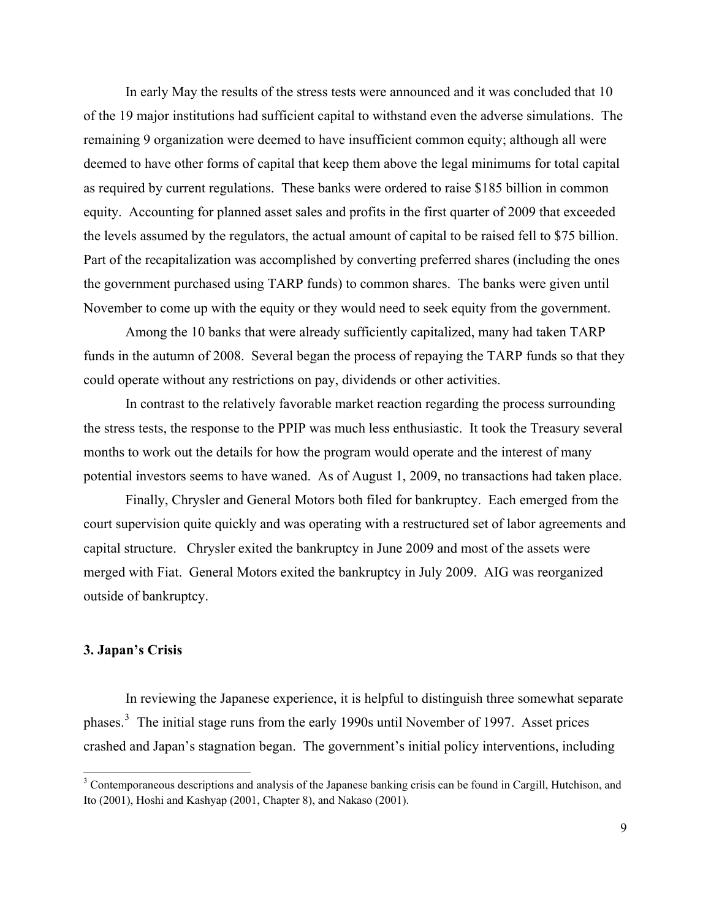<span id="page-8-0"></span> In early May the results of the stress tests were announced and it was concluded that 10 of the 19 major institutions had sufficient capital to withstand even the adverse simulations. The remaining 9 organization were deemed to have insufficient common equity; although all were deemed to have other forms of capital that keep them above the legal minimums for total capital as required by current regulations. These banks were ordered to raise \$185 billion in common equity. Accounting for planned asset sales and profits in the first quarter of 2009 that exceeded the levels assumed by the regulators, the actual amount of capital to be raised fell to \$75 billion. Part of the recapitalization was accomplished by converting preferred shares (including the ones the government purchased using TARP funds) to common shares. The banks were given until November to come up with the equity or they would need to seek equity from the government.

 Among the 10 banks that were already sufficiently capitalized, many had taken TARP funds in the autumn of 2008. Several began the process of repaying the TARP funds so that they could operate without any restrictions on pay, dividends or other activities.

 In contrast to the relatively favorable market reaction regarding the process surrounding the stress tests, the response to the PPIP was much less enthusiastic. It took the Treasury several months to work out the details for how the program would operate and the interest of many potential investors seems to have waned. As of August 1, 2009, no transactions had taken place.

 Finally, Chrysler and General Motors both filed for bankruptcy. Each emerged from the court supervision quite quickly and was operating with a restructured set of labor agreements and capital structure. Chrysler exited the bankruptcy in June 2009 and most of the assets were merged with Fiat. General Motors exited the bankruptcy in July 2009. AIG was reorganized outside of bankruptcy.

## **3. Japan's Crisis**

 In reviewing the Japanese experience, it is helpful to distinguish three somewhat separate phases.<sup>[3](#page-8-0)</sup> The initial stage runs from the early 1990s until November of 1997. Asset prices crashed and Japan's stagnation began. The government's initial policy interventions, including

<sup>&</sup>lt;sup>3</sup> Contemporaneous descriptions and analysis of the Japanese banking crisis can be found in Cargill, Hutchison, and Ito (2001), Hoshi and Kashyap (2001, Chapter 8), and Nakaso (2001).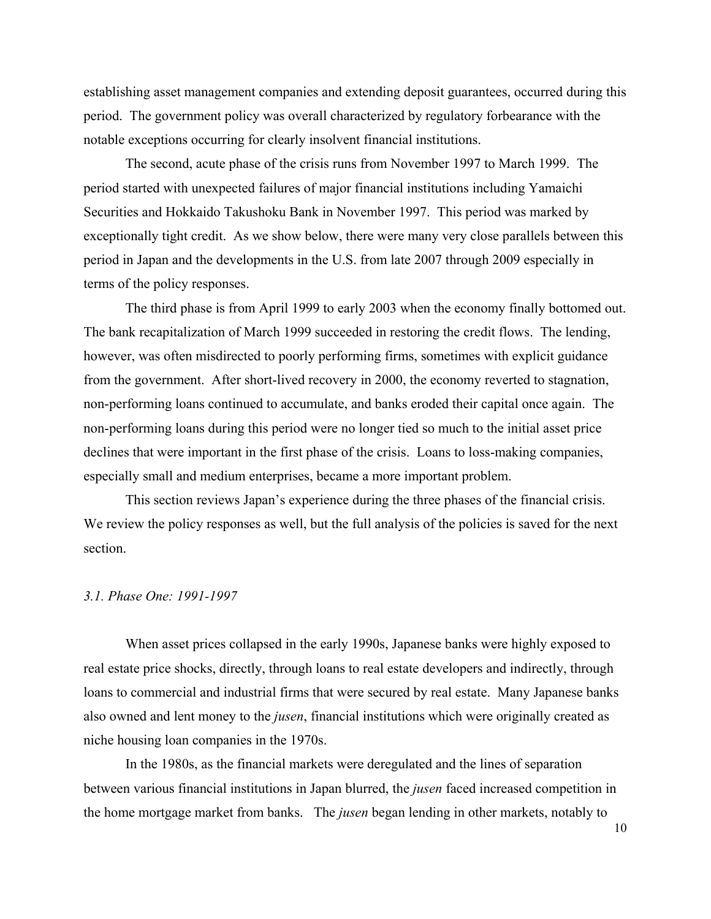establishing asset management companies and extending deposit guarantees, occurred during this period. The government policy was overall characterized by regulatory forbearance with the notable exceptions occurring for clearly insolvent financial institutions.

 The second, acute phase of the crisis runs from November 1997 to March 1999. The period started with unexpected failures of major financial institutions including Yamaichi Securities and Hokkaido Takushoku Bank in November 1997. This period was marked by exceptionally tight credit. As we show below, there were many very close parallels between this period in Japan and the developments in the U.S. from late 2007 through 2009 especially in terms of the policy responses.

 The third phase is from April 1999 to early 2003 when the economy finally bottomed out. The bank recapitalization of March 1999 succeeded in restoring the credit flows. The lending, however, was often misdirected to poorly performing firms, sometimes with explicit guidance from the government. After short-lived recovery in 2000, the economy reverted to stagnation, non-performing loans continued to accumulate, and banks eroded their capital once again. The non-performing loans during this period were no longer tied so much to the initial asset price declines that were important in the first phase of the crisis. Loans to loss-making companies, especially small and medium enterprises, became a more important problem.

 This section reviews Japan's experience during the three phases of the financial crisis. We review the policy responses as well, but the full analysis of the policies is saved for the next section.

### *3.1. Phase One: 1991-1997*

 When asset prices collapsed in the early 1990s, Japanese banks were highly exposed to real estate price shocks, directly, through loans to real estate developers and indirectly, through loans to commercial and industrial firms that were secured by real estate. Many Japanese banks also owned and lent money to the *jusen*, financial institutions which were originally created as niche housing loan companies in the 1970s.

In the 1980s, as the financial markets were deregulated and the lines of separation between various financial institutions in Japan blurred, the *jusen* faced increased competition in the home mortgage market from banks. The *jusen* began lending in other markets, notably to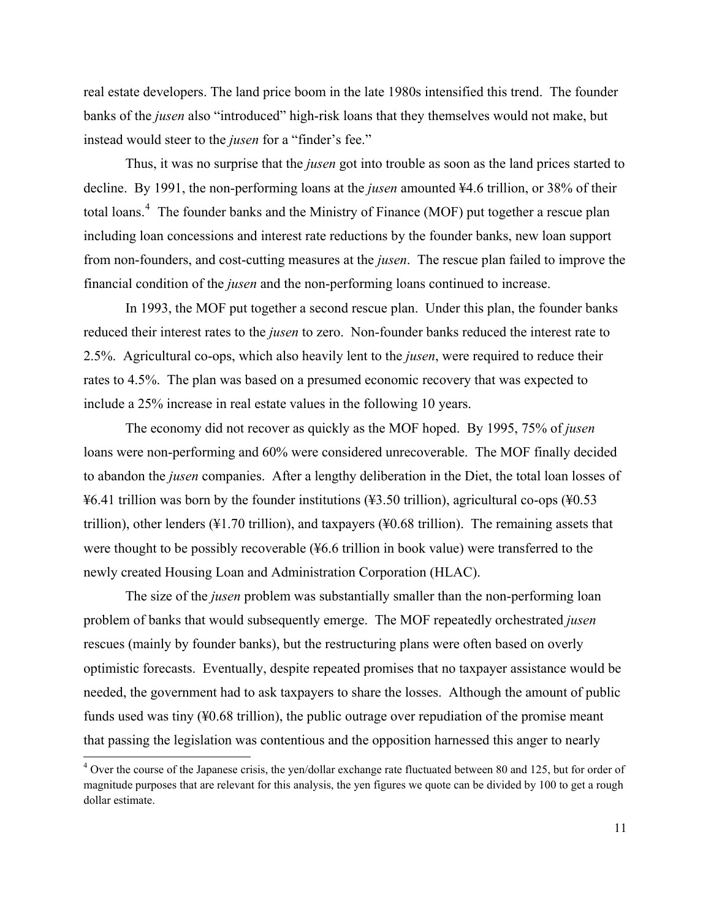<span id="page-10-0"></span>real estate developers. The land price boom in the late 1980s intensified this trend. The founder banks of the *jusen* also "introduced" high-risk loans that they themselves would not make, but instead would steer to the *jusen* for a "finder's fee."

 Thus, it was no surprise that the *jusen* got into trouble as soon as the land prices started to decline. By 1991, the non-performing loans at the *jusen* amounted ¥4.6 trillion, or 38% of their total loans.<sup>[4](#page-10-0)</sup> The founder banks and the Ministry of Finance (MOF) put together a rescue plan including loan concessions and interest rate reductions by the founder banks, new loan support from non-founders, and cost-cutting measures at the *jusen*. The rescue plan failed to improve the financial condition of the *jusen* and the non-performing loans continued to increase.

 In 1993, the MOF put together a second rescue plan. Under this plan, the founder banks reduced their interest rates to the *jusen* to zero. Non-founder banks reduced the interest rate to 2.5%. Agricultural co-ops, which also heavily lent to the *jusen*, were required to reduce their rates to 4.5%. The plan was based on a presumed economic recovery that was expected to include a 25% increase in real estate values in the following 10 years.

 The economy did not recover as quickly as the MOF hoped. By 1995, 75% of *jusen*  loans were non-performing and 60% were considered unrecoverable. The MOF finally decided to abandon the *jusen* companies. After a lengthy deliberation in the Diet, the total loan losses of ¥6.41 trillion was born by the founder institutions (¥3.50 trillion), agricultural co-ops (¥0.53 trillion), other lenders (¥1.70 trillion), and taxpayers (¥0.68 trillion). The remaining assets that were thought to be possibly recoverable (¥6.6 trillion in book value) were transferred to the newly created Housing Loan and Administration Corporation (HLAC).

 The size of the *jusen* problem was substantially smaller than the non-performing loan problem of banks that would subsequently emerge. The MOF repeatedly orchestrated *jusen*  rescues (mainly by founder banks), but the restructuring plans were often based on overly optimistic forecasts. Eventually, despite repeated promises that no taxpayer assistance would be needed, the government had to ask taxpayers to share the losses. Although the amount of public funds used was tiny (¥0.68 trillion), the public outrage over repudiation of the promise meant that passing the legislation was contentious and the opposition harnessed this anger to nearly

 $\overline{a}$ 

<sup>&</sup>lt;sup>4</sup> Over the course of the Japanese crisis, the yen/dollar exchange rate fluctuated between 80 and 125, but for order of magnitude purposes that are relevant for this analysis, the yen figures we quote can be divided by 100 to get a rough dollar estimate.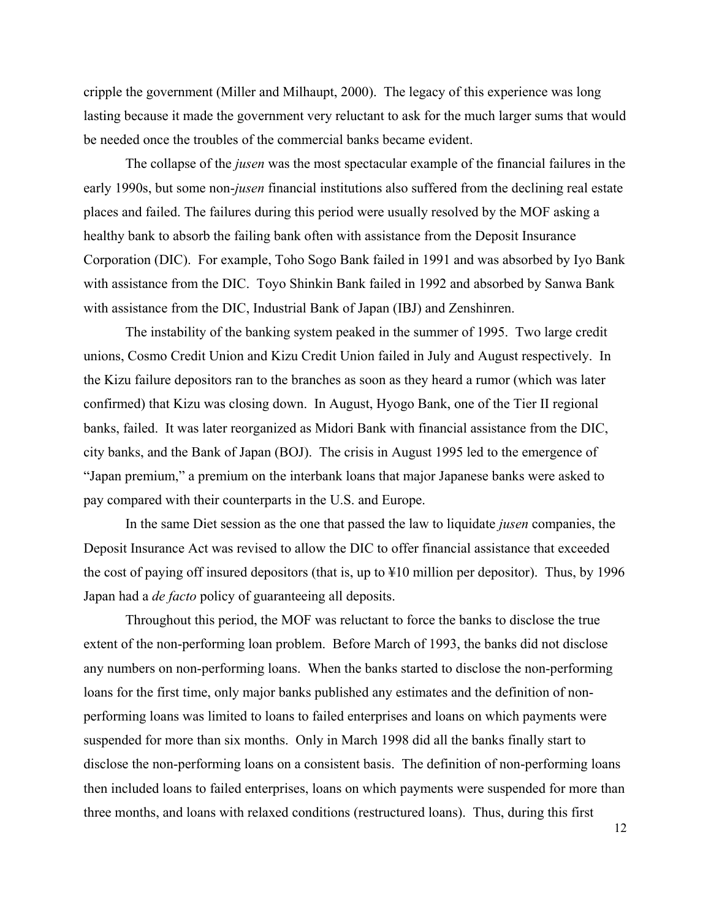cripple the government (Miller and Milhaupt, 2000). The legacy of this experience was long lasting because it made the government very reluctant to ask for the much larger sums that would be needed once the troubles of the commercial banks became evident.

 The collapse of the *jusen* was the most spectacular example of the financial failures in the early 1990s, but some non-*jusen* financial institutions also suffered from the declining real estate places and failed. The failures during this period were usually resolved by the MOF asking a healthy bank to absorb the failing bank often with assistance from the Deposit Insurance Corporation (DIC). For example, Toho Sogo Bank failed in 1991 and was absorbed by Iyo Bank with assistance from the DIC. Toyo Shinkin Bank failed in 1992 and absorbed by Sanwa Bank with assistance from the DIC, Industrial Bank of Japan (IBJ) and Zenshinren.

 The instability of the banking system peaked in the summer of 1995. Two large credit unions, Cosmo Credit Union and Kizu Credit Union failed in July and August respectively. In the Kizu failure depositors ran to the branches as soon as they heard a rumor (which was later confirmed) that Kizu was closing down. In August, Hyogo Bank, one of the Tier II regional banks, failed. It was later reorganized as Midori Bank with financial assistance from the DIC, city banks, and the Bank of Japan (BOJ). The crisis in August 1995 led to the emergence of "Japan premium," a premium on the interbank loans that major Japanese banks were asked to pay compared with their counterparts in the U.S. and Europe.

 In the same Diet session as the one that passed the law to liquidate *jusen* companies, the Deposit Insurance Act was revised to allow the DIC to offer financial assistance that exceeded the cost of paying off insured depositors (that is, up to ¥10 million per depositor). Thus, by 1996 Japan had a *de facto* policy of guaranteeing all deposits.

 Throughout this period, the MOF was reluctant to force the banks to disclose the true extent of the non-performing loan problem. Before March of 1993, the banks did not disclose any numbers on non-performing loans. When the banks started to disclose the non-performing loans for the first time, only major banks published any estimates and the definition of nonperforming loans was limited to loans to failed enterprises and loans on which payments were suspended for more than six months. Only in March 1998 did all the banks finally start to disclose the non-performing loans on a consistent basis. The definition of non-performing loans then included loans to failed enterprises, loans on which payments were suspended for more than three months, and loans with relaxed conditions (restructured loans). Thus, during this first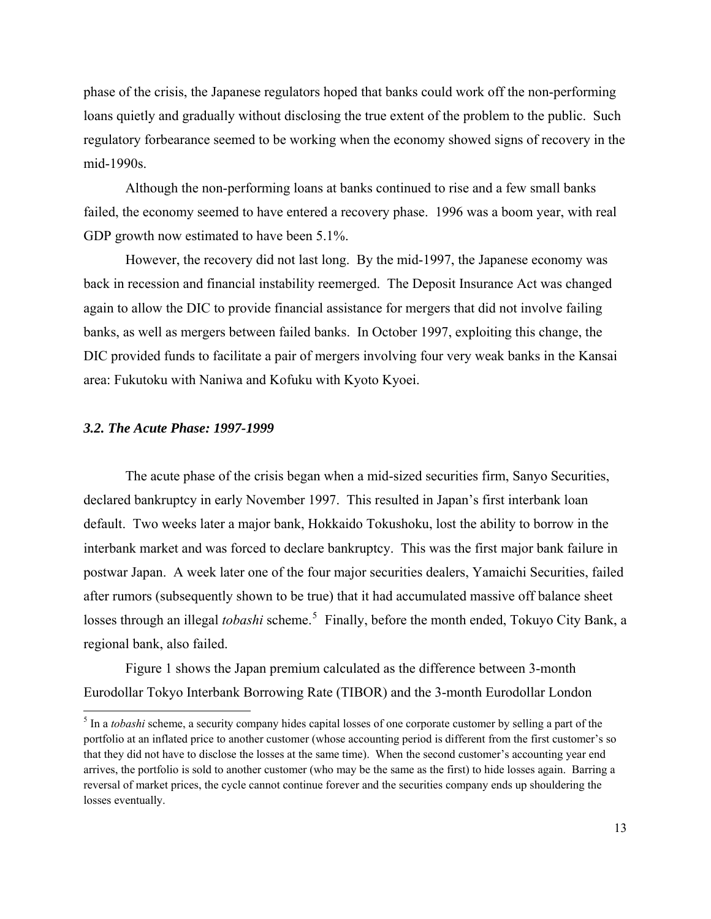<span id="page-12-0"></span>phase of the crisis, the Japanese regulators hoped that banks could work off the non-performing loans quietly and gradually without disclosing the true extent of the problem to the public. Such regulatory forbearance seemed to be working when the economy showed signs of recovery in the mid-1990s.

 Although the non-performing loans at banks continued to rise and a few small banks failed, the economy seemed to have entered a recovery phase. 1996 was a boom year, with real GDP growth now estimated to have been 5.1%.

 However, the recovery did not last long. By the mid-1997, the Japanese economy was back in recession and financial instability reemerged. The Deposit Insurance Act was changed again to allow the DIC to provide financial assistance for mergers that did not involve failing banks, as well as mergers between failed banks. In October 1997, exploiting this change, the DIC provided funds to facilitate a pair of mergers involving four very weak banks in the Kansai area: Fukutoku with Naniwa and Kofuku with Kyoto Kyoei.

### *3.2. The Acute Phase: 1997-1999*

 $\overline{a}$ 

The acute phase of the crisis began when a mid-sized securities firm, Sanyo Securities, declared bankruptcy in early November 1997. This resulted in Japan's first interbank loan default. Two weeks later a major bank, Hokkaido Tokushoku, lost the ability to borrow in the interbank market and was forced to declare bankruptcy. This was the first major bank failure in postwar Japan. A week later one of the four major securities dealers, Yamaichi Securities, failed after rumors (subsequently shown to be true) that it had accumulated massive off balance sheet losses through an illegal *tobashi* scheme.<sup>[5](#page-12-0)</sup> Finally, before the month ended, Tokuyo City Bank, a regional bank, also failed.

 Figure 1 shows the Japan premium calculated as the difference between 3-month Eurodollar Tokyo Interbank Borrowing Rate (TIBOR) and the 3-month Eurodollar London

<sup>&</sup>lt;sup>5</sup> In a *tobashi* scheme, a security company hides capital losses of one corporate customer by selling a part of the portfolio at an inflated price to another customer (whose accounting period is different from the first customer's so that they did not have to disclose the losses at the same time). When the second customer's accounting year end arrives, the portfolio is sold to another customer (who may be the same as the first) to hide losses again. Barring a reversal of market prices, the cycle cannot continue forever and the securities company ends up shouldering the losses eventually.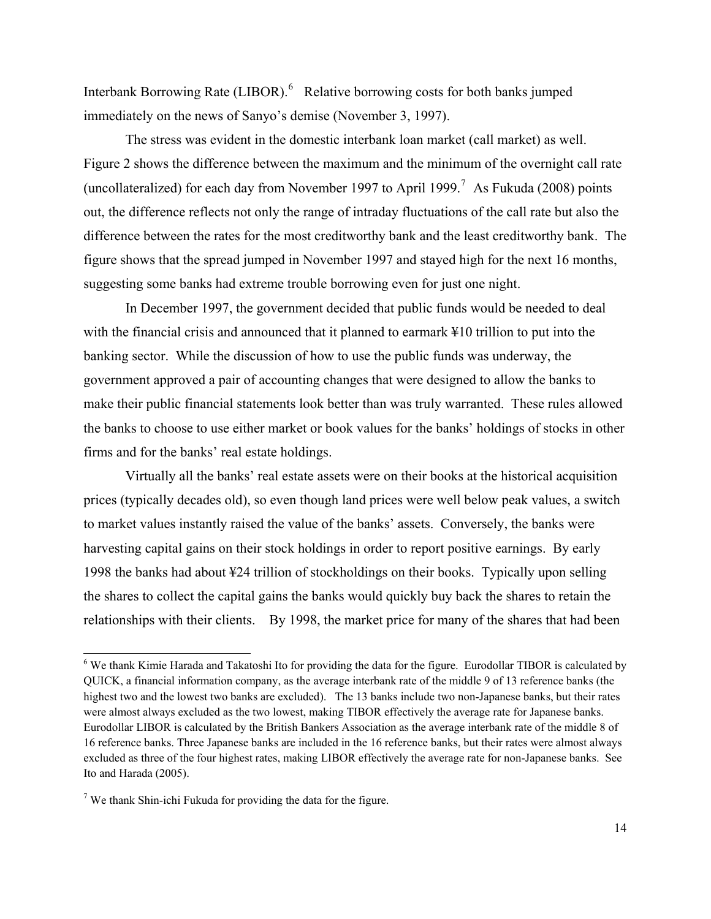<span id="page-13-0"></span>Interbank Borrowing Rate (LIBOR).<sup>[6](#page-13-0)</sup> Relative borrowing costs for both banks jumped immediately on the news of Sanyo's demise (November 3, 1997).

 The stress was evident in the domestic interbank loan market (call market) as well. Figure 2 shows the difference between the maximum and the minimum of the overnight call rate (uncollateralized) for each day from November 199[7](#page-13-0) to April 1999.<sup>7</sup> As Fukuda (2008) points out, the difference reflects not only the range of intraday fluctuations of the call rate but also the difference between the rates for the most creditworthy bank and the least creditworthy bank. The figure shows that the spread jumped in November 1997 and stayed high for the next 16 months, suggesting some banks had extreme trouble borrowing even for just one night.

 In December 1997, the government decided that public funds would be needed to deal with the financial crisis and announced that it planned to earmark  $\frac{1}{2}10$  trillion to put into the banking sector. While the discussion of how to use the public funds was underway, the government approved a pair of accounting changes that were designed to allow the banks to make their public financial statements look better than was truly warranted. These rules allowed the banks to choose to use either market or book values for the banks' holdings of stocks in other firms and for the banks' real estate holdings.

Virtually all the banks' real estate assets were on their books at the historical acquisition prices (typically decades old), so even though land prices were well below peak values, a switch to market values instantly raised the value of the banks' assets. Conversely, the banks were harvesting capital gains on their stock holdings in order to report positive earnings. By early 1998 the banks had about ¥24 trillion of stockholdings on their books. Typically upon selling the shares to collect the capital gains the banks would quickly buy back the shares to retain the relationships with their clients. By 1998, the market price for many of the shares that had been

 $\overline{a}$ 

<sup>&</sup>lt;sup>6</sup> We thank Kimie Harada and Takatoshi Ito for providing the data for the figure. Eurodollar TIBOR is calculated by QUICK, a financial information company, as the average interbank rate of the middle 9 of 13 reference banks (the highest two and the lowest two banks are excluded). The 13 banks include two non-Japanese banks, but their rates were almost always excluded as the two lowest, making TIBOR effectively the average rate for Japanese banks. Eurodollar LIBOR is calculated by the British Bankers Association as the average interbank rate of the middle 8 of 16 reference banks. Three Japanese banks are included in the 16 reference banks, but their rates were almost always excluded as three of the four highest rates, making LIBOR effectively the average rate for non-Japanese banks. See Ito and Harada (2005).

 $7$  We thank Shin-ichi Fukuda for providing the data for the figure.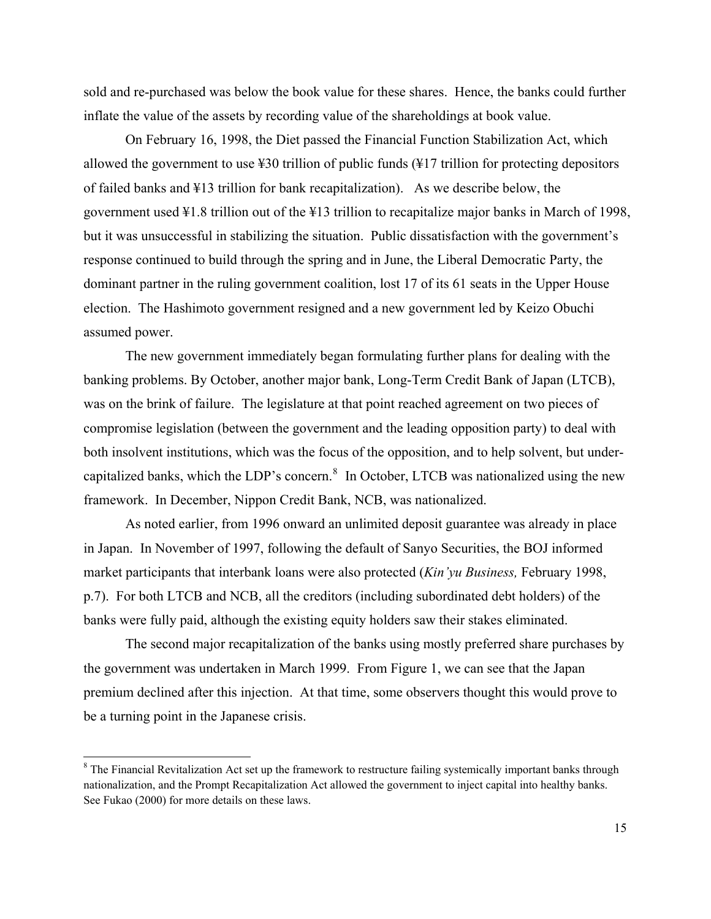<span id="page-14-0"></span>sold and re-purchased was below the book value for these shares. Hence, the banks could further inflate the value of the assets by recording value of the shareholdings at book value.

 On February 16, 1998, the Diet passed the Financial Function Stabilization Act, which allowed the government to use ¥30 trillion of public funds (¥17 trillion for protecting depositors of failed banks and ¥13 trillion for bank recapitalization). As we describe below, the government used ¥1.8 trillion out of the ¥13 trillion to recapitalize major banks in March of 1998, but it was unsuccessful in stabilizing the situation. Public dissatisfaction with the government's response continued to build through the spring and in June, the Liberal Democratic Party, the dominant partner in the ruling government coalition, lost 17 of its 61 seats in the Upper House election. The Hashimoto government resigned and a new government led by Keizo Obuchi assumed power.

 The new government immediately began formulating further plans for dealing with the banking problems. By October, another major bank, Long-Term Credit Bank of Japan (LTCB), was on the brink of failure. The legislature at that point reached agreement on two pieces of compromise legislation (between the government and the leading opposition party) to deal with both insolvent institutions, which was the focus of the opposition, and to help solvent, but under-capitalized banks, which the LDP's concern.<sup>[8](#page-14-0)</sup> In October, LTCB was nationalized using the new framework. In December, Nippon Credit Bank, NCB, was nationalized.

As noted earlier, from 1996 onward an unlimited deposit guarantee was already in place in Japan. In November of 1997, following the default of Sanyo Securities, the BOJ informed market participants that interbank loans were also protected (*Kin'yu Business,* February 1998, p.7). For both LTCB and NCB, all the creditors (including subordinated debt holders) of the banks were fully paid, although the existing equity holders saw their stakes eliminated.

 The second major recapitalization of the banks using mostly preferred share purchases by the government was undertaken in March 1999. From Figure 1, we can see that the Japan premium declined after this injection. At that time, some observers thought this would prove to be a turning point in the Japanese crisis.

 $\overline{a}$ 

 $8$  The Financial Revitalization Act set up the framework to restructure failing systemically important banks through nationalization, and the Prompt Recapitalization Act allowed the government to inject capital into healthy banks. See Fukao (2000) for more details on these laws.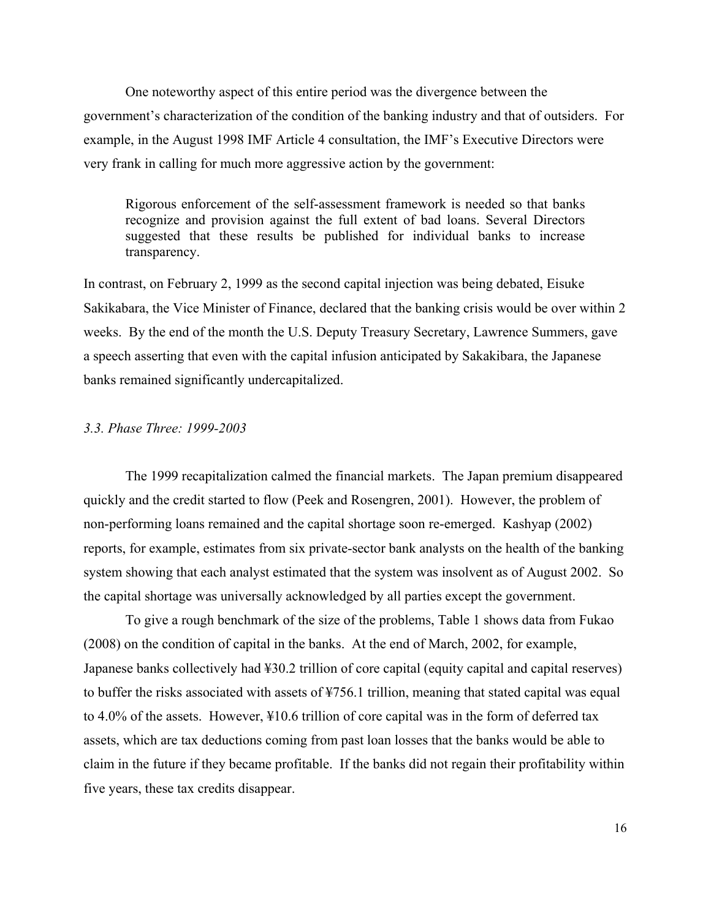One noteworthy aspect of this entire period was the divergence between the government's characterization of the condition of the banking industry and that of outsiders. For example, in the August 1998 IMF Article 4 consultation, the IMF's Executive Directors were very frank in calling for much more aggressive action by the government:

Rigorous enforcement of the self-assessment framework is needed so that banks recognize and provision against the full extent of bad loans. Several Directors suggested that these results be published for individual banks to increase transparency.

In contrast, on February 2, 1999 as the second capital injection was being debated, Eisuke Sakikabara, the Vice Minister of Finance, declared that the banking crisis would be over within 2 weeks. By the end of the month the U.S. Deputy Treasury Secretary, Lawrence Summers, gave a speech asserting that even with the capital infusion anticipated by Sakakibara, the Japanese banks remained significantly undercapitalized.

## *3.3. Phase Three: 1999-2003*

The 1999 recapitalization calmed the financial markets. The Japan premium disappeared quickly and the credit started to flow (Peek and Rosengren, 2001). However, the problem of non-performing loans remained and the capital shortage soon re-emerged. Kashyap (2002) reports, for example, estimates from six private-sector bank analysts on the health of the banking system showing that each analyst estimated that the system was insolvent as of August 2002. So the capital shortage was universally acknowledged by all parties except the government.

To give a rough benchmark of the size of the problems, Table 1 shows data from Fukao (2008) on the condition of capital in the banks. At the end of March, 2002, for example, Japanese banks collectively had ¥30.2 trillion of core capital (equity capital and capital reserves) to buffer the risks associated with assets of ¥756.1 trillion, meaning that stated capital was equal to 4.0% of the assets. However, ¥10.6 trillion of core capital was in the form of deferred tax assets, which are tax deductions coming from past loan losses that the banks would be able to claim in the future if they became profitable. If the banks did not regain their profitability within five years, these tax credits disappear.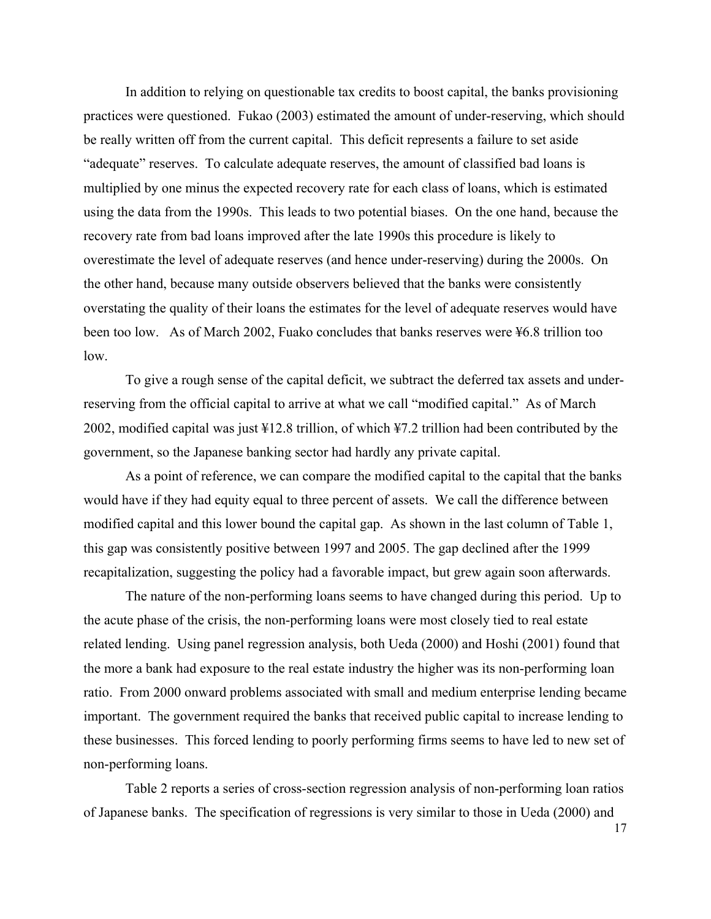In addition to relying on questionable tax credits to boost capital, the banks provisioning practices were questioned. Fukao (2003) estimated the amount of under-reserving, which should be really written off from the current capital. This deficit represents a failure to set aside "adequate" reserves. To calculate adequate reserves, the amount of classified bad loans is multiplied by one minus the expected recovery rate for each class of loans, which is estimated using the data from the 1990s. This leads to two potential biases. On the one hand, because the recovery rate from bad loans improved after the late 1990s this procedure is likely to overestimate the level of adequate reserves (and hence under-reserving) during the 2000s. On the other hand, because many outside observers believed that the banks were consistently overstating the quality of their loans the estimates for the level of adequate reserves would have been too low. As of March 2002, Fuako concludes that banks reserves were ¥6.8 trillion too low.

To give a rough sense of the capital deficit, we subtract the deferred tax assets and underreserving from the official capital to arrive at what we call "modified capital." As of March 2002, modified capital was just ¥12.8 trillion, of which ¥7.2 trillion had been contributed by the government, so the Japanese banking sector had hardly any private capital.

As a point of reference, we can compare the modified capital to the capital that the banks would have if they had equity equal to three percent of assets. We call the difference between modified capital and this lower bound the capital gap. As shown in the last column of Table 1, this gap was consistently positive between 1997 and 2005. The gap declined after the 1999 recapitalization, suggesting the policy had a favorable impact, but grew again soon afterwards.

The nature of the non-performing loans seems to have changed during this period. Up to the acute phase of the crisis, the non-performing loans were most closely tied to real estate related lending. Using panel regression analysis, both Ueda (2000) and Hoshi (2001) found that the more a bank had exposure to the real estate industry the higher was its non-performing loan ratio. From 2000 onward problems associated with small and medium enterprise lending became important. The government required the banks that received public capital to increase lending to these businesses. This forced lending to poorly performing firms seems to have led to new set of non-performing loans.

Table 2 reports a series of cross-section regression analysis of non-performing loan ratios of Japanese banks. The specification of regressions is very similar to those in Ueda (2000) and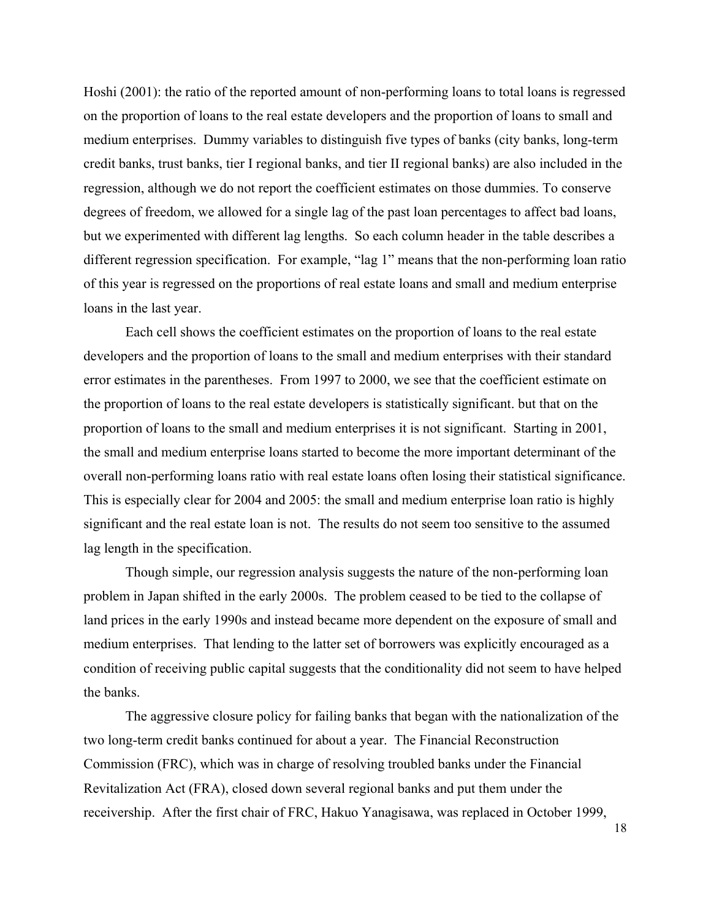Hoshi (2001): the ratio of the reported amount of non-performing loans to total loans is regressed on the proportion of loans to the real estate developers and the proportion of loans to small and medium enterprises. Dummy variables to distinguish five types of banks (city banks, long-term credit banks, trust banks, tier I regional banks, and tier II regional banks) are also included in the regression, although we do not report the coefficient estimates on those dummies. To conserve degrees of freedom, we allowed for a single lag of the past loan percentages to affect bad loans, but we experimented with different lag lengths. So each column header in the table describes a different regression specification. For example, "lag 1" means that the non-performing loan ratio of this year is regressed on the proportions of real estate loans and small and medium enterprise loans in the last year.

Each cell shows the coefficient estimates on the proportion of loans to the real estate developers and the proportion of loans to the small and medium enterprises with their standard error estimates in the parentheses. From 1997 to 2000, we see that the coefficient estimate on the proportion of loans to the real estate developers is statistically significant. but that on the proportion of loans to the small and medium enterprises it is not significant. Starting in 2001, the small and medium enterprise loans started to become the more important determinant of the overall non-performing loans ratio with real estate loans often losing their statistical significance. This is especially clear for 2004 and 2005: the small and medium enterprise loan ratio is highly significant and the real estate loan is not. The results do not seem too sensitive to the assumed lag length in the specification.

Though simple, our regression analysis suggests the nature of the non-performing loan problem in Japan shifted in the early 2000s. The problem ceased to be tied to the collapse of land prices in the early 1990s and instead became more dependent on the exposure of small and medium enterprises. That lending to the latter set of borrowers was explicitly encouraged as a condition of receiving public capital suggests that the conditionality did not seem to have helped the banks.

The aggressive closure policy for failing banks that began with the nationalization of the two long-term credit banks continued for about a year. The Financial Reconstruction Commission (FRC), which was in charge of resolving troubled banks under the Financial Revitalization Act (FRA), closed down several regional banks and put them under the receivership. After the first chair of FRC, Hakuo Yanagisawa, was replaced in October 1999,

18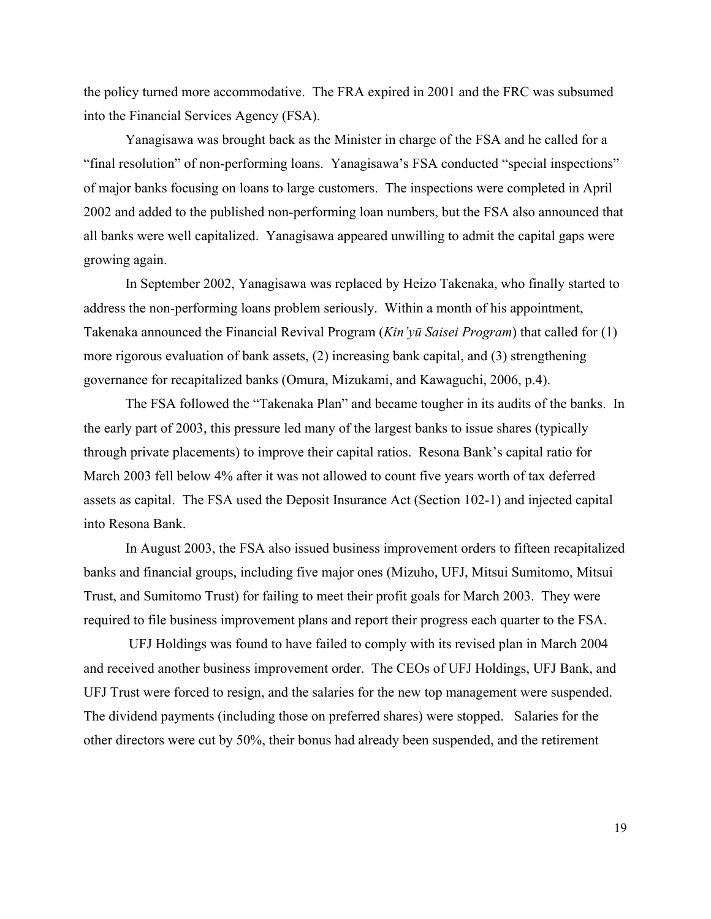the policy turned more accommodative. The FRA expired in 2001 and the FRC was subsumed into the Financial Services Agency (FSA).

Yanagisawa was brought back as the Minister in charge of the FSA and he called for a "final resolution" of non-performing loans. Yanagisawa's FSA conducted "special inspections" of major banks focusing on loans to large customers. The inspections were completed in April 2002 and added to the published non-performing loan numbers, but the FSA also announced that all banks were well capitalized. Yanagisawa appeared unwilling to admit the capital gaps were growing again.

In September 2002, Yanagisawa was replaced by Heizo Takenaka, who finally started to address the non-performing loans problem seriously. Within a month of his appointment, Takenaka announced the Financial Revival Program (*Kin'yū Saisei Program*) that called for (1) more rigorous evaluation of bank assets, (2) increasing bank capital, and (3) strengthening governance for recapitalized banks (Omura, Mizukami, and Kawaguchi, 2006, p.4).

The FSA followed the "Takenaka Plan" and became tougher in its audits of the banks. In the early part of 2003, this pressure led many of the largest banks to issue shares (typically through private placements) to improve their capital ratios. Resona Bank's capital ratio for March 2003 fell below 4% after it was not allowed to count five years worth of tax deferred assets as capital. The FSA used the Deposit Insurance Act (Section 102-1) and injected capital into Resona Bank.

In August 2003, the FSA also issued business improvement orders to fifteen recapitalized banks and financial groups, including five major ones (Mizuho, UFJ, Mitsui Sumitomo, Mitsui Trust, and Sumitomo Trust) for failing to meet their profit goals for March 2003. They were required to file business improvement plans and report their progress each quarter to the FSA.

 UFJ Holdings was found to have failed to comply with its revised plan in March 2004 and received another business improvement order. The CEOs of UFJ Holdings, UFJ Bank, and UFJ Trust were forced to resign, and the salaries for the new top management were suspended. The dividend payments (including those on preferred shares) were stopped. Salaries for the other directors were cut by 50%, their bonus had already been suspended, and the retirement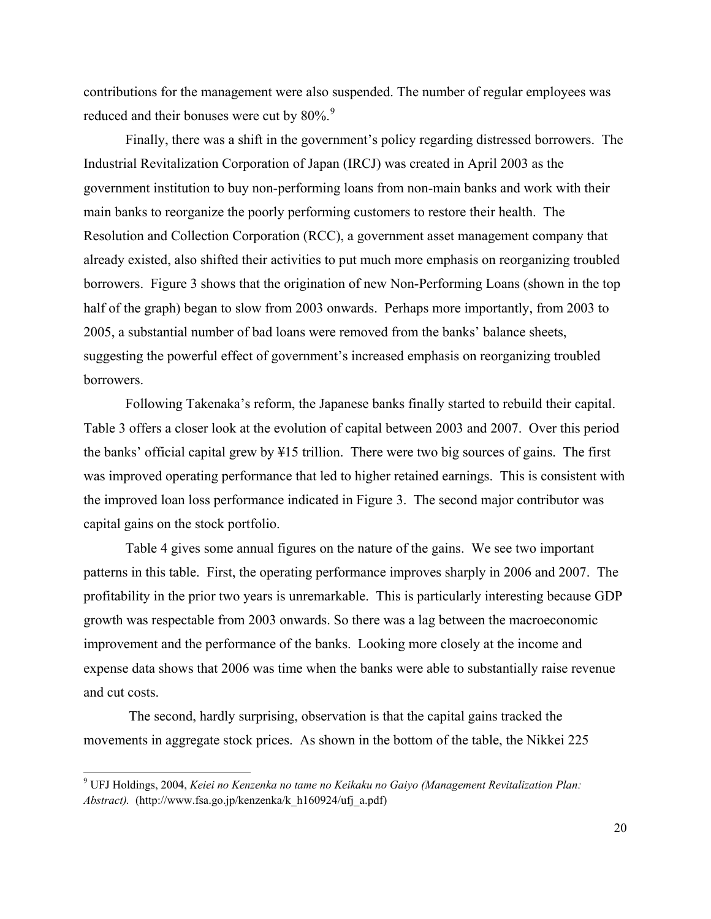<span id="page-19-0"></span>contributions for the management were also suspended. The number of regular employees was reduced and their bonuses were cut by  $80\%$ .<sup>[9](#page-19-0)</sup>

Finally, there was a shift in the government's policy regarding distressed borrowers. The Industrial Revitalization Corporation of Japan (IRCJ) was created in April 2003 as the government institution to buy non-performing loans from non-main banks and work with their main banks to reorganize the poorly performing customers to restore their health. The Resolution and Collection Corporation (RCC), a government asset management company that already existed, also shifted their activities to put much more emphasis on reorganizing troubled borrowers. Figure 3 shows that the origination of new Non-Performing Loans (shown in the top half of the graph) began to slow from 2003 onwards. Perhaps more importantly, from 2003 to 2005, a substantial number of bad loans were removed from the banks' balance sheets, suggesting the powerful effect of government's increased emphasis on reorganizing troubled borrowers.

Following Takenaka's reform, the Japanese banks finally started to rebuild their capital. Table 3 offers a closer look at the evolution of capital between 2003 and 2007. Over this period the banks' official capital grew by ¥15 trillion. There were two big sources of gains. The first was improved operating performance that led to higher retained earnings. This is consistent with the improved loan loss performance indicated in Figure 3. The second major contributor was capital gains on the stock portfolio.

Table 4 gives some annual figures on the nature of the gains. We see two important patterns in this table. First, the operating performance improves sharply in 2006 and 2007. The profitability in the prior two years is unremarkable. This is particularly interesting because GDP growth was respectable from 2003 onwards. So there was a lag between the macroeconomic improvement and the performance of the banks. Looking more closely at the income and expense data shows that 2006 was time when the banks were able to substantially raise revenue and cut costs.

 The second, hardly surprising, observation is that the capital gains tracked the movements in aggregate stock prices. As shown in the bottom of the table, the Nikkei 225

l

<sup>9</sup> UFJ Holdings, 2004, *Keiei no Kenzenka no tame no Keikaku no Gaiyo (Management Revitalization Plan: Abstract).* (http://www.fsa.go.jp/kenzenka/k\_h160924/ufj\_a.pdf)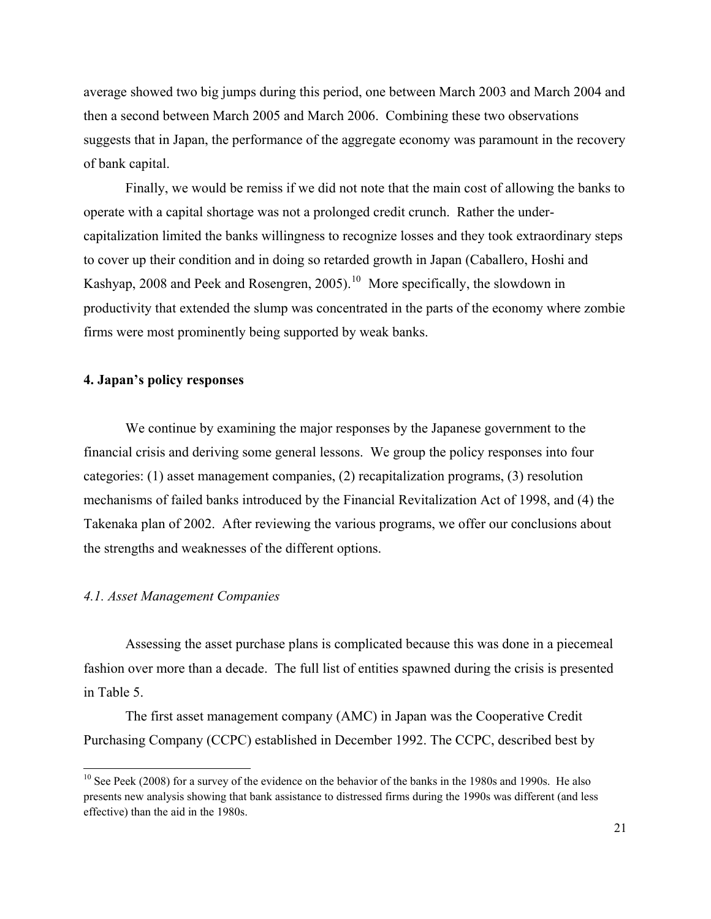<span id="page-20-0"></span>average showed two big jumps during this period, one between March 2003 and March 2004 and then a second between March 2005 and March 2006. Combining these two observations suggests that in Japan, the performance of the aggregate economy was paramount in the recovery of bank capital.

Finally, we would be remiss if we did not note that the main cost of allowing the banks to operate with a capital shortage was not a prolonged credit crunch. Rather the undercapitalization limited the banks willingness to recognize losses and they took extraordinary steps to cover up their condition and in doing so retarded growth in Japan (Caballero, Hoshi and Kashyap, 2008 and Peek and Rosengren, 2005).<sup>[10](#page-20-0)</sup> More specifically, the slowdown in productivity that extended the slump was concentrated in the parts of the economy where zombie firms were most prominently being supported by weak banks.

### **4. Japan's policy responses**

We continue by examining the major responses by the Japanese government to the financial crisis and deriving some general lessons. We group the policy responses into four categories: (1) asset management companies, (2) recapitalization programs, (3) resolution mechanisms of failed banks introduced by the Financial Revitalization Act of 1998, and (4) the Takenaka plan of 2002. After reviewing the various programs, we offer our conclusions about the strengths and weaknesses of the different options.

### *4.1. Asset Management Companies*

 $\overline{\phantom{a}}$ 

Assessing the asset purchase plans is complicated because this was done in a piecemeal fashion over more than a decade. The full list of entities spawned during the crisis is presented in Table 5.

 The first asset management company (AMC) in Japan was the Cooperative Credit Purchasing Company (CCPC) established in December 1992. The CCPC, described best by

<sup>&</sup>lt;sup>10</sup> See Peek (2008) for a survey of the evidence on the behavior of the banks in the 1980s and 1990s. He also presents new analysis showing that bank assistance to distressed firms during the 1990s was different (and less effective) than the aid in the 1980s.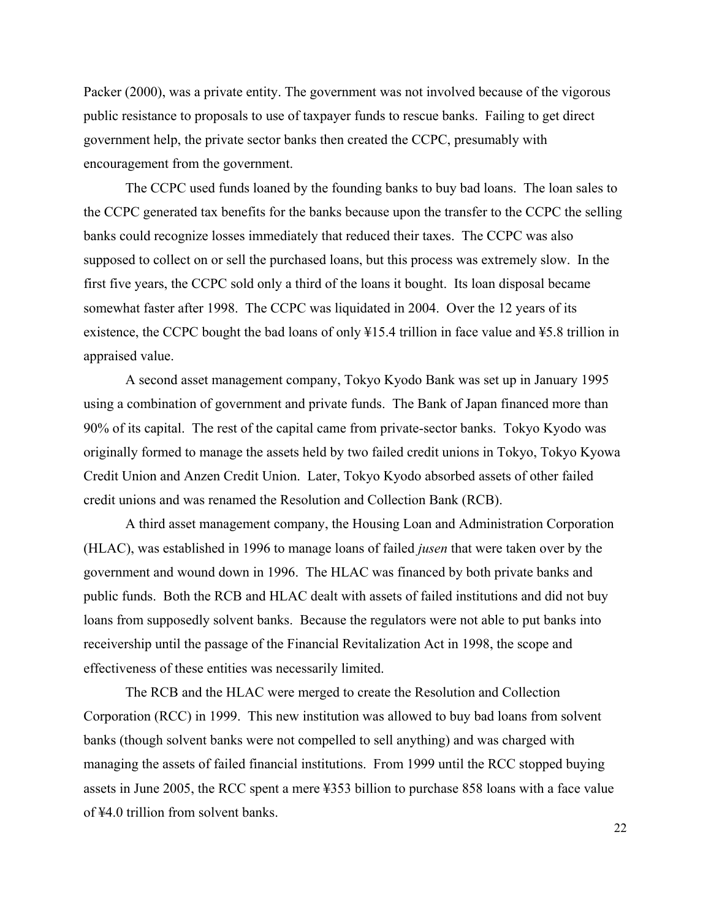Packer (2000), was a private entity. The government was not involved because of the vigorous public resistance to proposals to use of taxpayer funds to rescue banks. Failing to get direct government help, the private sector banks then created the CCPC, presumably with encouragement from the government.

The CCPC used funds loaned by the founding banks to buy bad loans. The loan sales to the CCPC generated tax benefits for the banks because upon the transfer to the CCPC the selling banks could recognize losses immediately that reduced their taxes. The CCPC was also supposed to collect on or sell the purchased loans, but this process was extremely slow. In the first five years, the CCPC sold only a third of the loans it bought. Its loan disposal became somewhat faster after 1998. The CCPC was liquidated in 2004. Over the 12 years of its existence, the CCPC bought the bad loans of only ¥15.4 trillion in face value and ¥5.8 trillion in appraised value.

A second asset management company, Tokyo Kyodo Bank was set up in January 1995 using a combination of government and private funds. The Bank of Japan financed more than 90% of its capital. The rest of the capital came from private-sector banks. Tokyo Kyodo was originally formed to manage the assets held by two failed credit unions in Tokyo, Tokyo Kyowa Credit Union and Anzen Credit Union. Later, Tokyo Kyodo absorbed assets of other failed credit unions and was renamed the Resolution and Collection Bank (RCB).

A third asset management company, the Housing Loan and Administration Corporation (HLAC), was established in 1996 to manage loans of failed *jusen* that were taken over by the government and wound down in 1996. The HLAC was financed by both private banks and public funds. Both the RCB and HLAC dealt with assets of failed institutions and did not buy loans from supposedly solvent banks. Because the regulators were not able to put banks into receivership until the passage of the Financial Revitalization Act in 1998, the scope and effectiveness of these entities was necessarily limited.

The RCB and the HLAC were merged to create the Resolution and Collection Corporation (RCC) in 1999. This new institution was allowed to buy bad loans from solvent banks (though solvent banks were not compelled to sell anything) and was charged with managing the assets of failed financial institutions. From 1999 until the RCC stopped buying assets in June 2005, the RCC spent a mere ¥353 billion to purchase 858 loans with a face value of ¥4.0 trillion from solvent banks.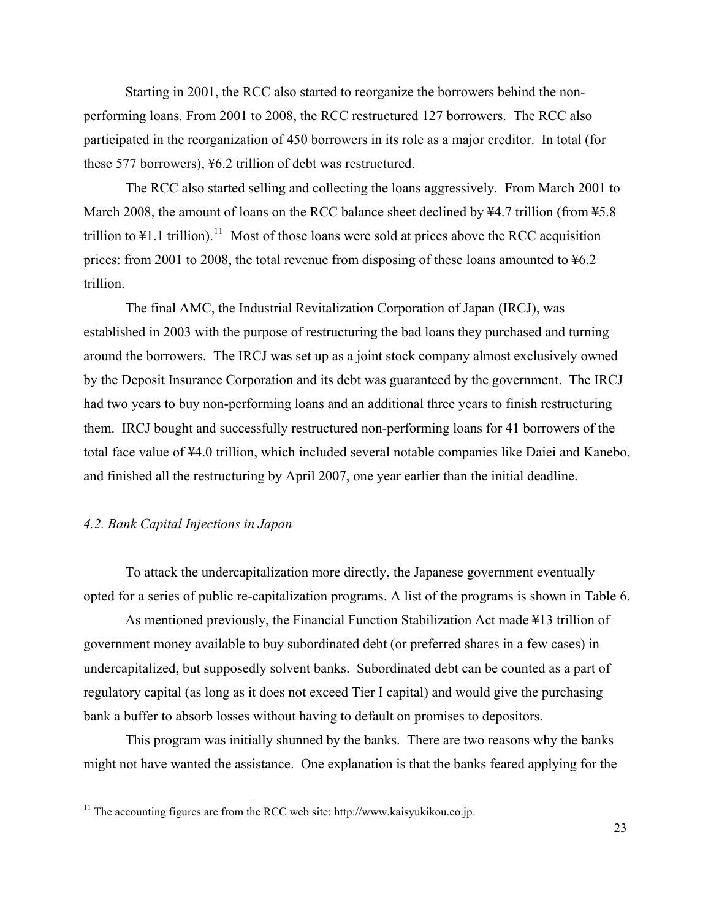<span id="page-22-0"></span>Starting in 2001, the RCC also started to reorganize the borrowers behind the nonperforming loans. From 2001 to 2008, the RCC restructured 127 borrowers. The RCC also participated in the reorganization of 450 borrowers in its role as a major creditor. In total (for these 577 borrowers), ¥6.2 trillion of debt was restructured.

The RCC also started selling and collecting the loans aggressively. From March 2001 to March 2008, the amount of loans on the RCC balance sheet declined by ¥4.7 trillion (from ¥5.8) trillion to  $\frac{1}{4}$ . 1 trillion).<sup>[11](#page-22-0)</sup> Most of those loans were sold at prices above the RCC acquisition prices: from 2001 to 2008, the total revenue from disposing of these loans amounted to ¥6.2 trillion.

The final AMC, the Industrial Revitalization Corporation of Japan (IRCJ), was established in 2003 with the purpose of restructuring the bad loans they purchased and turning around the borrowers. The IRCJ was set up as a joint stock company almost exclusively owned by the Deposit Insurance Corporation and its debt was guaranteed by the government. The IRCJ had two years to buy non-performing loans and an additional three years to finish restructuring them. IRCJ bought and successfully restructured non-performing loans for 41 borrowers of the total face value of ¥4.0 trillion, which included several notable companies like Daiei and Kanebo, and finished all the restructuring by April 2007, one year earlier than the initial deadline.

## *4.2. Bank Capital Injections in Japan*

 $\overline{a}$ 

To attack the undercapitalization more directly, the Japanese government eventually opted for a series of public re-capitalization programs. A list of the programs is shown in Table 6.

As mentioned previously, the Financial Function Stabilization Act made ¥13 trillion of government money available to buy subordinated debt (or preferred shares in a few cases) in undercapitalized, but supposedly solvent banks. Subordinated debt can be counted as a part of regulatory capital (as long as it does not exceed Tier I capital) and would give the purchasing bank a buffer to absorb losses without having to default on promises to depositors.

This program was initially shunned by the banks. There are two reasons why the banks might not have wanted the assistance. One explanation is that the banks feared applying for the

 $11$  The accounting figures are from the RCC web site: http://www.kaisyukikou.co.jp.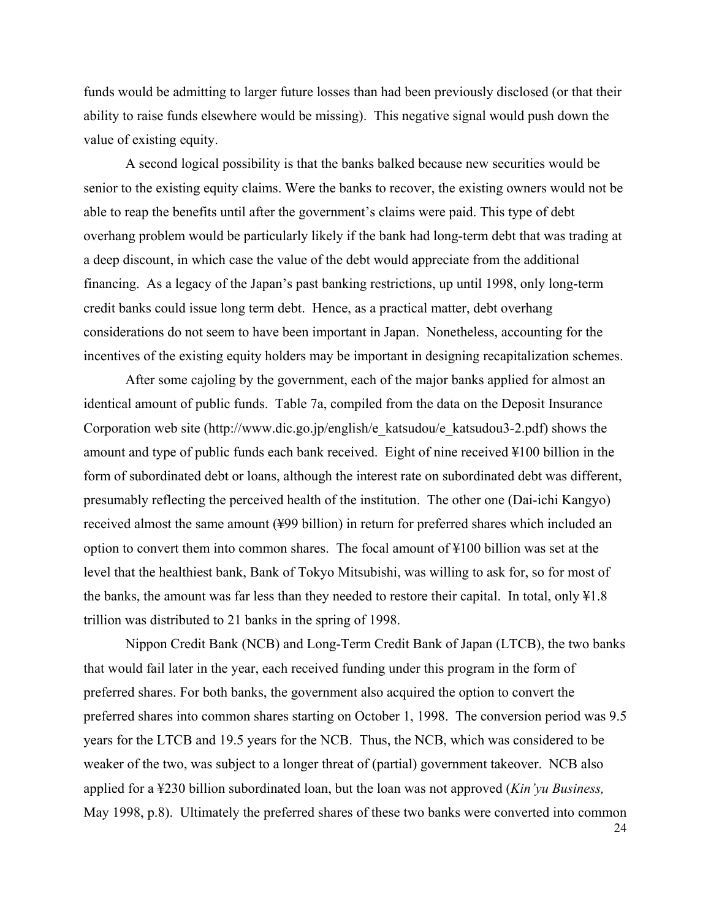funds would be admitting to larger future losses than had been previously disclosed (or that their ability to raise funds elsewhere would be missing). This negative signal would push down the value of existing equity.

A second logical possibility is that the banks balked because new securities would be senior to the existing equity claims. Were the banks to recover, the existing owners would not be able to reap the benefits until after the government's claims were paid. This type of debt overhang problem would be particularly likely if the bank had long-term debt that was trading at a deep discount, in which case the value of the debt would appreciate from the additional financing. As a legacy of the Japan's past banking restrictions, up until 1998, only long-term credit banks could issue long term debt. Hence, as a practical matter, debt overhang considerations do not seem to have been important in Japan. Nonetheless, accounting for the incentives of the existing equity holders may be important in designing recapitalization schemes.

After some cajoling by the government, each of the major banks applied for almost an identical amount of public funds. Table 7a, compiled from the data on the Deposit Insurance Corporation web site (http://www.dic.go.jp/english/e\_katsudou/e\_katsudou3-2.pdf) shows the amount and type of public funds each bank received. Eight of nine received ¥100 billion in the form of subordinated debt or loans, although the interest rate on subordinated debt was different, presumably reflecting the perceived health of the institution. The other one (Dai-ichi Kangyo) received almost the same amount (¥99 billion) in return for preferred shares which included an option to convert them into common shares. The focal amount of ¥100 billion was set at the level that the healthiest bank, Bank of Tokyo Mitsubishi, was willing to ask for, so for most of the banks, the amount was far less than they needed to restore their capital. In total, only ¥1.8 trillion was distributed to 21 banks in the spring of 1998.

Nippon Credit Bank (NCB) and Long-Term Credit Bank of Japan (LTCB), the two banks that would fail later in the year, each received funding under this program in the form of preferred shares. For both banks, the government also acquired the option to convert the preferred shares into common shares starting on October 1, 1998. The conversion period was 9.5 years for the LTCB and 19.5 years for the NCB. Thus, the NCB, which was considered to be weaker of the two, was subject to a longer threat of (partial) government takeover. NCB also applied for a ¥230 billion subordinated loan, but the loan was not approved (*Kin'yu Business,*  May 1998, p.8). Ultimately the preferred shares of these two banks were converted into common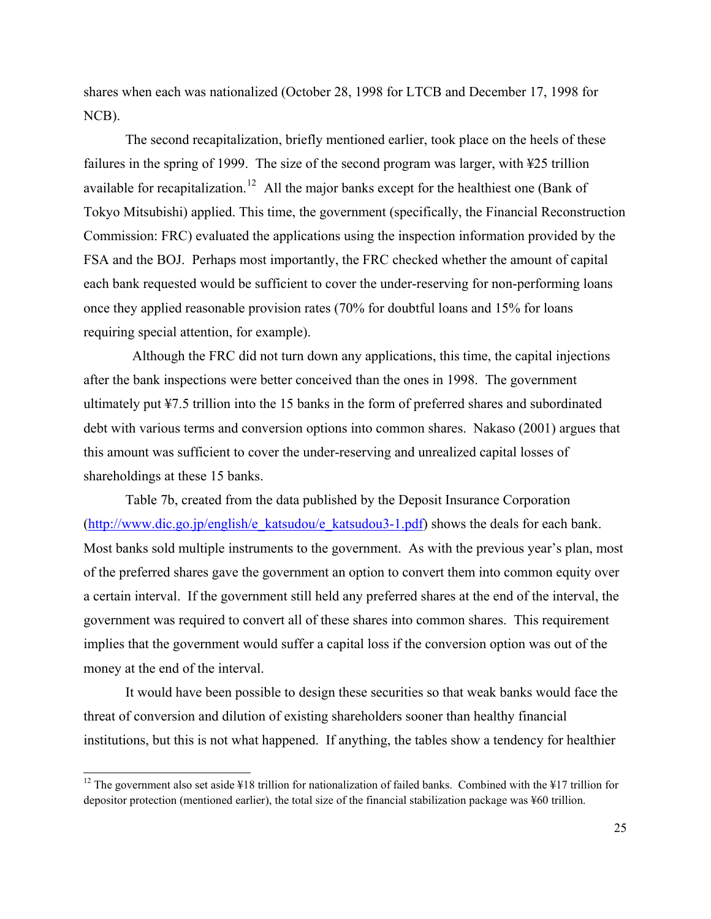<span id="page-24-0"></span>shares when each was nationalized (October 28, 1998 for LTCB and December 17, 1998 for NCB).

The second recapitalization, briefly mentioned earlier, took place on the heels of these failures in the spring of 1999. The size of the second program was larger, with ¥25 trillion available for recapitalization.<sup>[12](#page-24-0)</sup> All the major banks except for the healthiest one (Bank of Tokyo Mitsubishi) applied. This time, the government (specifically, the Financial Reconstruction Commission: FRC) evaluated the applications using the inspection information provided by the FSA and the BOJ. Perhaps most importantly, the FRC checked whether the amount of capital each bank requested would be sufficient to cover the under-reserving for non-performing loans once they applied reasonable provision rates (70% for doubtful loans and 15% for loans requiring special attention, for example).

 Although the FRC did not turn down any applications, this time, the capital injections after the bank inspections were better conceived than the ones in 1998. The government ultimately put ¥7.5 trillion into the 15 banks in the form of preferred shares and subordinated debt with various terms and conversion options into common shares. Nakaso (2001) argues that this amount was sufficient to cover the under-reserving and unrealized capital losses of shareholdings at these 15 banks.

Table 7b, created from the data published by the Deposit Insurance Corporation ([http://www.dic.go.jp/english/e\\_katsudou/e\\_katsudou3-1.pdf\)](http://www.dic.go.jp/english/e_katsudou/e_katsudou3-1.pdf) shows the deals for each bank. Most banks sold multiple instruments to the government. As with the previous year's plan, most of the preferred shares gave the government an option to convert them into common equity over a certain interval. If the government still held any preferred shares at the end of the interval, the government was required to convert all of these shares into common shares. This requirement implies that the government would suffer a capital loss if the conversion option was out of the money at the end of the interval.

It would have been possible to design these securities so that weak banks would face the threat of conversion and dilution of existing shareholders sooner than healthy financial institutions, but this is not what happened. If anything, the tables show a tendency for healthier

l

<sup>&</sup>lt;sup>12</sup> The government also set aside ¥18 trillion for nationalization of failed banks. Combined with the ¥17 trillion for depositor protection (mentioned earlier), the total size of the financial stabilization package was ¥60 trillion.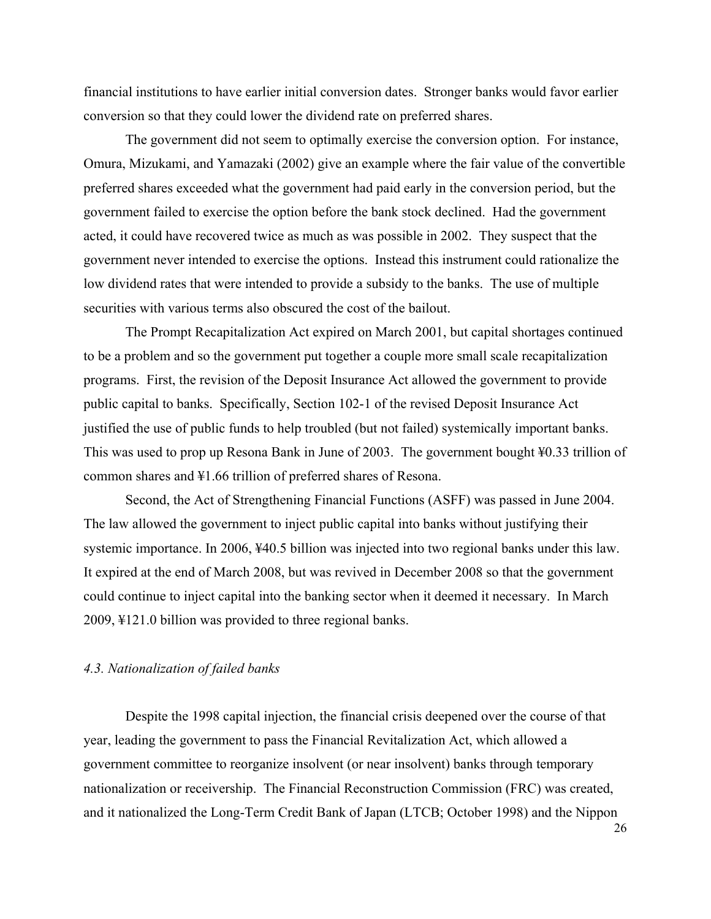financial institutions to have earlier initial conversion dates. Stronger banks would favor earlier conversion so that they could lower the dividend rate on preferred shares.

The government did not seem to optimally exercise the conversion option. For instance, Omura, Mizukami, and Yamazaki (2002) give an example where the fair value of the convertible preferred shares exceeded what the government had paid early in the conversion period, but the government failed to exercise the option before the bank stock declined. Had the government acted, it could have recovered twice as much as was possible in 2002. They suspect that the government never intended to exercise the options. Instead this instrument could rationalize the low dividend rates that were intended to provide a subsidy to the banks. The use of multiple securities with various terms also obscured the cost of the bailout.

The Prompt Recapitalization Act expired on March 2001, but capital shortages continued to be a problem and so the government put together a couple more small scale recapitalization programs. First, the revision of the Deposit Insurance Act allowed the government to provide public capital to banks. Specifically, Section 102-1 of the revised Deposit Insurance Act justified the use of public funds to help troubled (but not failed) systemically important banks. This was used to prop up Resona Bank in June of 2003. The government bought ¥0.33 trillion of common shares and ¥1.66 trillion of preferred shares of Resona.

Second, the Act of Strengthening Financial Functions (ASFF) was passed in June 2004. The law allowed the government to inject public capital into banks without justifying their systemic importance. In 2006, ¥40.5 billion was injected into two regional banks under this law. It expired at the end of March 2008, but was revived in December 2008 so that the government could continue to inject capital into the banking sector when it deemed it necessary. In March 2009, ¥121.0 billion was provided to three regional banks.

#### *4.3. Nationalization of failed banks*

 Despite the 1998 capital injection, the financial crisis deepened over the course of that year, leading the government to pass the Financial Revitalization Act, which allowed a government committee to reorganize insolvent (or near insolvent) banks through temporary nationalization or receivership. The Financial Reconstruction Commission (FRC) was created, and it nationalized the Long-Term Credit Bank of Japan (LTCB; October 1998) and the Nippon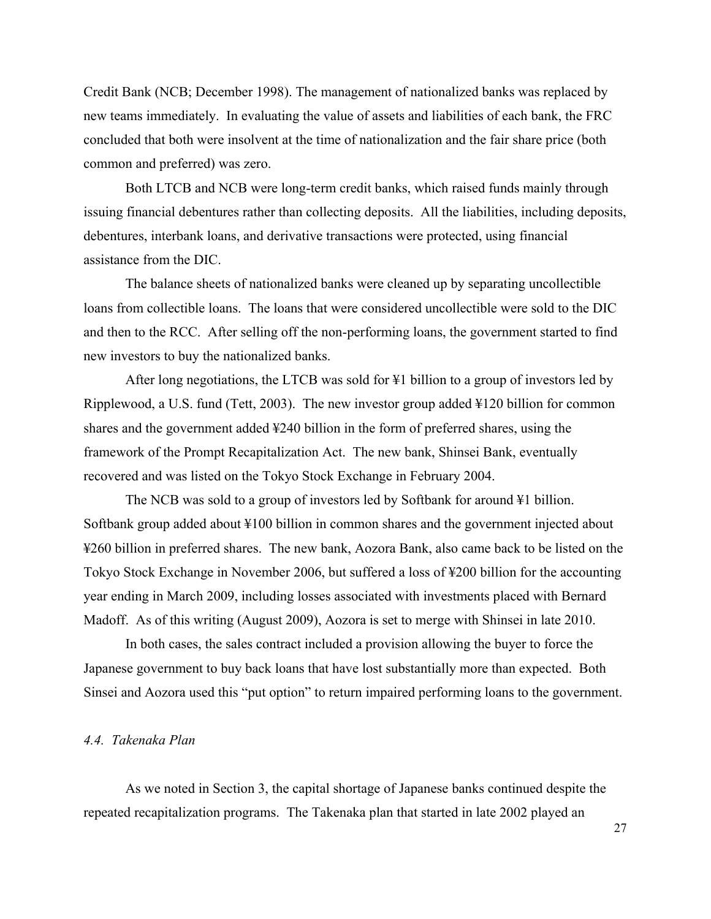Credit Bank (NCB; December 1998). The management of nationalized banks was replaced by new teams immediately. In evaluating the value of assets and liabilities of each bank, the FRC concluded that both were insolvent at the time of nationalization and the fair share price (both common and preferred) was zero.

 Both LTCB and NCB were long-term credit banks, which raised funds mainly through issuing financial debentures rather than collecting deposits. All the liabilities, including deposits, debentures, interbank loans, and derivative transactions were protected, using financial assistance from the DIC.

The balance sheets of nationalized banks were cleaned up by separating uncollectible loans from collectible loans. The loans that were considered uncollectible were sold to the DIC and then to the RCC. After selling off the non-performing loans, the government started to find new investors to buy the nationalized banks.

After long negotiations, the LTCB was sold for ¥1 billion to a group of investors led by Ripplewood, a U.S. fund (Tett, 2003). The new investor group added ¥120 billion for common shares and the government added ¥240 billion in the form of preferred shares, using the framework of the Prompt Recapitalization Act. The new bank, Shinsei Bank, eventually recovered and was listed on the Tokyo Stock Exchange in February 2004.

The NCB was sold to a group of investors led by Softbank for around ¥1 billion. Softbank group added about ¥100 billion in common shares and the government injected about ¥260 billion in preferred shares. The new bank, Aozora Bank, also came back to be listed on the Tokyo Stock Exchange in November 2006, but suffered a loss of ¥200 billion for the accounting year ending in March 2009, including losses associated with investments placed with Bernard Madoff. As of this writing (August 2009), Aozora is set to merge with Shinsei in late 2010.

In both cases, the sales contract included a provision allowing the buyer to force the Japanese government to buy back loans that have lost substantially more than expected. Both Sinsei and Aozora used this "put option" to return impaired performing loans to the government.

# *4.4. Takenaka Plan*

As we noted in Section 3, the capital shortage of Japanese banks continued despite the repeated recapitalization programs. The Takenaka plan that started in late 2002 played an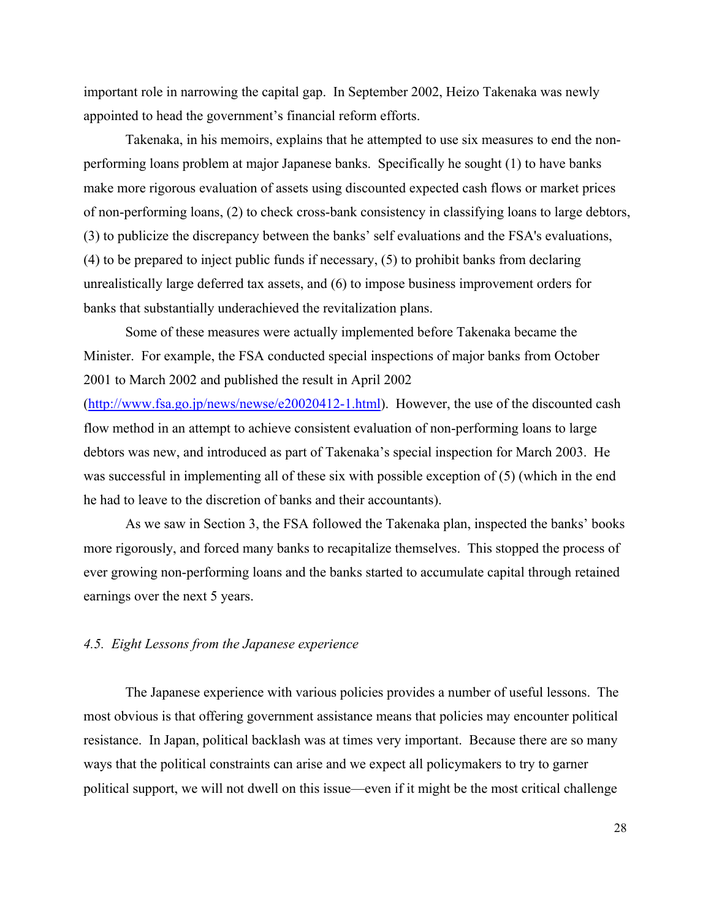important role in narrowing the capital gap. In September 2002, Heizo Takenaka was newly appointed to head the government's financial reform efforts.

Takenaka, in his memoirs, explains that he attempted to use six measures to end the nonperforming loans problem at major Japanese banks. Specifically he sought (1) to have banks make more rigorous evaluation of assets using discounted expected cash flows or market prices of non-performing loans, (2) to check cross-bank consistency in classifying loans to large debtors, (3) to publicize the discrepancy between the banks' self evaluations and the FSA's evaluations, (4) to be prepared to inject public funds if necessary, (5) to prohibit banks from declaring unrealistically large deferred tax assets, and (6) to impose business improvement orders for banks that substantially underachieved the revitalization plans.

Some of these measures were actually implemented before Takenaka became the Minister. For example, the FSA conducted special inspections of major banks from October 2001 to March 2002 and published the result in April 2002

([http://www.fsa.go.jp/news/newse/e20020412-1.html\)](http://www.fsa.go.jp/news/newse/e20020412-1.html). However, the use of the discounted cash flow method in an attempt to achieve consistent evaluation of non-performing loans to large debtors was new, and introduced as part of Takenaka's special inspection for March 2003. He was successful in implementing all of these six with possible exception of (5) (which in the end he had to leave to the discretion of banks and their accountants).

As we saw in Section 3, the FSA followed the Takenaka plan, inspected the banks' books more rigorously, and forced many banks to recapitalize themselves. This stopped the process of ever growing non-performing loans and the banks started to accumulate capital through retained earnings over the next 5 years.

# *4.5. Eight Lessons from the Japanese experience*

 The Japanese experience with various policies provides a number of useful lessons. The most obvious is that offering government assistance means that policies may encounter political resistance. In Japan, political backlash was at times very important. Because there are so many ways that the political constraints can arise and we expect all policymakers to try to garner political support, we will not dwell on this issue—even if it might be the most critical challenge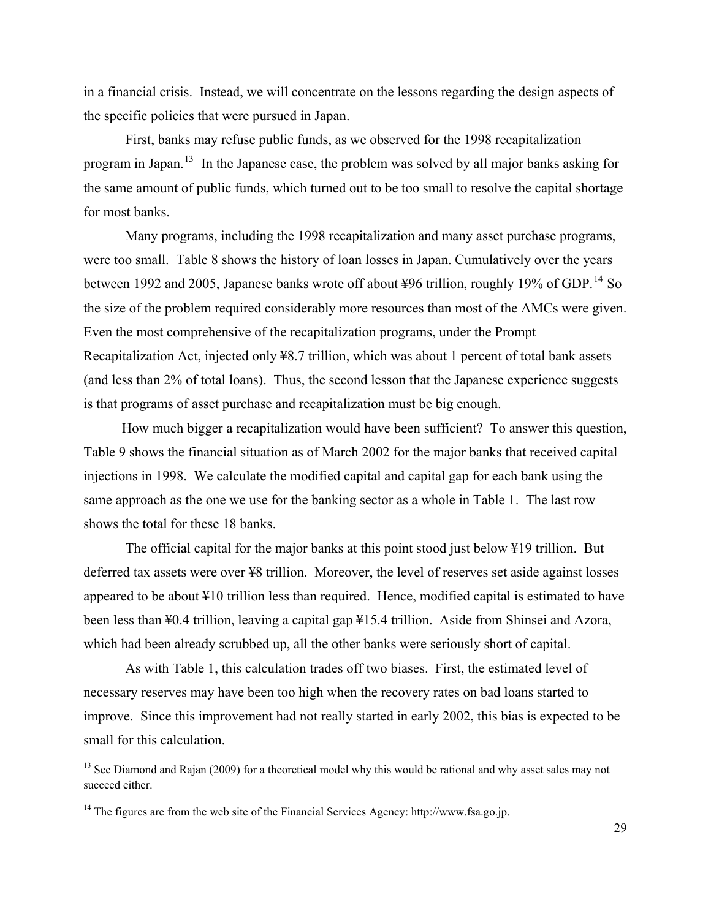<span id="page-28-0"></span>in a financial crisis. Instead, we will concentrate on the lessons regarding the design aspects of the specific policies that were pursued in Japan.

First, banks may refuse public funds, as we observed for the 1998 recapitalization program in Japan.[13](#page-28-0) In the Japanese case, the problem was solved by all major banks asking for the same amount of public funds, which turned out to be too small to resolve the capital shortage for most banks.

 Many programs, including the 1998 recapitalization and many asset purchase programs, were too small. Table 8 shows the history of loan losses in Japan. Cumulatively over the years between 1992 and 2005, Japanese banks wrote off about ¥96 trillion, roughly 19% of GDP.<sup>[14](#page-28-0)</sup> So the size of the problem required considerably more resources than most of the AMCs were given. Even the most comprehensive of the recapitalization programs, under the Prompt Recapitalization Act, injected only ¥8.7 trillion, which was about 1 percent of total bank assets (and less than 2% of total loans). Thus, the second lesson that the Japanese experience suggests is that programs of asset purchase and recapitalization must be big enough.

 How much bigger a recapitalization would have been sufficient? To answer this question, Table 9 shows the financial situation as of March 2002 for the major banks that received capital injections in 1998. We calculate the modified capital and capital gap for each bank using the same approach as the one we use for the banking sector as a whole in Table 1. The last row shows the total for these 18 banks.

The official capital for the major banks at this point stood just below ¥19 trillion. But deferred tax assets were over ¥8 trillion. Moreover, the level of reserves set aside against losses appeared to be about ¥10 trillion less than required. Hence, modified capital is estimated to have been less than ¥0.4 trillion, leaving a capital gap ¥15.4 trillion. Aside from Shinsei and Azora, which had been already scrubbed up, all the other banks were seriously short of capital.

As with Table 1, this calculation trades off two biases. First, the estimated level of necessary reserves may have been too high when the recovery rates on bad loans started to improve. Since this improvement had not really started in early 2002, this bias is expected to be small for this calculation.

 $\overline{\phantom{a}}$ 

<sup>&</sup>lt;sup>13</sup> See Diamond and Rajan (2009) for a theoretical model why this would be rational and why asset sales may not succeed either.

<sup>&</sup>lt;sup>14</sup> The figures are from the web site of the Financial Services Agency: http://www.fsa.go.jp.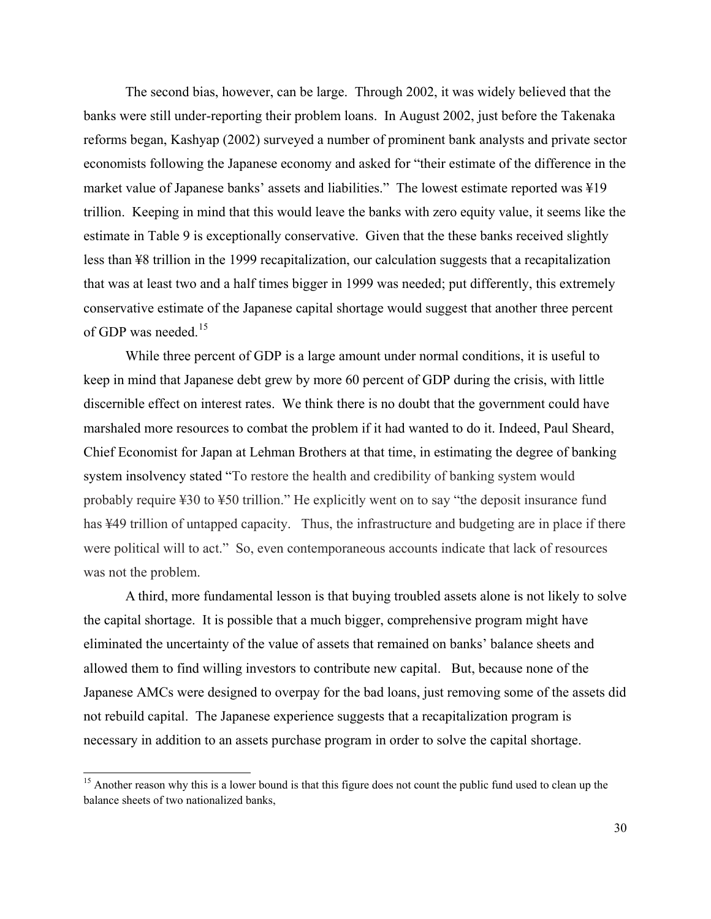<span id="page-29-0"></span>The second bias, however, can be large. Through 2002, it was widely believed that the banks were still under-reporting their problem loans. In August 2002, just before the Takenaka reforms began, Kashyap (2002) surveyed a number of prominent bank analysts and private sector economists following the Japanese economy and asked for "their estimate of the difference in the market value of Japanese banks' assets and liabilities." The lowest estimate reported was ¥19 trillion. Keeping in mind that this would leave the banks with zero equity value, it seems like the estimate in Table 9 is exceptionally conservative. Given that the these banks received slightly less than ¥8 trillion in the 1999 recapitalization, our calculation suggests that a recapitalization that was at least two and a half times bigger in 1999 was needed; put differently, this extremely conservative estimate of the Japanese capital shortage would suggest that another three percent of GDP was needed.<sup>[15](#page-29-0)</sup>

While three percent of GDP is a large amount under normal conditions, it is useful to keep in mind that Japanese debt grew by more 60 percent of GDP during the crisis, with little discernible effect on interest rates. We think there is no doubt that the government could have marshaled more resources to combat the problem if it had wanted to do it. Indeed, Paul Sheard, Chief Economist for Japan at Lehman Brothers at that time, in estimating the degree of banking system insolvency stated "To restore the health and credibility of banking system would probably require ¥30 to ¥50 trillion." He explicitly went on to say "the deposit insurance fund has ¥49 trillion of untapped capacity. Thus, the infrastructure and budgeting are in place if there were political will to act." So, even contemporaneous accounts indicate that lack of resources was not the problem.

A third, more fundamental lesson is that buying troubled assets alone is not likely to solve the capital shortage. It is possible that a much bigger, comprehensive program might have eliminated the uncertainty of the value of assets that remained on banks' balance sheets and allowed them to find willing investors to contribute new capital. But, because none of the Japanese AMCs were designed to overpay for the bad loans, just removing some of the assets did not rebuild capital. The Japanese experience suggests that a recapitalization program is necessary in addition to an assets purchase program in order to solve the capital shortage.

l

<sup>&</sup>lt;sup>15</sup> Another reason why this is a lower bound is that this figure does not count the public fund used to clean up the balance sheets of two nationalized banks,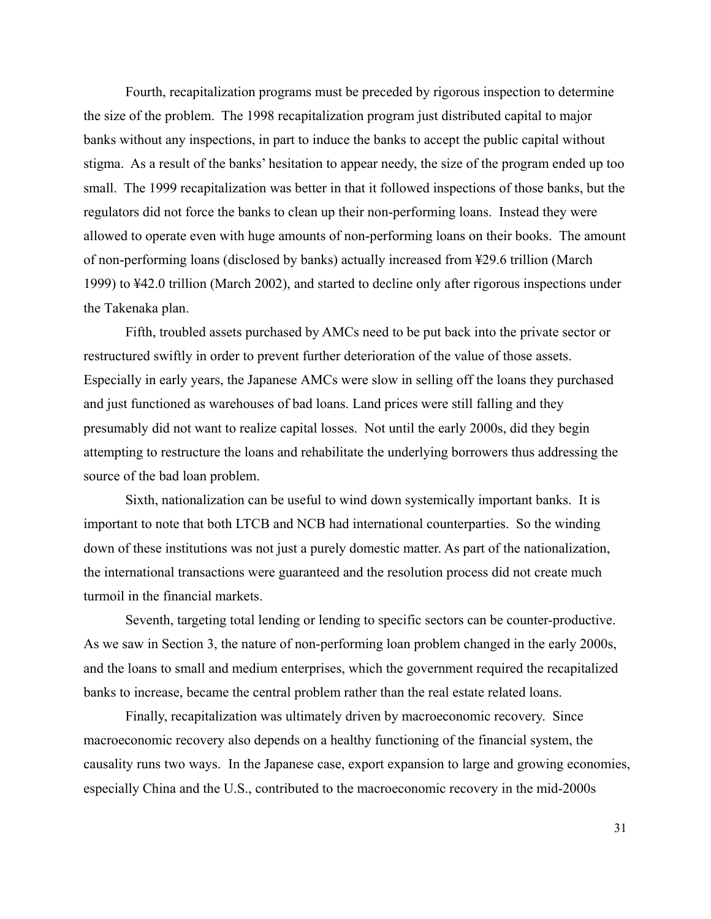Fourth, recapitalization programs must be preceded by rigorous inspection to determine the size of the problem. The 1998 recapitalization program just distributed capital to major banks without any inspections, in part to induce the banks to accept the public capital without stigma. As a result of the banks' hesitation to appear needy, the size of the program ended up too small. The 1999 recapitalization was better in that it followed inspections of those banks, but the regulators did not force the banks to clean up their non-performing loans. Instead they were allowed to operate even with huge amounts of non-performing loans on their books. The amount of non-performing loans (disclosed by banks) actually increased from ¥29.6 trillion (March 1999) to ¥42.0 trillion (March 2002), and started to decline only after rigorous inspections under the Takenaka plan.

Fifth, troubled assets purchased by AMCs need to be put back into the private sector or restructured swiftly in order to prevent further deterioration of the value of those assets. Especially in early years, the Japanese AMCs were slow in selling off the loans they purchased and just functioned as warehouses of bad loans. Land prices were still falling and they presumably did not want to realize capital losses. Not until the early 2000s, did they begin attempting to restructure the loans and rehabilitate the underlying borrowers thus addressing the source of the bad loan problem.

Sixth, nationalization can be useful to wind down systemically important banks. It is important to note that both LTCB and NCB had international counterparties. So the winding down of these institutions was not just a purely domestic matter. As part of the nationalization, the international transactions were guaranteed and the resolution process did not create much turmoil in the financial markets.

Seventh, targeting total lending or lending to specific sectors can be counter-productive. As we saw in Section 3, the nature of non-performing loan problem changed in the early 2000s, and the loans to small and medium enterprises, which the government required the recapitalized banks to increase, became the central problem rather than the real estate related loans.

Finally, recapitalization was ultimately driven by macroeconomic recovery. Since macroeconomic recovery also depends on a healthy functioning of the financial system, the causality runs two ways. In the Japanese case, export expansion to large and growing economies, especially China and the U.S., contributed to the macroeconomic recovery in the mid-2000s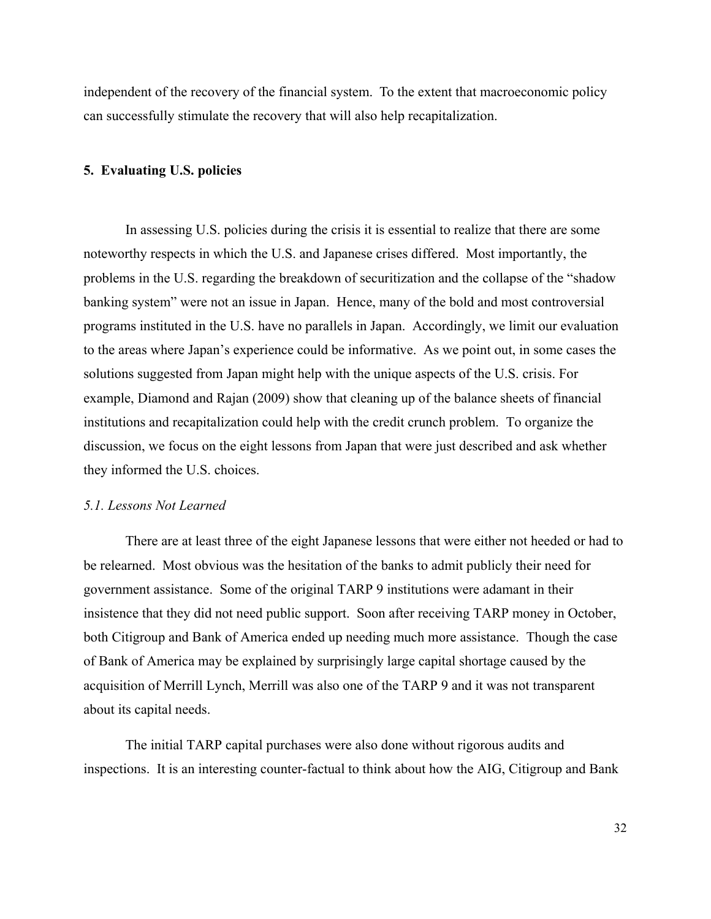independent of the recovery of the financial system. To the extent that macroeconomic policy can successfully stimulate the recovery that will also help recapitalization.

#### **5. Evaluating U.S. policies**

In assessing U.S. policies during the crisis it is essential to realize that there are some noteworthy respects in which the U.S. and Japanese crises differed. Most importantly, the problems in the U.S. regarding the breakdown of securitization and the collapse of the "shadow banking system" were not an issue in Japan. Hence, many of the bold and most controversial programs instituted in the U.S. have no parallels in Japan. Accordingly, we limit our evaluation to the areas where Japan's experience could be informative. As we point out, in some cases the solutions suggested from Japan might help with the unique aspects of the U.S. crisis. For example, Diamond and Rajan (2009) show that cleaning up of the balance sheets of financial institutions and recapitalization could help with the credit crunch problem. To organize the discussion, we focus on the eight lessons from Japan that were just described and ask whether they informed the U.S. choices.

### *5.1. Lessons Not Learned*

There are at least three of the eight Japanese lessons that were either not heeded or had to be relearned. Most obvious was the hesitation of the banks to admit publicly their need for government assistance. Some of the original TARP 9 institutions were adamant in their insistence that they did not need public support. Soon after receiving TARP money in October, both Citigroup and Bank of America ended up needing much more assistance. Though the case of Bank of America may be explained by surprisingly large capital shortage caused by the acquisition of Merrill Lynch, Merrill was also one of the TARP 9 and it was not transparent about its capital needs.

The initial TARP capital purchases were also done without rigorous audits and inspections. It is an interesting counter-factual to think about how the AIG, Citigroup and Bank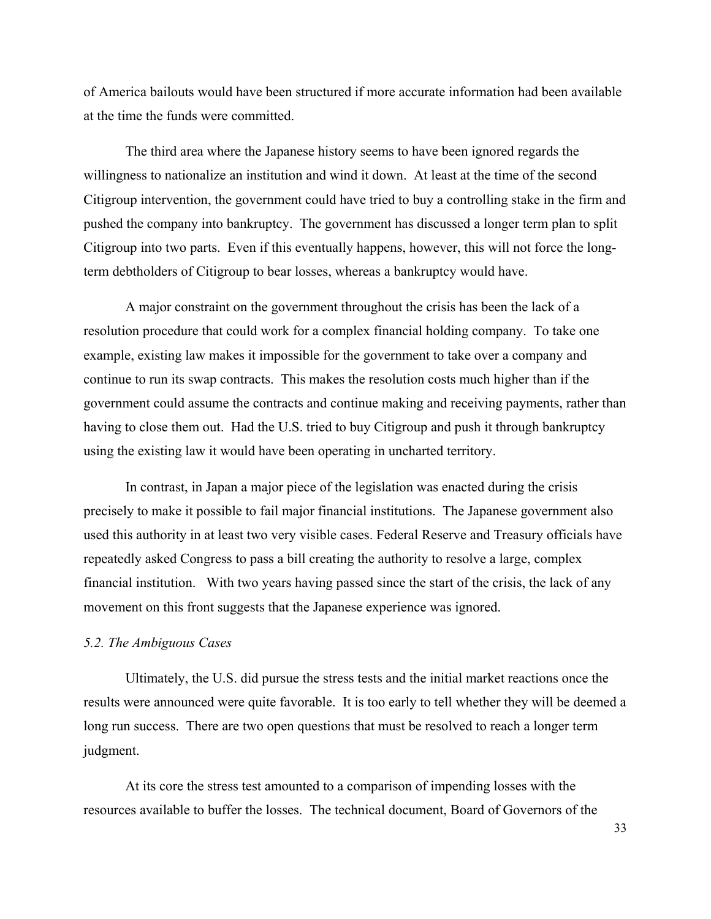of America bailouts would have been structured if more accurate information had been available at the time the funds were committed.

The third area where the Japanese history seems to have been ignored regards the willingness to nationalize an institution and wind it down. At least at the time of the second Citigroup intervention, the government could have tried to buy a controlling stake in the firm and pushed the company into bankruptcy. The government has discussed a longer term plan to split Citigroup into two parts. Even if this eventually happens, however, this will not force the longterm debtholders of Citigroup to bear losses, whereas a bankruptcy would have.

A major constraint on the government throughout the crisis has been the lack of a resolution procedure that could work for a complex financial holding company. To take one example, existing law makes it impossible for the government to take over a company and continue to run its swap contracts. This makes the resolution costs much higher than if the government could assume the contracts and continue making and receiving payments, rather than having to close them out. Had the U.S. tried to buy Citigroup and push it through bankruptcy using the existing law it would have been operating in uncharted territory.

In contrast, in Japan a major piece of the legislation was enacted during the crisis precisely to make it possible to fail major financial institutions. The Japanese government also used this authority in at least two very visible cases. Federal Reserve and Treasury officials have repeatedly asked Congress to pass a bill creating the authority to resolve a large, complex financial institution. With two years having passed since the start of the crisis, the lack of any movement on this front suggests that the Japanese experience was ignored.

#### *5.2. The Ambiguous Cases*

Ultimately, the U.S. did pursue the stress tests and the initial market reactions once the results were announced were quite favorable. It is too early to tell whether they will be deemed a long run success. There are two open questions that must be resolved to reach a longer term judgment.

At its core the stress test amounted to a comparison of impending losses with the resources available to buffer the losses. The technical document, Board of Governors of the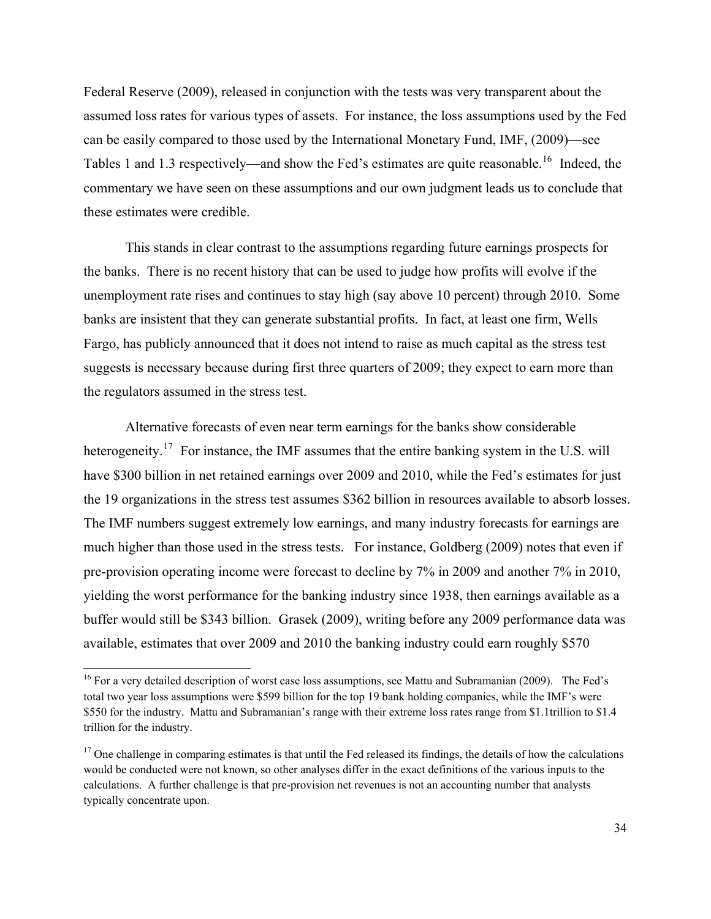<span id="page-33-0"></span>Federal Reserve (2009), released in conjunction with the tests was very transparent about the assumed loss rates for various types of assets. For instance, the loss assumptions used by the Fed can be easily compared to those used by the International Monetary Fund, IMF, (2009)—see Tables 1 and 1.3 respectively—and show the Fed's estimates are quite reasonable.<sup>[16](#page-33-0)</sup> Indeed, the commentary we have seen on these assumptions and our own judgment leads us to conclude that these estimates were credible.

This stands in clear contrast to the assumptions regarding future earnings prospects for the banks. There is no recent history that can be used to judge how profits will evolve if the unemployment rate rises and continues to stay high (say above 10 percent) through 2010. Some banks are insistent that they can generate substantial profits. In fact, at least one firm, Wells Fargo, has publicly announced that it does not intend to raise as much capital as the stress test suggests is necessary because during first three quarters of 2009; they expect to earn more than the regulators assumed in the stress test.

Alternative forecasts of even near term earnings for the banks show considerable heterogeneity.<sup>[17](#page-33-0)</sup> For instance, the IMF assumes that the entire banking system in the U.S. will have \$300 billion in net retained earnings over 2009 and 2010, while the Fed's estimates for just the 19 organizations in the stress test assumes \$362 billion in resources available to absorb losses. The IMF numbers suggest extremely low earnings, and many industry forecasts for earnings are much higher than those used in the stress tests. For instance, Goldberg (2009) notes that even if pre-provision operating income were forecast to decline by 7% in 2009 and another 7% in 2010, yielding the worst performance for the banking industry since 1938, then earnings available as a buffer would still be \$343 billion. Grasek (2009), writing before any 2009 performance data was available, estimates that over 2009 and 2010 the banking industry could earn roughly \$570

 $\overline{a}$ 

<sup>&</sup>lt;sup>16</sup> For a very detailed description of worst case loss assumptions, see Mattu and Subramanian (2009). The Fed's total two year loss assumptions were \$599 billion for the top 19 bank holding companies, while the IMF's were \$550 for the industry. Mattu and Subramanian's range with their extreme loss rates range from \$1.1trillion to \$1.4 trillion for the industry.

 $17$  One challenge in comparing estimates is that until the Fed released its findings, the details of how the calculations would be conducted were not known, so other analyses differ in the exact definitions of the various inputs to the calculations. A further challenge is that pre-provision net revenues is not an accounting number that analysts typically concentrate upon.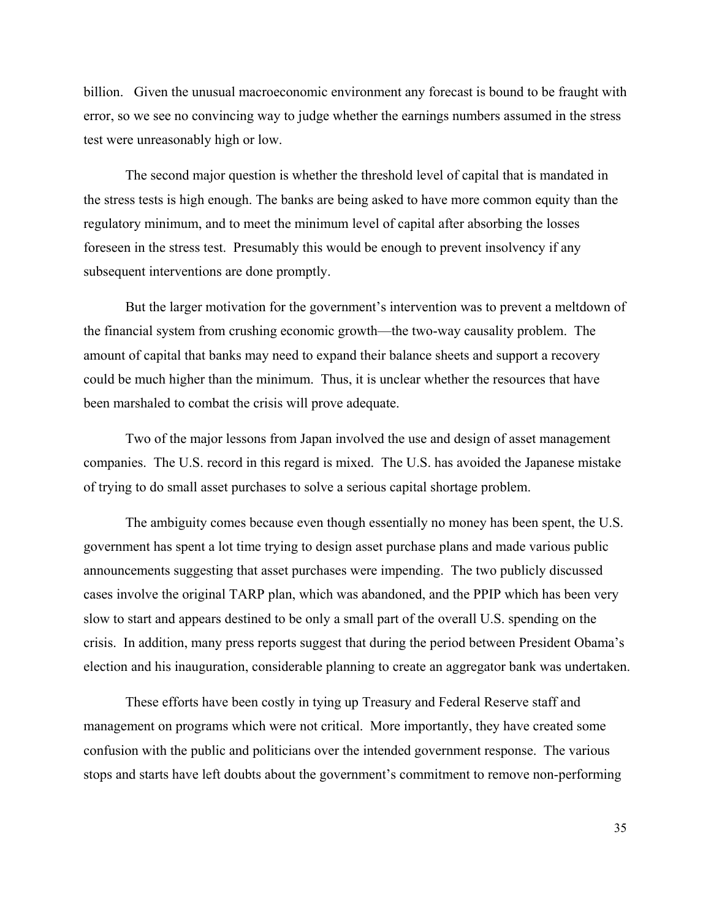billion. Given the unusual macroeconomic environment any forecast is bound to be fraught with error, so we see no convincing way to judge whether the earnings numbers assumed in the stress test were unreasonably high or low.

The second major question is whether the threshold level of capital that is mandated in the stress tests is high enough. The banks are being asked to have more common equity than the regulatory minimum, and to meet the minimum level of capital after absorbing the losses foreseen in the stress test. Presumably this would be enough to prevent insolvency if any subsequent interventions are done promptly.

But the larger motivation for the government's intervention was to prevent a meltdown of the financial system from crushing economic growth—the two-way causality problem. The amount of capital that banks may need to expand their balance sheets and support a recovery could be much higher than the minimum. Thus, it is unclear whether the resources that have been marshaled to combat the crisis will prove adequate.

Two of the major lessons from Japan involved the use and design of asset management companies. The U.S. record in this regard is mixed. The U.S. has avoided the Japanese mistake of trying to do small asset purchases to solve a serious capital shortage problem.

The ambiguity comes because even though essentially no money has been spent, the U.S. government has spent a lot time trying to design asset purchase plans and made various public announcements suggesting that asset purchases were impending. The two publicly discussed cases involve the original TARP plan, which was abandoned, and the PPIP which has been very slow to start and appears destined to be only a small part of the overall U.S. spending on the crisis. In addition, many press reports suggest that during the period between President Obama's election and his inauguration, considerable planning to create an aggregator bank was undertaken.

These efforts have been costly in tying up Treasury and Federal Reserve staff and management on programs which were not critical. More importantly, they have created some confusion with the public and politicians over the intended government response. The various stops and starts have left doubts about the government's commitment to remove non-performing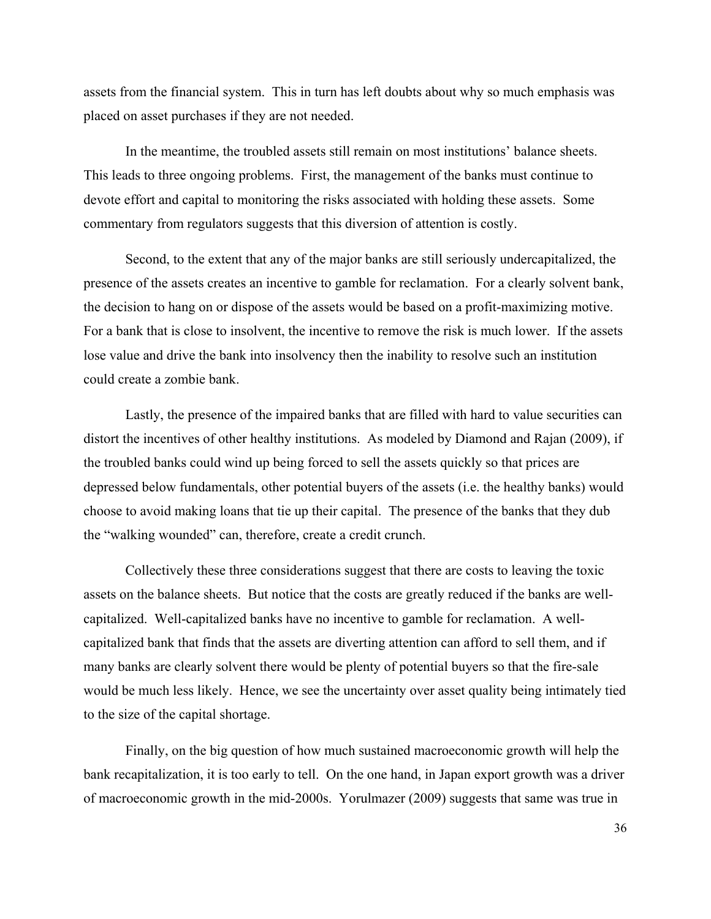assets from the financial system. This in turn has left doubts about why so much emphasis was placed on asset purchases if they are not needed.

In the meantime, the troubled assets still remain on most institutions' balance sheets. This leads to three ongoing problems. First, the management of the banks must continue to devote effort and capital to monitoring the risks associated with holding these assets. Some commentary from regulators suggests that this diversion of attention is costly.

Second, to the extent that any of the major banks are still seriously undercapitalized, the presence of the assets creates an incentive to gamble for reclamation. For a clearly solvent bank, the decision to hang on or dispose of the assets would be based on a profit-maximizing motive. For a bank that is close to insolvent, the incentive to remove the risk is much lower. If the assets lose value and drive the bank into insolvency then the inability to resolve such an institution could create a zombie bank.

Lastly, the presence of the impaired banks that are filled with hard to value securities can distort the incentives of other healthy institutions. As modeled by Diamond and Rajan (2009), if the troubled banks could wind up being forced to sell the assets quickly so that prices are depressed below fundamentals, other potential buyers of the assets (i.e. the healthy banks) would choose to avoid making loans that tie up their capital. The presence of the banks that they dub the "walking wounded" can, therefore, create a credit crunch.

Collectively these three considerations suggest that there are costs to leaving the toxic assets on the balance sheets. But notice that the costs are greatly reduced if the banks are wellcapitalized. Well-capitalized banks have no incentive to gamble for reclamation. A wellcapitalized bank that finds that the assets are diverting attention can afford to sell them, and if many banks are clearly solvent there would be plenty of potential buyers so that the fire-sale would be much less likely. Hence, we see the uncertainty over asset quality being intimately tied to the size of the capital shortage.

Finally, on the big question of how much sustained macroeconomic growth will help the bank recapitalization, it is too early to tell. On the one hand, in Japan export growth was a driver of macroeconomic growth in the mid-2000s. Yorulmazer (2009) suggests that same was true in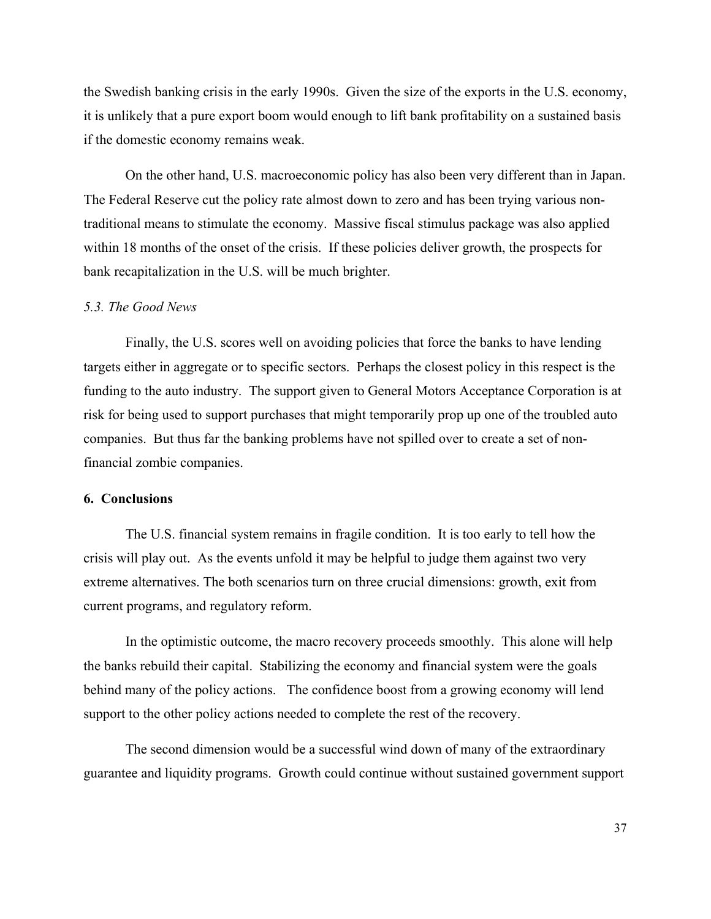the Swedish banking crisis in the early 1990s. Given the size of the exports in the U.S. economy, it is unlikely that a pure export boom would enough to lift bank profitability on a sustained basis if the domestic economy remains weak.

On the other hand, U.S. macroeconomic policy has also been very different than in Japan. The Federal Reserve cut the policy rate almost down to zero and has been trying various nontraditional means to stimulate the economy. Massive fiscal stimulus package was also applied within 18 months of the onset of the crisis. If these policies deliver growth, the prospects for bank recapitalization in the U.S. will be much brighter.

#### *5.3. The Good News*

Finally, the U.S. scores well on avoiding policies that force the banks to have lending targets either in aggregate or to specific sectors. Perhaps the closest policy in this respect is the funding to the auto industry. The support given to General Motors Acceptance Corporation is at risk for being used to support purchases that might temporarily prop up one of the troubled auto companies. But thus far the banking problems have not spilled over to create a set of nonfinancial zombie companies.

# **6. Conclusions**

The U.S. financial system remains in fragile condition. It is too early to tell how the crisis will play out. As the events unfold it may be helpful to judge them against two very extreme alternatives. The both scenarios turn on three crucial dimensions: growth, exit from current programs, and regulatory reform.

In the optimistic outcome, the macro recovery proceeds smoothly. This alone will help the banks rebuild their capital. Stabilizing the economy and financial system were the goals behind many of the policy actions. The confidence boost from a growing economy will lend support to the other policy actions needed to complete the rest of the recovery.

The second dimension would be a successful wind down of many of the extraordinary guarantee and liquidity programs. Growth could continue without sustained government support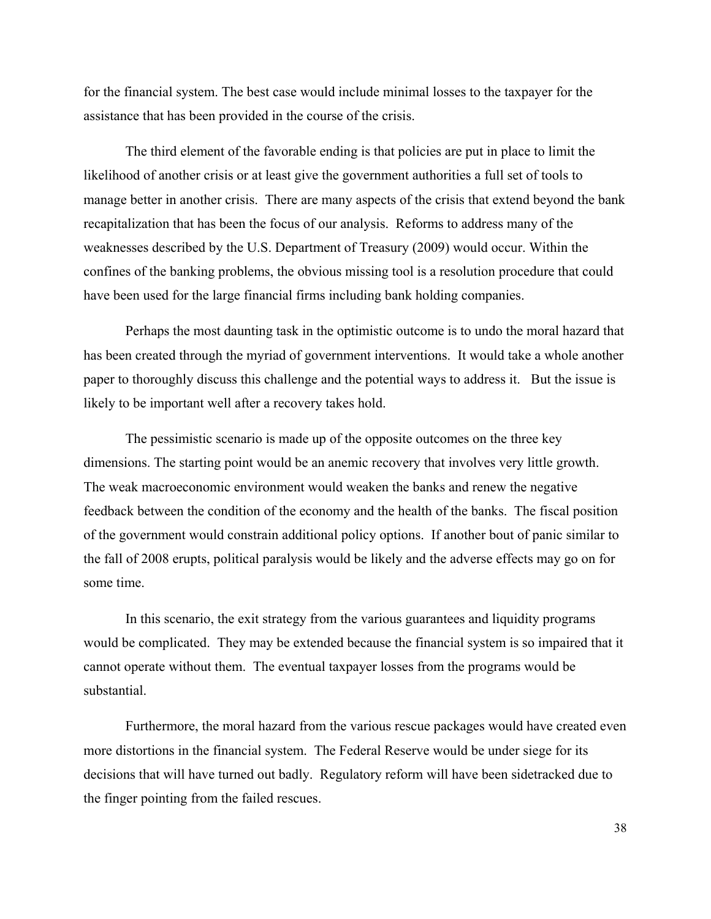for the financial system. The best case would include minimal losses to the taxpayer for the assistance that has been provided in the course of the crisis.

The third element of the favorable ending is that policies are put in place to limit the likelihood of another crisis or at least give the government authorities a full set of tools to manage better in another crisis. There are many aspects of the crisis that extend beyond the bank recapitalization that has been the focus of our analysis. Reforms to address many of the weaknesses described by the U.S. Department of Treasury (2009) would occur. Within the confines of the banking problems, the obvious missing tool is a resolution procedure that could have been used for the large financial firms including bank holding companies.

Perhaps the most daunting task in the optimistic outcome is to undo the moral hazard that has been created through the myriad of government interventions. It would take a whole another paper to thoroughly discuss this challenge and the potential ways to address it. But the issue is likely to be important well after a recovery takes hold.

The pessimistic scenario is made up of the opposite outcomes on the three key dimensions. The starting point would be an anemic recovery that involves very little growth. The weak macroeconomic environment would weaken the banks and renew the negative feedback between the condition of the economy and the health of the banks. The fiscal position of the government would constrain additional policy options. If another bout of panic similar to the fall of 2008 erupts, political paralysis would be likely and the adverse effects may go on for some time.

In this scenario, the exit strategy from the various guarantees and liquidity programs would be complicated. They may be extended because the financial system is so impaired that it cannot operate without them. The eventual taxpayer losses from the programs would be substantial.

Furthermore, the moral hazard from the various rescue packages would have created even more distortions in the financial system. The Federal Reserve would be under siege for its decisions that will have turned out badly. Regulatory reform will have been sidetracked due to the finger pointing from the failed rescues.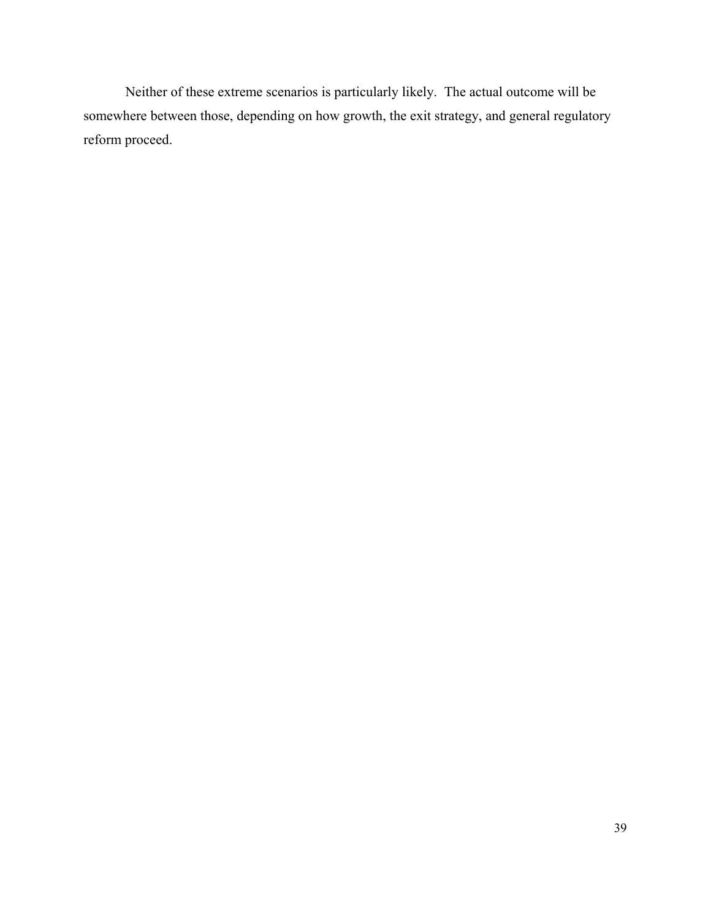Neither of these extreme scenarios is particularly likely. The actual outcome will be somewhere between those, depending on how growth, the exit strategy, and general regulatory reform proceed.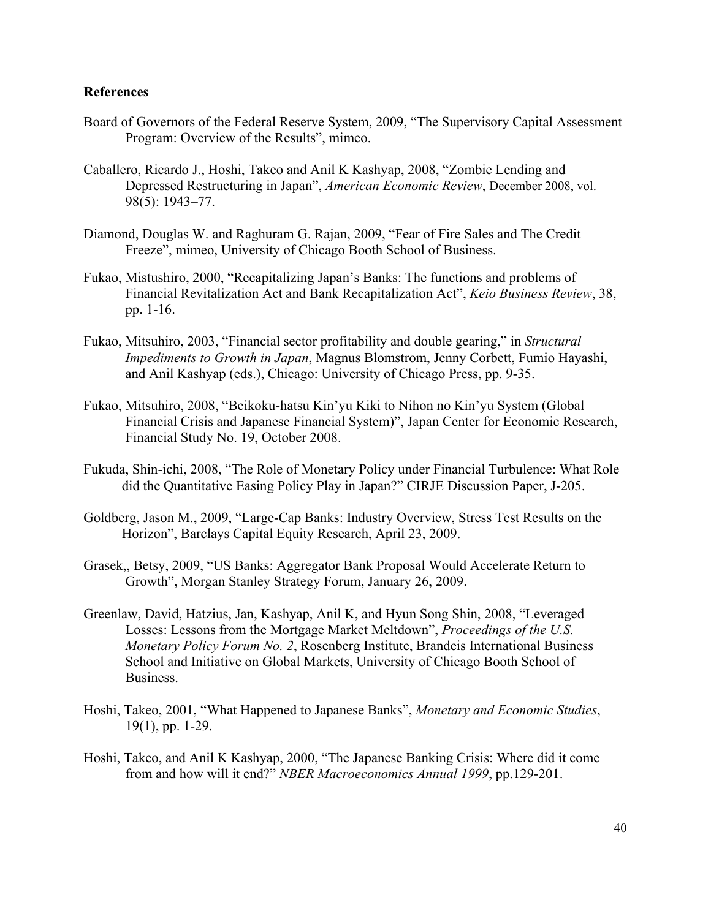## **References**

- Board of Governors of the Federal Reserve System, 2009, "The Supervisory Capital Assessment Program: Overview of the Results", mimeo.
- Caballero, Ricardo J., Hoshi, Takeo and Anil K Kashyap, 2008, "Zombie Lending and Depressed Restructuring in Japan", *American Economic Review*, December 2008, vol. 98(5): 1943–77.
- Diamond, Douglas W. and Raghuram G. Rajan, 2009, "Fear of Fire Sales and The Credit Freeze", mimeo, University of Chicago Booth School of Business.
- Fukao, Mistushiro, 2000, "Recapitalizing Japan's Banks: The functions and problems of Financial Revitalization Act and Bank Recapitalization Act", *Keio Business Review*, 38, pp. 1-16.
- Fukao, Mitsuhiro, 2003, "Financial sector profitability and double gearing," in *Structural Impediments to Growth in Japan*, Magnus Blomstrom, Jenny Corbett, Fumio Hayashi, and Anil Kashyap (eds.), Chicago: University of Chicago Press, pp. 9-35.
- Fukao, Mitsuhiro, 2008, "Beikoku-hatsu Kin'yu Kiki to Nihon no Kin'yu System (Global Financial Crisis and Japanese Financial System)", Japan Center for Economic Research, Financial Study No. 19, October 2008.
- Fukuda, Shin-ichi, 2008, "The Role of Monetary Policy under Financial Turbulence: What Role did the Quantitative Easing Policy Play in Japan?" CIRJE Discussion Paper, J-205.
- Goldberg, Jason M., 2009, "Large-Cap Banks: Industry Overview, Stress Test Results on the Horizon", Barclays Capital Equity Research, April 23, 2009.
- Grasek,, Betsy, 2009, "US Banks: Aggregator Bank Proposal Would Accelerate Return to Growth", Morgan Stanley Strategy Forum, January 26, 2009.
- Greenlaw, David, Hatzius, Jan, Kashyap, Anil K, and Hyun Song Shin, 2008, "Leveraged Losses: Lessons from the Mortgage Market Meltdown", *Proceedings of the U.S. Monetary Policy Forum No. 2*, Rosenberg Institute, Brandeis International Business School and Initiative on Global Markets, University of Chicago Booth School of Business.
- Hoshi, Takeo, 2001, "What Happened to Japanese Banks", *Monetary and Economic Studies*, 19(1), pp. 1-29.
- Hoshi, Takeo, and Anil K Kashyap, 2000, "The Japanese Banking Crisis: Where did it come from and how will it end?" *NBER Macroeconomics Annual 1999*, pp.129-201.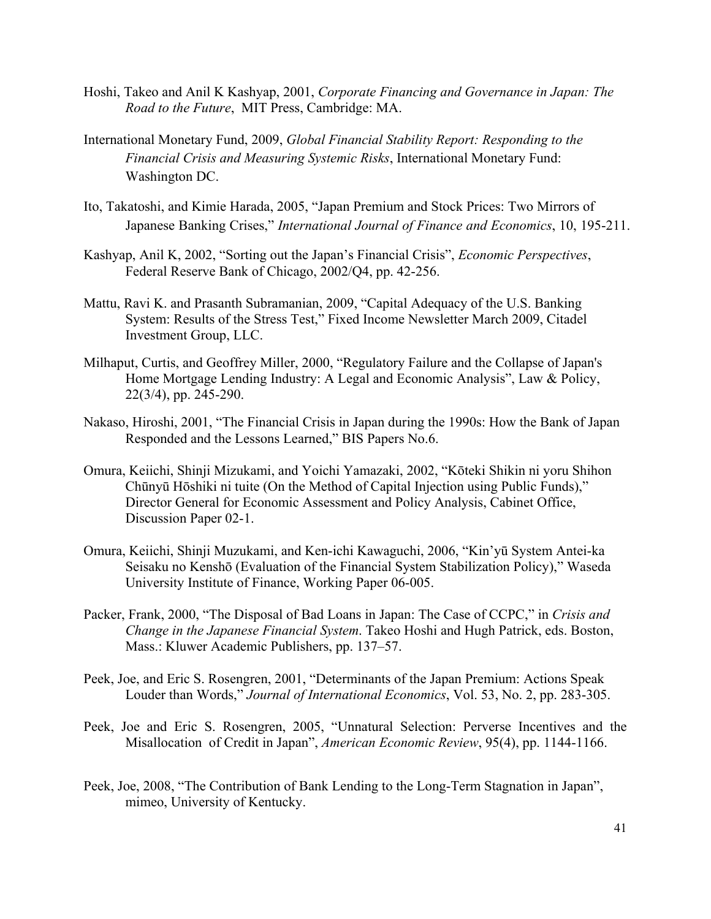- Hoshi, Takeo and Anil K Kashyap, 2001, *Corporate Financing and Governance in Japan: The Road to the Future*, MIT Press, Cambridge: MA.
- International Monetary Fund, 2009, *Global Financial Stability Report: Responding to the Financial Crisis and Measuring Systemic Risks*, International Monetary Fund: Washington DC.
- Ito, Takatoshi, and Kimie Harada, 2005, "Japan Premium and Stock Prices: Two Mirrors of Japanese Banking Crises," *International Journal of Finance and Economics*, 10, 195-211.
- Kashyap, Anil K, 2002, "Sorting out the Japan's Financial Crisis", *Economic Perspectives*, Federal Reserve Bank of Chicago, 2002/Q4, pp. 42-256.
- Mattu, Ravi K. and Prasanth Subramanian, 2009, "Capital Adequacy of the U.S. Banking System: Results of the Stress Test," Fixed Income Newsletter March 2009, Citadel Investment Group, LLC.
- Milhaput, Curtis, and Geoffrey Miller, 2000, "Regulatory Failure and the Collapse of Japan's Home Mortgage Lending Industry: A Legal and Economic Analysis", Law & Policy, 22(3/4), pp. 245-290.
- Nakaso, Hiroshi, 2001, "The Financial Crisis in Japan during the 1990s: How the Bank of Japan Responded and the Lessons Learned," BIS Papers No.6.
- Omura, Keiichi, Shinji Mizukami, and Yoichi Yamazaki, 2002, "Kōteki Shikin ni yoru Shihon Chūnyū Hōshiki ni tuite (On the Method of Capital Injection using Public Funds)," Director General for Economic Assessment and Policy Analysis, Cabinet Office, Discussion Paper 02-1.
- Omura, Keiichi, Shinji Muzukami, and Ken-ichi Kawaguchi, 2006, "Kin'yū System Antei-ka Seisaku no Kenshō (Evaluation of the Financial System Stabilization Policy)," Waseda University Institute of Finance, Working Paper 06-005.
- Packer, Frank, 2000, "The Disposal of Bad Loans in Japan: The Case of CCPC," in *Crisis and Change in the Japanese Financial System*. Takeo Hoshi and Hugh Patrick, eds. Boston, Mass.: Kluwer Academic Publishers, pp. 137–57.
- Peek, Joe, and Eric S. Rosengren, 2001, "Determinants of the Japan Premium: Actions Speak Louder than Words," *Journal of International Economics*, Vol. 53, No. 2, pp. 283-305.
- Peek, Joe and Eric S. Rosengren, 2005, "Unnatural Selection: Perverse Incentives and the Misallocation of Credit in Japan", *American Economic Review*, 95(4), pp. 1144-1166.
- Peek, Joe, 2008, "The Contribution of Bank Lending to the Long-Term Stagnation in Japan", mimeo, University of Kentucky.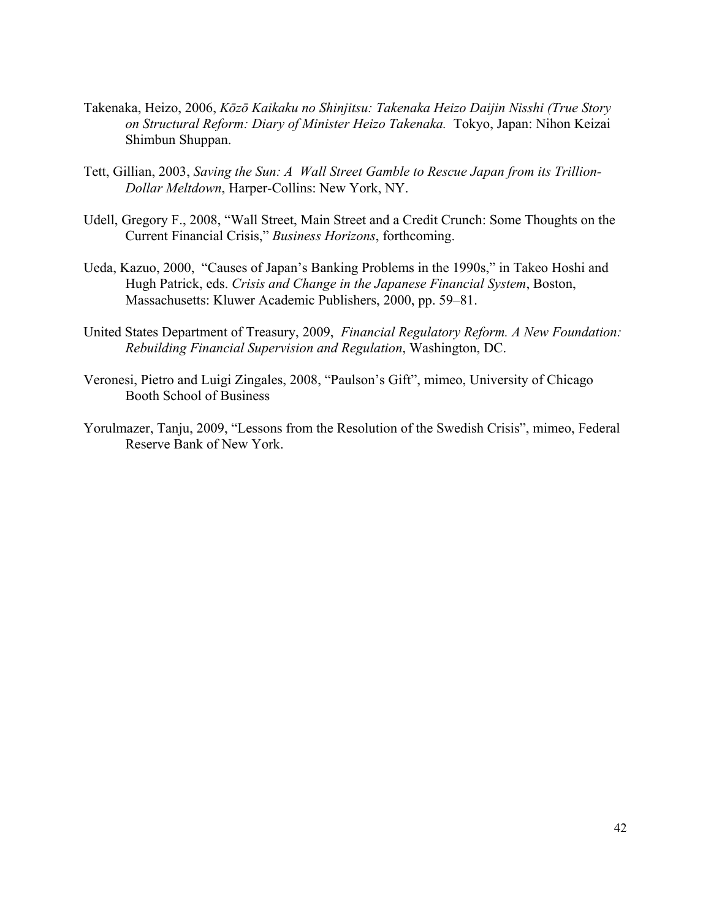- Takenaka, Heizo, 2006, *Kōzō Kaikaku no Shinjitsu: Takenaka Heizo Daijin Nisshi (True Story on Structural Reform: Diary of Minister Heizo Takenaka.* Tokyo, Japan: Nihon Keizai Shimbun Shuppan.
- Tett, Gillian, 2003, *Saving the Sun: A Wall Street Gamble to Rescue Japan from its Trillion-Dollar Meltdown*, Harper-Collins: New York, NY.
- Udell, Gregory F., 2008, "Wall Street, Main Street and a Credit Crunch: Some Thoughts on the Current Financial Crisis," *Business Horizons*, forthcoming.
- Ueda, Kazuo, 2000, "Causes of Japan's Banking Problems in the 1990s," in Takeo Hoshi and Hugh Patrick, eds. *Crisis and Change in the Japanese Financial System*, Boston, Massachusetts: Kluwer Academic Publishers, 2000, pp. 59–81.
- United States Department of Treasury, 2009, *Financial Regulatory Reform. A New Foundation: Rebuilding Financial Supervision and Regulation*, Washington, DC.
- Veronesi, Pietro and Luigi Zingales, 2008, "Paulson's Gift", mimeo, University of Chicago Booth School of Business
- Yorulmazer, Tanju, 2009, "Lessons from the Resolution of the Swedish Crisis", mimeo, Federal Reserve Bank of New York.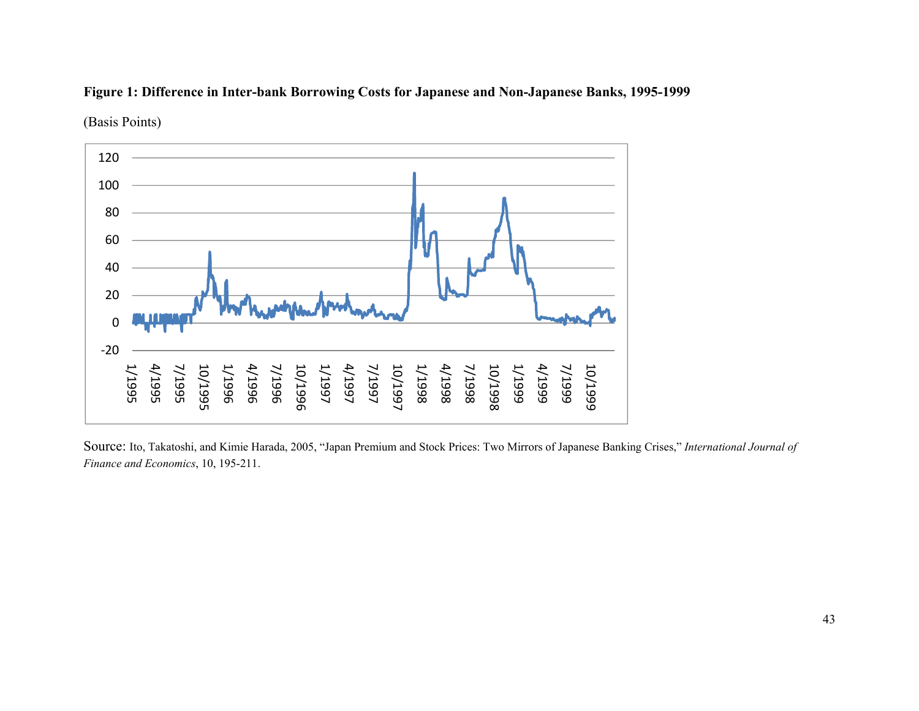

# **Figure 1: Difference in Inter-bank Borrowing Costs for Japanese and Non-Japanese Banks, 1995-1999**

(Basis Points)

Source: Ito, Takatoshi, and Kimie Harada, 2005, "Japan Premium and Stock Prices: Two Mirrors of Japanese Banking Crises," *International Journal of Finance and Economics*, 10, 195-211.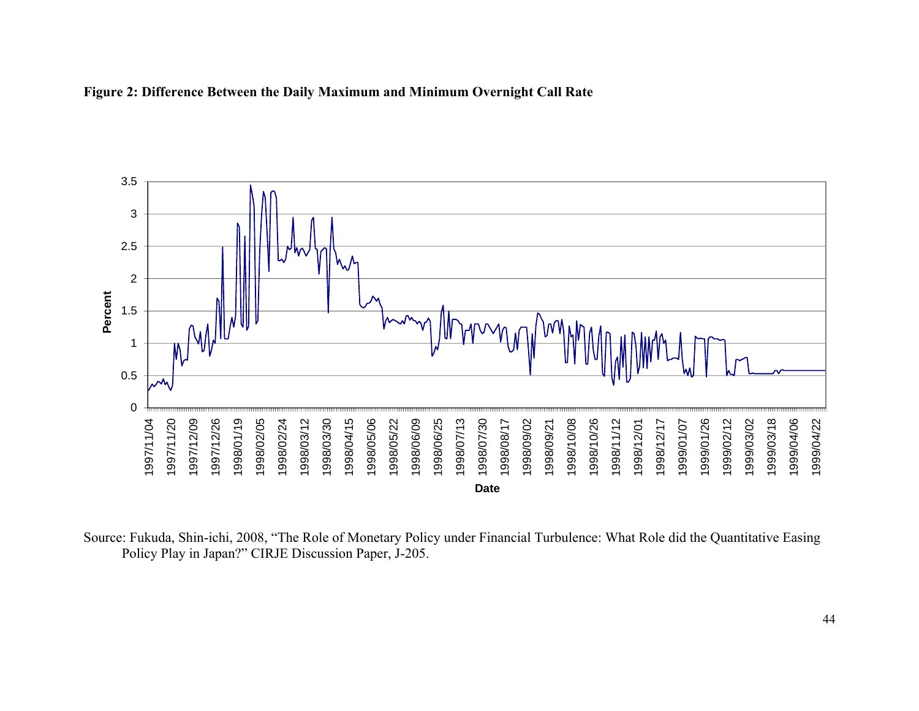



Source: Fukuda, Shin-ichi, 2008, "The Role of Monetary Policy under Financial Turbulence: What Role did the Quantitative Easing Policy Play in Japan?" CIRJE Discussion Paper, J-205.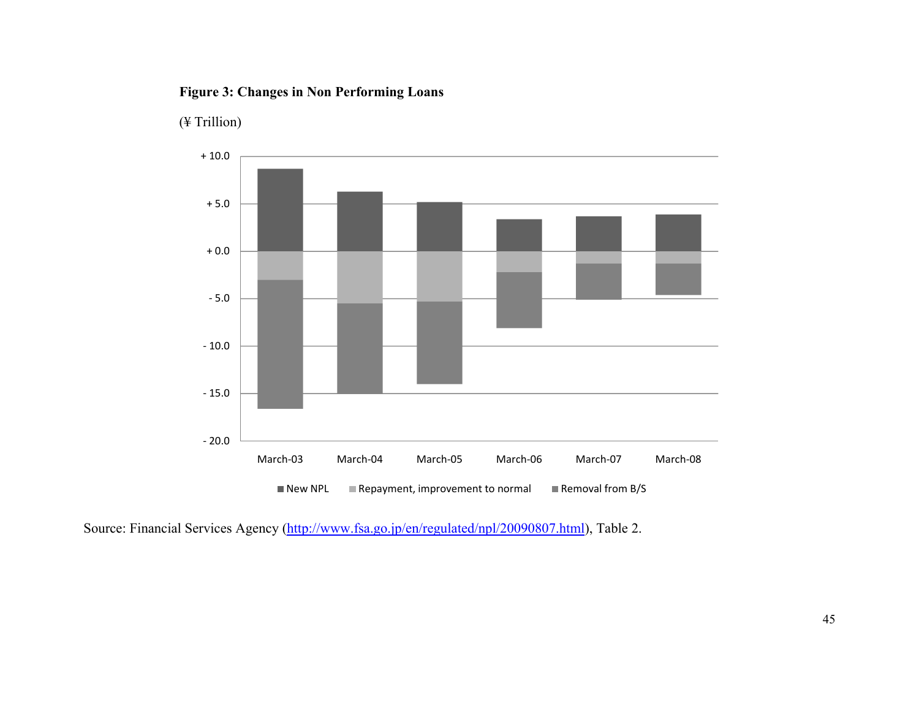# **Figure 3: Changes in Non Performing Loans**





Source: Financial Services Agency [\(http://www.fsa.go.jp/en/regulated/npl/20090807.html](http://www.fsa.go.jp/en/regulated/npl/20090807.html)), Table 2.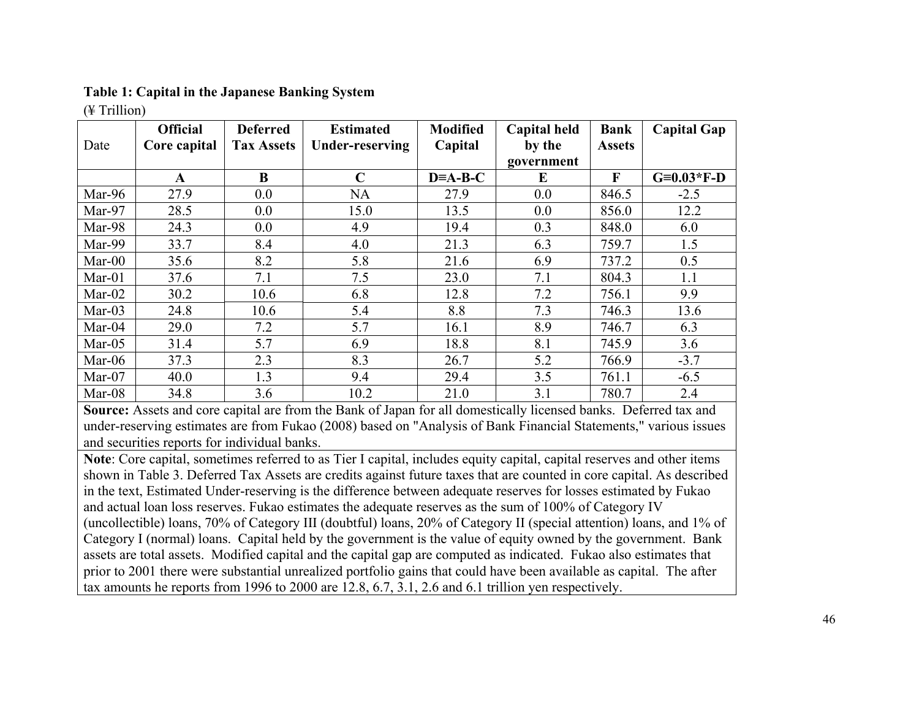**Table 1: Capital in the Japanese Banking System** 

(¥ Trillion)

|           | <b>Official</b>                              | <b>Deferred</b>   | <b>Estimated</b>                                                                                                       | <b>Modified</b> | <b>Capital held</b> | <b>Bank</b>   | <b>Capital Gap</b> |
|-----------|----------------------------------------------|-------------------|------------------------------------------------------------------------------------------------------------------------|-----------------|---------------------|---------------|--------------------|
| Date      | Core capital                                 | <b>Tax Assets</b> | Under-reserving                                                                                                        | Capital         | by the              | <b>Assets</b> |                    |
|           |                                              |                   |                                                                                                                        |                 | government          |               |                    |
|           | A                                            | B                 | $\mathbf C$                                                                                                            | $D = A - B - C$ | E                   | $\mathbf F$   | $G=0.03*F-D$       |
| Mar-96    | 27.9                                         | 0.0               | <b>NA</b>                                                                                                              | 27.9            | 0.0                 | 846.5         | $-2.5$             |
| Mar-97    | 28.5                                         | 0.0               | 15.0                                                                                                                   | 13.5            | 0.0                 | 856.0         | 12.2               |
| Mar-98    | 24.3                                         | 0.0               | 4.9                                                                                                                    | 19.4            | 0.3                 | 848.0         | 6.0                |
| Mar-99    | 33.7                                         | 8.4               | 4.0                                                                                                                    | 21.3            | 6.3                 | 759.7         | 1.5                |
| $Mar-00$  | 35.6                                         | 8.2               | 5.8                                                                                                                    | 21.6            | 6.9                 | 737.2         | 0.5                |
| $Mar-01$  | 37.6                                         | 7.1               | 7.5                                                                                                                    | 23.0            | 7.1                 | 804.3         | 1.1                |
| $Mar-02$  | 30.2                                         | 10.6              | 6.8                                                                                                                    | 12.8            | 7.2                 | 756.1         | 9.9                |
| Mar-03    | 24.8                                         | 10.6              | 5.4                                                                                                                    | 8.8             | 7.3                 | 746.3         | 13.6               |
| Mar-04    | 29.0                                         | 7.2               | 5.7                                                                                                                    | 16.1            | 8.9                 | 746.7         | 6.3                |
| $Mar-05$  | 31.4                                         | 5.7               | 6.9                                                                                                                    | 18.8            | 8.1                 | 745.9         | 3.6                |
| Mar- $06$ | 37.3                                         | 2.3               | 8.3                                                                                                                    | 26.7            | 5.2                 | 766.9         | $-3.7$             |
| Mar- $07$ | 40.0                                         | 1.3               | 9.4                                                                                                                    | 29.4            | 3.5                 | 761.1         | $-6.5$             |
| $Mar-08$  | 34.8                                         | 3.6               | 10.2                                                                                                                   | 21.0            | 3.1                 | 780.7         | 2.4                |
|           |                                              |                   | Source: Assets and core capital are from the Bank of Japan for all domestically licensed banks. Deferred tax and       |                 |                     |               |                    |
|           |                                              |                   | under-reserving estimates are from Fukao (2008) based on "Analysis of Bank Financial Statements," various issues       |                 |                     |               |                    |
|           | and securities reports for individual banks. |                   |                                                                                                                        |                 |                     |               |                    |
|           |                                              |                   | Note: Core capital, sometimes referred to as Tier I capital, includes equity capital, capital reserves and other items |                 |                     |               |                    |

shown in Table 3. Deferred Tax Assets are credits against future taxes that are counted in core capital. As described in the text, Estimated Under-reserving is the difference between adequate reserves for losses estimated by Fukao and actual loan loss reserves. Fukao estimates the adequate reserves as the sum of 100% of Category IV (uncollectible) loans, 70% of Category III (doubtful) loans, 20% of Category II (special attention) loans, and 1% of Category I (normal) loans. Capital held by the government is the value of equity owned by the government. Bank assets are total assets. Modified capital and the capital gap are computed as indicated. Fukao also estimates that prior to 2001 there were substantial unrealized portfolio gains that could have been available as capital. The after tax amounts he reports from 1996 to 2000 are 12.8, 6.7, 3.1, 2.6 and 6.1 trillion yen respectively.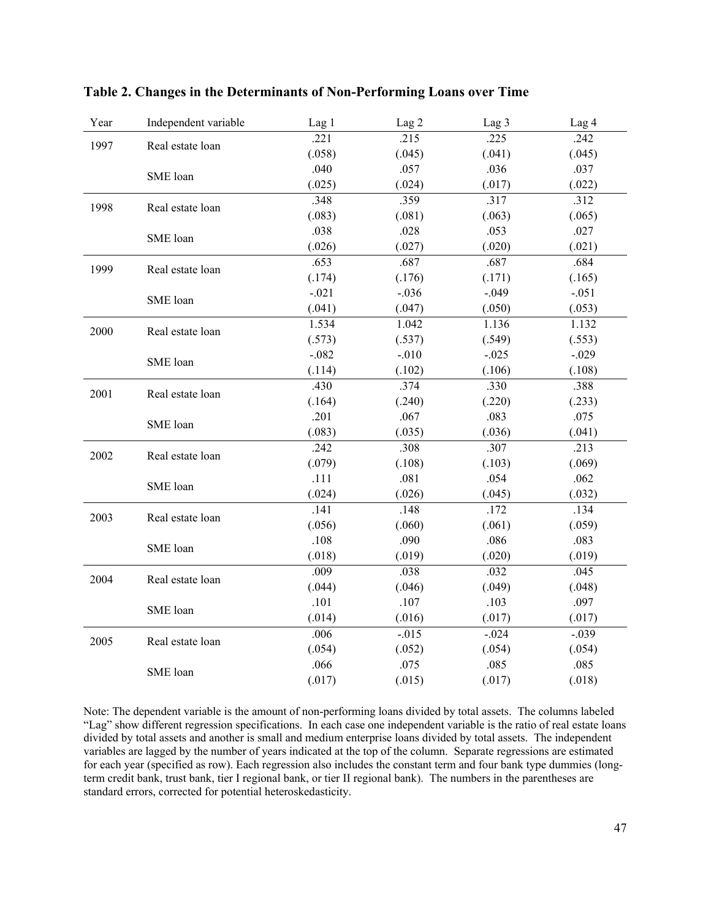| Year | Independent variable | Lag 1   | Lag <sub>2</sub> | Lag 3   | Lag 4   |
|------|----------------------|---------|------------------|---------|---------|
| 1997 | Real estate loan     | .221    | .215             | .225    | .242    |
|      |                      | (.058)  | (.045)           | (.041)  | (.045)  |
|      | SME loan             | .040    | .057             | .036    | .037    |
|      |                      | (.025)  | (.024)           | (.017)  | (.022)  |
| 1998 | Real estate loan     | .348    | .359             | .317    | .312    |
|      |                      | (.083)  | (.081)           | (.063)  | (.065)  |
|      | SME loan             | .038    | .028             | .053    | .027    |
|      |                      | (.026)  | (.027)           | (.020)  | (.021)  |
| 1999 | Real estate loan     | .653    | .687             | .687    | .684    |
|      |                      | (.174)  | (.176)           | (.171)  | (.165)  |
|      | SME loan             | $-.021$ | $-0.036$         | $-.049$ | $-.051$ |
|      |                      | (.041)  | (.047)           | (.050)  | (.053)  |
| 2000 | Real estate loan     | 1.534   | 1.042            | 1.136   | 1.132   |
|      |                      | (.573)  | (.537)           | (.549)  | (.553)  |
|      | SME loan             | $-.082$ | $-010$           | $-.025$ | $-.029$ |
|      |                      | (.114)  | (.102)           | (.106)  | (.108)  |
| 2001 | Real estate loan     | .430    | .374             | .330    | .388    |
|      |                      | (.164)  | (.240)           | (.220)  | (.233)  |
|      | SME loan             | .201    | .067             | .083    | .075    |
|      |                      | (.083)  | (.035)           | (.036)  | (.041)  |
| 2002 | Real estate loan     | .242    | .308             | .307    | .213    |
|      |                      | (.079)  | (.108)           | (.103)  | (.069)  |
|      | SME loan             | .111    | .081             | .054    | .062    |
|      |                      | (.024)  | (.026)           | (.045)  | (.032)  |
| 2003 | Real estate loan     | .141    | .148             | .172    | .134    |
|      |                      | (.056)  | (.060)           | (.061)  | (.059)  |
|      | SME loan             | .108    | .090             | .086    | .083    |
|      |                      | (.018)  | (.019)           | (.020)  | (.019)  |
| 2004 | Real estate loan     | .009    | .038             | .032    | .045    |
|      |                      | (.044)  | (.046)           | (.049)  | (.048)  |
|      | SME loan             | .101    | .107             | .103    | .097    |
|      |                      | (.014)  | (.016)           | (.017)  | (.017)  |
| 2005 | Real estate loan     | .006    | $-0.015$         | $-.024$ | $-.039$ |
|      |                      | (.054)  | (.052)           | (.054)  | (.054)  |
|      | SME loan             | .066    | .075             | .085    | .085    |
|      |                      | (.017)  | (.015)           | (.017)  | (.018)  |

**Table 2. Changes in the Determinants of Non-Performing Loans over Time** 

Note: The dependent variable is the amount of non-performing loans divided by total assets. The columns labeled "Lag" show different regression specifications. In each case one independent variable is the ratio of real estate loans divided by total assets and another is small and medium enterprise loans divided by total assets. The independent variables are lagged by the number of years indicated at the top of the column. Separate regressions are estimated for each year (specified as row). Each regression also includes the constant term and four bank type dummies (longterm credit bank, trust bank, tier I regional bank, or tier II regional bank). The numbers in the parentheses are standard errors, corrected for potential heteroskedasticity.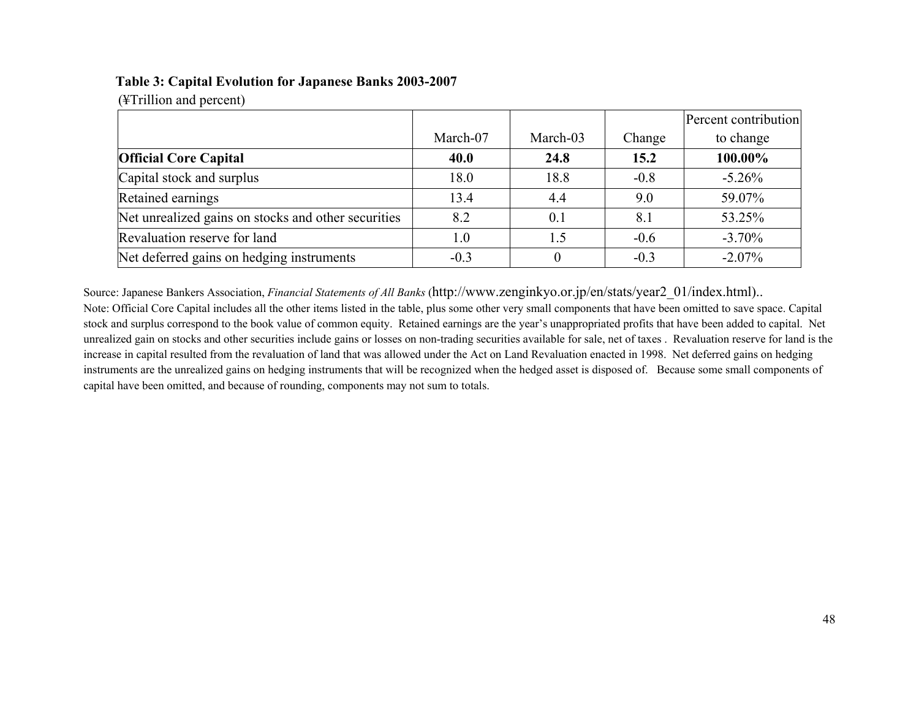### **Table 3: Capital Evolution for Japanese Banks 2003-2007**

(¥Trillion and percent)

|                                                     |          |          |        | Percent contribution |
|-----------------------------------------------------|----------|----------|--------|----------------------|
|                                                     | March-07 | March-03 | Change | to change            |
| <b>Official Core Capital</b>                        | 40.0     | 24.8     | 15.2   | 100.00%              |
| Capital stock and surplus                           | 18.0     | 18.8     | $-0.8$ | $-5.26\%$            |
| Retained earnings                                   | 13.4     | 4.4      | 9.0    | 59.07%               |
| Net unrealized gains on stocks and other securities | 8.2      | 0.1      | 8.1    | 53.25%               |
| Revaluation reserve for land                        | 1.0      | 1.5      | $-0.6$ | $-3.70%$             |
| Net deferred gains on hedging instruments           | $-0.3$   |          | $-0.3$ | $-2.07\%$            |

Source: Japanese Bankers Association, *Financial Statements of All Banks* (http://www.zenginkyo.or.jp/en/stats/year2\_01/index.html).. Note: Official Core Capital includes all the other items listed in the table, plus some other very small components that have been omitted to save space. Capital

stock and surplus correspond to the book value of common equity. Retained earnings are the year's unappropriated profits that have been added to capital. Net unrealized gain on stocks and other securities include gains or losses on non-trading securities available for sale, net of taxes . Revaluation reserve for land is the increase in capital resulted from the revaluation of land that was allowed under the Act on Land Revaluation enacted in 1998. Net deferred gains on hedging instruments are the unrealized gains on hedging instruments that will be recognized when the hedged asset is disposed of. Because some small components of capital have been omitted, and because of rounding, components may not sum to totals.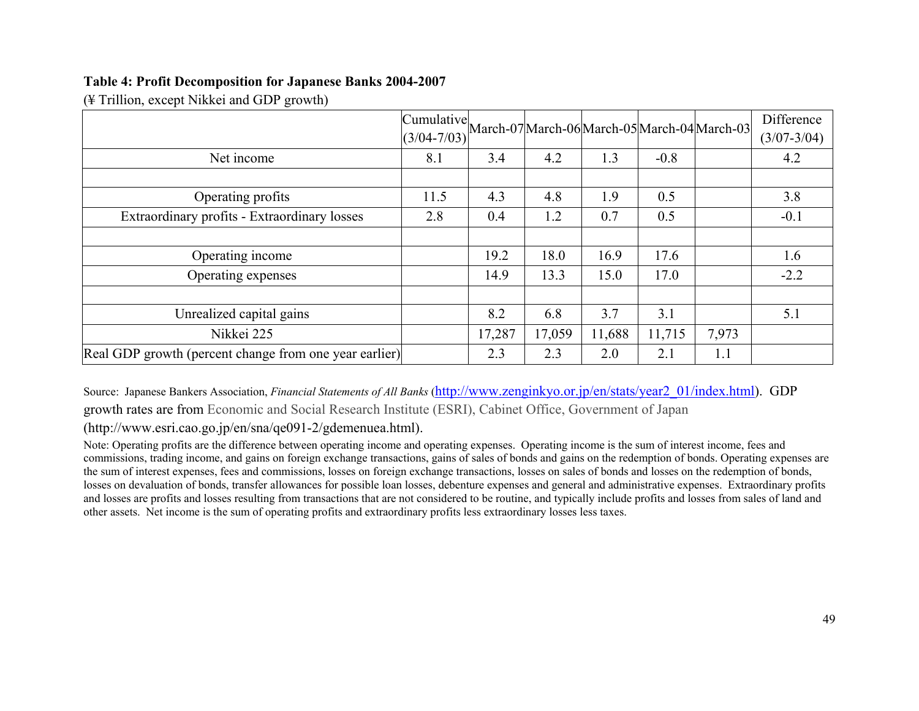# **Table 4: Profit Decomposition for Japanese Banks 2004-2007**

(¥ Trillion, except Nikkei and GDP growth)

|                                                        | Cumulative,<br>$(3/04 - 7/03)$ |        |        |        |        | March-07 March-06 March-05 March-04 March-03 | Difference<br>$(3/07 - 3/04)$ |
|--------------------------------------------------------|--------------------------------|--------|--------|--------|--------|----------------------------------------------|-------------------------------|
| Net income                                             | 8.1                            | 3.4    | 4.2    | 1.3    | $-0.8$ |                                              | 4.2                           |
|                                                        |                                |        |        |        |        |                                              |                               |
| Operating profits                                      | 11.5                           | 4.3    | 4.8    | 1.9    | 0.5    |                                              | 3.8                           |
| Extraordinary profits - Extraordinary losses           | 2.8                            | 0.4    | 1.2    | 0.7    | 0.5    |                                              | $-0.1$                        |
|                                                        |                                |        |        |        |        |                                              |                               |
| Operating income                                       |                                | 19.2   | 18.0   | 16.9   | 17.6   |                                              | 1.6                           |
| Operating expenses                                     |                                | 14.9   | 13.3   | 15.0   | 17.0   |                                              | $-2.2$                        |
|                                                        |                                |        |        |        |        |                                              |                               |
| Unrealized capital gains                               |                                | 8.2    | 6.8    | 3.7    | 3.1    |                                              | 5.1                           |
| Nikkei 225                                             |                                | 17,287 | 17,059 | 11,688 | 11,715 | 7,973                                        |                               |
| Real GDP growth (percent change from one year earlier) |                                | 2.3    | 2.3    | 2.0    | 2.1    | 1.1                                          |                               |

Source: Japanese Bankers Association, *Financial Statements of All Banks* ([http://www.zenginkyo.or.jp/en/stats/year2\\_01/index.html](http://www.zenginkyo.or.jp/en/stats/year2_01/index.html)). GDP growth rates are from Economic and Social Research Institute (ESRI), Cabinet Office, Government of Japan

(http://www.esri.cao.go.jp/en/sna/qe091-2/gdemenuea.html).

Note: Operating profits are the difference between operating income and operating expenses. Operating income is the sum of interest income, fees and commissions, trading income, and gains on foreign exchange transactions, gains of sales of bonds and gains on the redemption of bonds. Operating expenses are the sum of interest expenses, fees and commissions, losses on foreign exchange transactions, losses on sales of bonds and losses on the redemption of bonds, losses on devaluation of bonds, transfer allowances for possible loan losses, debenture expenses and general and administrative expenses. Extraordinary profits and losses are profits and losses resulting from transactions that are not considered to be routine, and typically include profits and losses from sales of land and other assets. Net income is the sum of operating profits and extraordinary profits less extraordinary losses less taxes.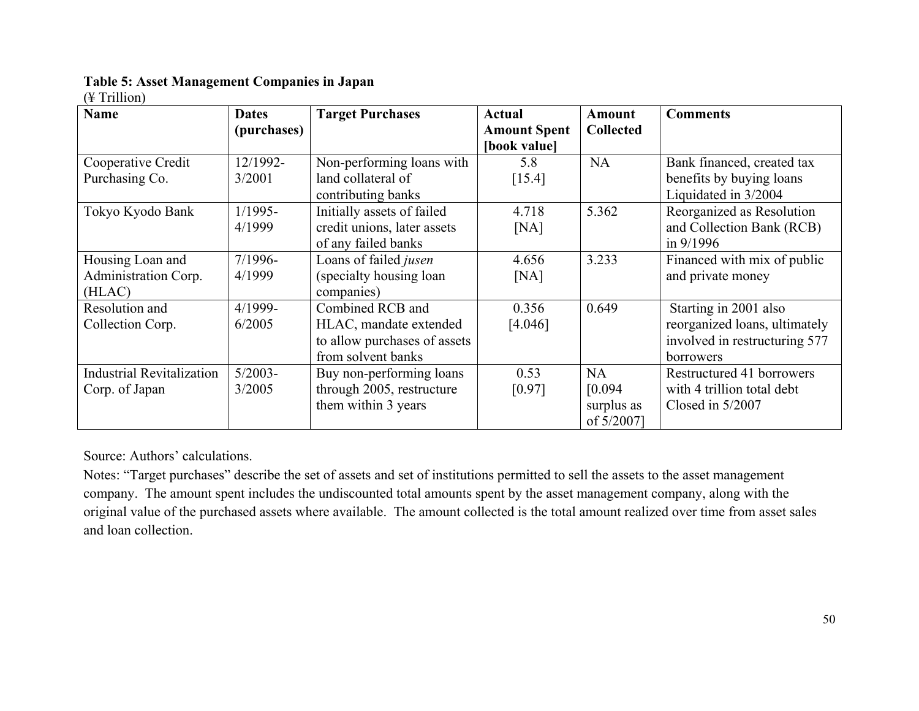# **Table 5: Asset Management Companies in Japan**

(¥ Trillion)

| <b>Name</b>                      | <b>Dates</b> | <b>Target Purchases</b>      | <b>Actual</b>                       | <b>Amount</b><br><b>Collected</b> | <b>Comments</b>               |
|----------------------------------|--------------|------------------------------|-------------------------------------|-----------------------------------|-------------------------------|
|                                  | (purchases)  |                              | <b>Amount Spent</b><br>[book value] |                                   |                               |
| Cooperative Credit               | 12/1992-     | Non-performing loans with    | 5.8                                 | <b>NA</b>                         | Bank financed, created tax    |
| Purchasing Co.                   | 3/2001       | land collateral of           | [15.4]                              |                                   | benefits by buying loans      |
|                                  |              | contributing banks           |                                     |                                   | Liquidated in 3/2004          |
| Tokyo Kyodo Bank                 | $1/1995-$    | Initially assets of failed   | 4.718                               | 5.362                             | Reorganized as Resolution     |
|                                  | 4/1999       | credit unions, later assets  | [NA]                                |                                   | and Collection Bank (RCB)     |
|                                  |              | of any failed banks          |                                     |                                   | in $9/1996$                   |
| Housing Loan and                 | $7/1996-$    | Loans of failed jusen        | 4.656                               | 3.233                             | Financed with mix of public   |
| Administration Corp.             | 4/1999       | (specialty housing loan)     | [NA]                                |                                   | and private money             |
| (HLAC)                           |              | companies)                   |                                     |                                   |                               |
| Resolution and                   | $4/1999-$    | Combined RCB and             | 0.356                               | 0.649                             | Starting in 2001 also         |
| Collection Corp.                 | 6/2005       | HLAC, mandate extended       | [4.046]                             |                                   | reorganized loans, ultimately |
|                                  |              | to allow purchases of assets |                                     |                                   | involved in restructuring 577 |
|                                  |              | from solvent banks           |                                     |                                   | borrowers                     |
| <b>Industrial Revitalization</b> | $5/2003 -$   | Buy non-performing loans     | 0.53                                | NA                                | Restructured 41 borrowers     |
| Corp. of Japan                   | 3/2005       | through 2005, restructure    | [0.97]                              | [0.094]                           | with 4 trillion total debt    |
|                                  |              | them within 3 years          |                                     | surplus as                        | Closed in 5/2007              |
|                                  |              |                              |                                     | of 5/2007]                        |                               |

Source: Authors' calculations.

Notes: "Target purchases" describe the set of assets and set of institutions permitted to sell the assets to the asset management company. The amount spent includes the undiscounted total amounts spent by the asset management company, along with the original value of the purchased assets where available. The amount collected is the total amount realized over time from asset sales and loan collection.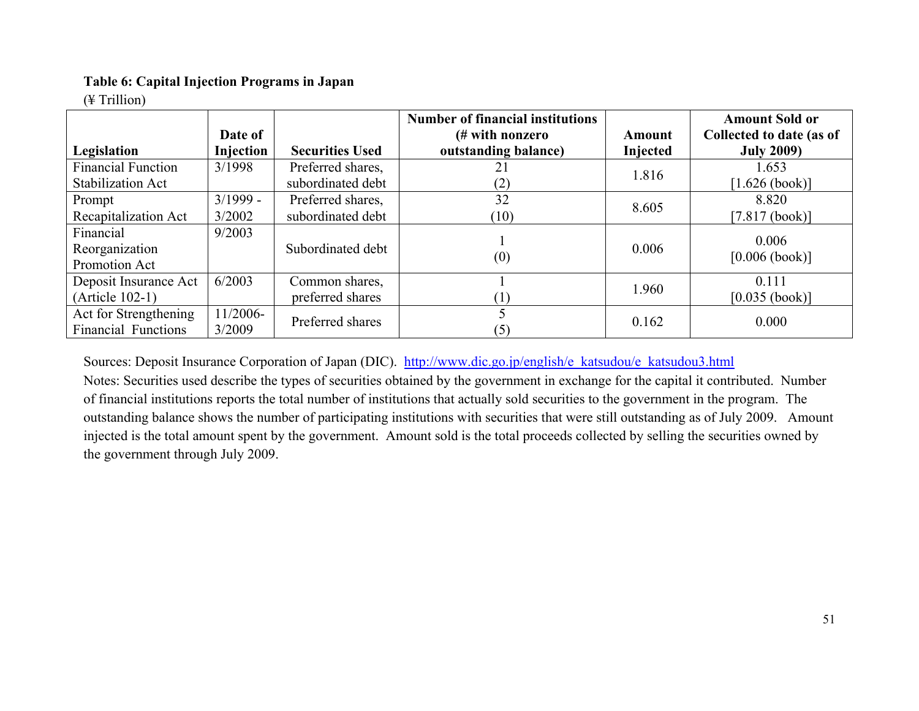# **Table 6: Capital Injection Programs in Japan**

(¥ Trillion)

|                            | Date of    |                        | <b>Number of financial institutions</b><br>$#$ with nonzero | Amount   | <b>Amount Sold or</b><br>Collected to date (as of |
|----------------------------|------------|------------------------|-------------------------------------------------------------|----------|---------------------------------------------------|
| Legislation                | Injection  | <b>Securities Used</b> | outstanding balance)                                        | Injected | <b>July 2009)</b>                                 |
| <b>Financial Function</b>  | 3/1998     | Preferred shares,      | 21                                                          | 1.816    | 1.653                                             |
| <b>Stabilization Act</b>   |            | subordinated debt      | (2)                                                         |          | [1.626 (book)]                                    |
| Prompt                     | $3/1999 -$ | Preferred shares,      | 32                                                          | 8.605    | 8.820                                             |
| Recapitalization Act       | 3/2002     | subordinated debt      | (10)                                                        |          | [7.817 (book)]                                    |
| Financial                  | 9/2003     |                        |                                                             |          | 0.006                                             |
| Reorganization             |            | Subordinated debt      |                                                             | 0.006    | [0.006 (book)]                                    |
| Promotion Act              |            |                        | (0)                                                         |          |                                                   |
| Deposit Insurance Act      | 6/2003     | Common shares,         |                                                             | 1.960    | 0.111                                             |
| $(Article 102-1)$          |            | preferred shares       | $\perp$                                                     |          | [0.035 (book)]                                    |
| Act for Strengthening      | $11/2006-$ | Preferred shares       |                                                             | 0.162    | 0.000                                             |
| <b>Financial Functions</b> | 3/2009     |                        | (5)                                                         |          |                                                   |

Sources: Deposit Insurance Corporation of Japan (DIC). [http://www.dic.go.jp/english/e\\_katsudou/e\\_katsudou3.html](http://www.dic.go.jp/english/e_katsudou/e_katsudou3.html) Notes: Securities used describe the types of securities obtained by the government in exchange for the capital it contributed. Number of financial institutions reports the total number of institutions that actually sold securities to the government in the program. The outstanding balance shows the number of participating institutions with securities that were still outstanding as of July 2009. Amount injected is the total amount spent by the government. Amount sold is the total proceeds collected by selling the securities owned by the government through July 2009.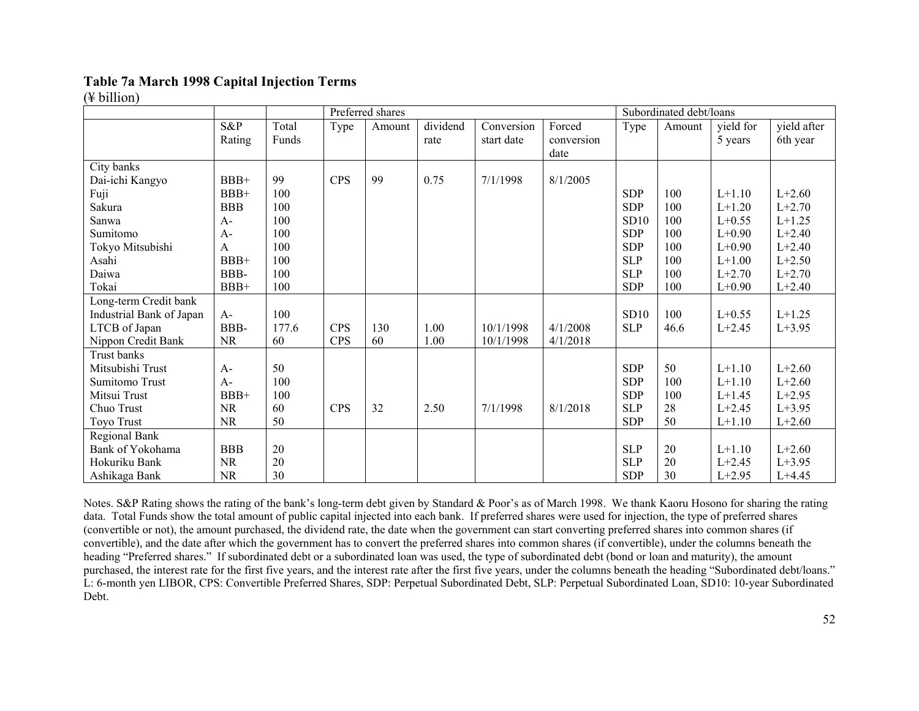# **Table 7a March 1998 Capital Injection Terms**

(¥ billion)

|                          |               |                |            | Preferred shares |                  |                          |                              | Subordinated debt/loans |        |                      |                         |
|--------------------------|---------------|----------------|------------|------------------|------------------|--------------------------|------------------------------|-------------------------|--------|----------------------|-------------------------|
|                          | S&P<br>Rating | Total<br>Funds | Type       | Amount           | dividend<br>rate | Conversion<br>start date | Forced<br>conversion<br>date | Type                    | Amount | yield for<br>5 years | yield after<br>6th year |
| City banks               |               |                |            |                  |                  |                          |                              |                         |        |                      |                         |
| Dai-ichi Kangyo          | $BBB+$        | 99             | <b>CPS</b> | 99               | 0.75             | 7/1/1998                 | 8/1/2005                     |                         |        |                      |                         |
| Fuji                     | $BBB+$        | 100            |            |                  |                  |                          |                              | <b>SDP</b>              | 100    | $L+1.10$             | $L+2.60$                |
| Sakura                   | <b>BBB</b>    | 100            |            |                  |                  |                          |                              | <b>SDP</b>              | 100    | $L+1.20$             | $L+2.70$                |
| Sanwa                    | $A-$          | 100            |            |                  |                  |                          |                              | SD10                    | 100    | $L + 0.55$           | $L+1.25$                |
| Sumitomo                 | $A-$          | 100            |            |                  |                  |                          |                              | <b>SDP</b>              | 100    | $L+0.90$             | $L+2.40$                |
| Tokyo Mitsubishi         | A             | 100            |            |                  |                  |                          |                              | <b>SDP</b>              | 100    | $L + 0.90$           | $L+2.40$                |
| Asahi                    | $BBB+$        | 100            |            |                  |                  |                          |                              | <b>SLP</b>              | 100    | $L+1.00$             | $L+2.50$                |
| Daiwa                    | BBB-          | 100            |            |                  |                  |                          |                              | <b>SLP</b>              | 100    | $L+2.70$             | $L+2.70$                |
| Tokai                    | $BBB+$        | 100            |            |                  |                  |                          |                              | <b>SDP</b>              | 100    | $L + 0.90$           | $L+2.40$                |
| Long-term Credit bank    |               |                |            |                  |                  |                          |                              |                         |        |                      |                         |
| Industrial Bank of Japan | $A -$         | 100            |            |                  |                  |                          |                              | SD10                    | 100    | $L+0.55$             | $L+1.25$                |
| LTCB of Japan            | BBB-          | 177.6          | <b>CPS</b> | 130              | 1.00             | 10/1/1998                | 4/1/2008                     | <b>SLP</b>              | 46.6   | $L+2.45$             | $L+3.95$                |
| Nippon Credit Bank       | <b>NR</b>     | 60             | <b>CPS</b> | 60               | 1.00             | 10/1/1998                | 4/1/2018                     |                         |        |                      |                         |
| Trust banks              |               |                |            |                  |                  |                          |                              |                         |        |                      |                         |
| Mitsubishi Trust         | $A-$          | 50             |            |                  |                  |                          |                              | <b>SDP</b>              | 50     | $L+1.10$             | $L+2.60$                |
| Sumitomo Trust           | $A-$          | 100            |            |                  |                  |                          |                              | <b>SDP</b>              | 100    | $L+1.10$             | $L+2.60$                |
| Mitsui Trust             | BBB+          | 100            |            |                  |                  |                          |                              | <b>SDP</b>              | 100    | $L+1.45$             | $L+2.95$                |
| Chuo Trust               | <b>NR</b>     | 60             | <b>CPS</b> | 32               | 2.50             | 7/1/1998                 | 8/1/2018                     | <b>SLP</b>              | 28     | $L+2.45$             | $L+3.95$                |
| <b>Toyo Trust</b>        | <b>NR</b>     | 50             |            |                  |                  |                          |                              | <b>SDP</b>              | 50     | $L+1.10$             | $L+2.60$                |
| Regional Bank            |               |                |            |                  |                  |                          |                              |                         |        |                      |                         |
| Bank of Yokohama         | <b>BBB</b>    | 20             |            |                  |                  |                          |                              | <b>SLP</b>              | 20     | $L+1.10$             | $L+2.60$                |
| Hokuriku Bank            | <b>NR</b>     | 20             |            |                  |                  |                          |                              | <b>SLP</b>              | 20     | $L+2.45$             | $L+3.95$                |
| Ashikaga Bank            | <b>NR</b>     | 30             |            |                  |                  |                          |                              | <b>SDP</b>              | 30     | $L+2.95$             | $L+4.45$                |

Notes. S&P Rating shows the rating of the bank's long-term debt given by Standard & Poor's as of March 1998. We thank Kaoru Hosono for sharing the rating data. Total Funds show the total amount of public capital injected into each bank. If preferred shares were used for injection, the type of preferred shares (convertible or not), the amount purchased, the dividend rate, the date when the government can start converting preferred shares into common shares (if convertible), and the date after which the government has to convert the preferred shares into common shares (if convertible), under the columns beneath the heading "Preferred shares." If subordinated debt or a subordinated loan was used, the type of subordinated debt (bond or loan and maturity), the amount purchased, the interest rate for the first five years, and the interest rate after the first five years, under the columns beneath the heading "Subordinated debt/loans." L: 6-month yen LIBOR, CPS: Convertible Preferred Shares, SDP: Perpetual Subordinated Debt, SLP: Perpetual Subordinated Loan, SD10: 10-year Subordinated Debt.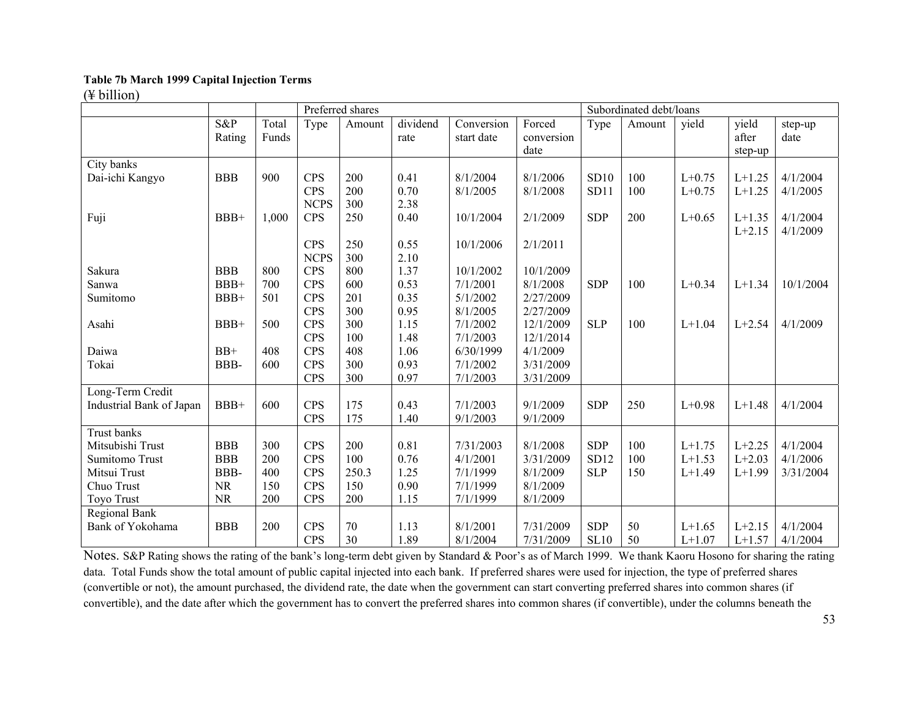# **Table 7b March 1999 Capital Injection Terms**

(¥ billion)

|                          |            |       |             | Preferred shares |          |            |            |            | Subordinated debt/loans |            |          |           |
|--------------------------|------------|-------|-------------|------------------|----------|------------|------------|------------|-------------------------|------------|----------|-----------|
|                          | S&P        | Total | Type        | Amount           | dividend | Conversion | Forced     | Type       | Amount                  | yield      | yield    | step-up   |
|                          | Rating     | Funds |             |                  | rate     | start date | conversion |            |                         |            | after    | date      |
|                          |            |       |             |                  |          |            | date       |            |                         |            | step-up  |           |
| City banks               |            |       |             |                  |          |            |            |            |                         |            |          |           |
| Dai-ichi Kangyo          | <b>BBB</b> | 900   | <b>CPS</b>  | 200              | 0.41     | 8/1/2004   | 8/1/2006   | SD10       | 100                     | $L + 0.75$ | $L+1.25$ | 4/1/2004  |
|                          |            |       | <b>CPS</b>  | 200              | 0.70     | 8/1/2005   | 8/1/2008   | SD11       | 100                     | $L+0.75$   | $L+1.25$ | 4/1/2005  |
|                          |            |       | <b>NCPS</b> | 300              | 2.38     |            |            |            |                         |            |          |           |
| Fuji                     | $BBB+$     | 1,000 | <b>CPS</b>  | 250              | 0.40     | 10/1/2004  | 2/1/2009   | <b>SDP</b> | 200                     | $L + 0.65$ | $L+1.35$ | 4/1/2004  |
|                          |            |       |             |                  |          |            |            |            |                         |            | $L+2.15$ | 4/1/2009  |
|                          |            |       | <b>CPS</b>  | 250              | 0.55     | 10/1/2006  | 2/1/2011   |            |                         |            |          |           |
|                          |            |       | <b>NCPS</b> | 300              | 2.10     |            |            |            |                         |            |          |           |
| Sakura                   | <b>BBB</b> | 800   | <b>CPS</b>  | 800              | 1.37     | 10/1/2002  | 10/1/2009  |            |                         |            |          |           |
| Sanwa                    | $BBB+$     | 700   | <b>CPS</b>  | 600              | 0.53     | 7/1/2001   | 8/1/2008   | <b>SDP</b> | 100                     | $L + 0.34$ | $L+1.34$ | 10/1/2004 |
| Sumitomo                 | BBB+       | 501   | <b>CPS</b>  | 201              | 0.35     | 5/1/2002   | 2/27/2009  |            |                         |            |          |           |
|                          |            |       | <b>CPS</b>  | 300              | 0.95     | 8/1/2005   | 2/27/2009  |            |                         |            |          |           |
| Asahi                    | BBB+       | 500   | <b>CPS</b>  | 300              | 1.15     | 7/1/2002   | 12/1/2009  | <b>SLP</b> | 100                     | $L+1.04$   | $L+2.54$ | 4/1/2009  |
|                          |            |       | <b>CPS</b>  | 100              | 1.48     | 7/1/2003   | 12/1/2014  |            |                         |            |          |           |
| Daiwa                    | $BB+$      | 408   | <b>CPS</b>  | 408              | 1.06     | 6/30/1999  | 4/1/2009   |            |                         |            |          |           |
| Tokai                    | BBB-       | 600   | <b>CPS</b>  | 300              | 0.93     | 7/1/2002   | 3/31/2009  |            |                         |            |          |           |
|                          |            |       | <b>CPS</b>  | 300              | 0.97     | 7/1/2003   | 3/31/2009  |            |                         |            |          |           |
| Long-Term Credit         |            |       |             |                  |          |            |            |            |                         |            |          |           |
| Industrial Bank of Japan | BBB+       | 600   | <b>CPS</b>  | 175              | 0.43     | 7/1/2003   | 9/1/2009   | <b>SDP</b> | 250                     | $L + 0.98$ | $L+1.48$ | 4/1/2004  |
|                          |            |       | <b>CPS</b>  | 175              | 1.40     | 9/1/2003   | 9/1/2009   |            |                         |            |          |           |
| Trust banks              |            |       |             |                  |          |            |            |            |                         |            |          |           |
| Mitsubishi Trust         | <b>BBB</b> | 300   | <b>CPS</b>  | 200              | 0.81     | 7/31/2003  | 8/1/2008   | <b>SDP</b> | 100                     | $L+1.75$   | $L+2.25$ | 4/1/2004  |
| Sumitomo Trust           | <b>BBB</b> | 200   | <b>CPS</b>  | 100              | 0.76     | 4/1/2001   | 3/31/2009  | SD12       | 100                     | $L+1.53$   | $L+2.03$ | 4/1/2006  |
| Mitsui Trust             | BBB-       | 400   | <b>CPS</b>  | 250.3            | 1.25     | 7/1/1999   | 8/1/2009   | <b>SLP</b> | 150                     | $L+1.49$   | $L+1.99$ | 3/31/2004 |
| Chuo Trust               | <b>NR</b>  | 150   | <b>CPS</b>  | 150              | 0.90     | 7/1/1999   | 8/1/2009   |            |                         |            |          |           |
| <b>Toyo Trust</b>        | <b>NR</b>  | 200   | <b>CPS</b>  | 200              | 1.15     | 7/1/1999   | 8/1/2009   |            |                         |            |          |           |
| Regional Bank            |            |       |             |                  |          |            |            |            |                         |            |          |           |
| Bank of Yokohama         | <b>BBB</b> | 200   | <b>CPS</b>  | 70               | 1.13     | 8/1/2001   | 7/31/2009  | <b>SDP</b> | 50                      | $L+1.65$   | $L+2.15$ | 4/1/2004  |
|                          |            |       | <b>CPS</b>  | 30               | 1.89     | 8/1/2004   | 7/31/2009  | SL10       | 50                      | $L+1.07$   | $L+1.57$ | 4/1/2004  |

Notes. S&P Rating shows the rating of the bank's long-term debt given by Standard & Poor's as of March 1999. We thank Kaoru Hosono for sharing the rating data. Total Funds show the total amount of public capital injected into each bank. If preferred shares were used for injection, the type of preferred shares (convertible or not), the amount purchased, the dividend rate, the date when the government can start converting preferred shares into common shares (if convertible), and the date after which the government has to convert the preferred shares into common shares (if convertible), under the columns beneath the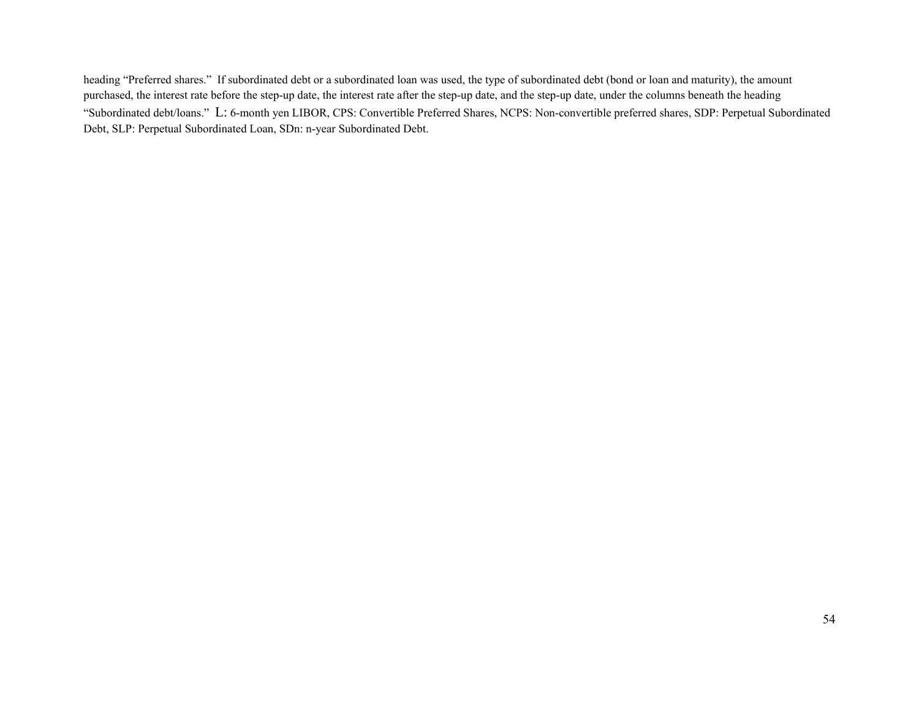heading "Preferred shares." If subordinated debt or a subordinated loan was used, the type of subordinated debt (bond or loan and maturity), the amount purchased, the interest rate before the step-up date, the interest rate after the step-up date, and the step-up date, under the columns beneath the heading "Subordinated debt/loans." L: 6-month yen LIBOR, CPS: Convertible Preferred Shares, NCPS: Non-convertible preferred shares, SDP: Perpetual Subordinated Debt, SLP: Perpetual Subordinated Loan, SDn: n-year Subordinated Debt.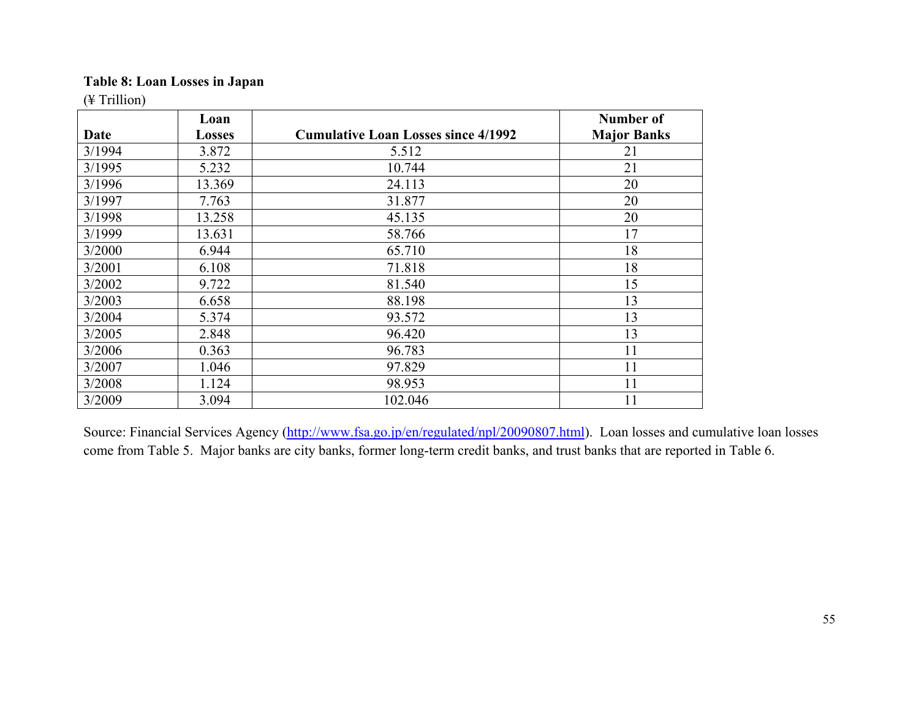# **Table 8: Loan Losses in Japan**

(¥ Trillion)

|        | Loan          |                                            | Number of          |
|--------|---------------|--------------------------------------------|--------------------|
| Date   | <b>Losses</b> | <b>Cumulative Loan Losses since 4/1992</b> | <b>Major Banks</b> |
| 3/1994 | 3.872         | 5.512                                      | 21                 |
| 3/1995 | 5.232         | 10.744                                     | 21                 |
| 3/1996 | 13.369        | 24.113                                     | 20                 |
| 3/1997 | 7.763         | 31.877                                     | 20                 |
| 3/1998 | 13.258        | 45.135                                     | 20                 |
| 3/1999 | 13.631        | 58.766                                     | 17                 |
| 3/2000 | 6.944         | 65.710                                     | 18                 |
| 3/2001 | 6.108         | 71.818                                     | 18                 |
| 3/2002 | 9.722         | 81.540                                     | 15                 |
| 3/2003 | 6.658         | 88.198                                     | 13                 |
| 3/2004 | 5.374         | 93.572                                     | 13                 |
| 3/2005 | 2.848         | 96.420                                     | 13                 |
| 3/2006 | 0.363         | 96.783                                     | 11                 |
| 3/2007 | 1.046         | 97.829                                     | 11                 |
| 3/2008 | 1.124         | 98.953                                     | 11                 |
| 3/2009 | 3.094         | 102.046                                    | 11                 |

Source: Financial Services Agency [\(http://www.fsa.go.jp/en/regulated/npl/20090807.html](http://www.fsa.go.jp/en/regulated/npl/20090807.html)). Loan losses and cumulative loan losses come from Table 5. Major banks are city banks, former long-term credit banks, and trust banks that are reported in Table 6.